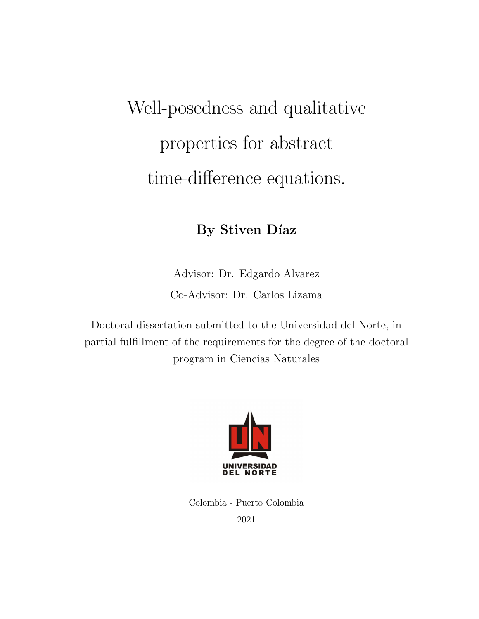# Well-posedness and qualitative properties for abstract time-difference equations.

### By Stiven Díaz

Advisor: Dr. Edgardo Alvarez Co-Advisor: Dr. Carlos Lizama

Doctoral dissertation submitted to the Universidad del Norte, in partial fulfillment of the requirements for the degree of the doctoral program in Ciencias Naturales



Colombia - Puerto Colombia 2021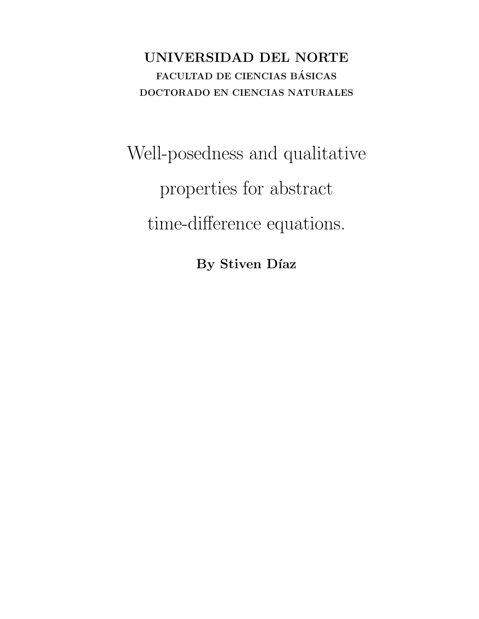### UNIVERSIDAD DEL NORTE FACULTAD DE CIENCIAS BÁSICAS DOCTORADO EN CIENCIAS NATURALES

Well-posedness and qualitative properties for abstract time-difference equations.

By Stiven Díaz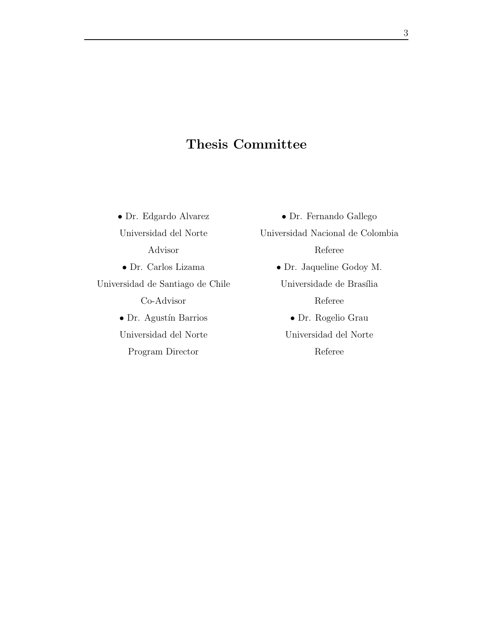### Thesis Committee

• Dr. Edgardo Alvarez Universidad del Norte Advisor • Dr. Carlos Lizama Universidad de Santiago de Chile Co-Advisor

> • Dr. Agustín Barrios Universidad del Norte

Program Director

• Dr. Fernando Gallego Universidad Nacional de Colombia Referee • Dr. Jaqueline Godoy M. Universidade de Brasília Referee • Dr. Rogelio Grau

Universidad del Norte Referee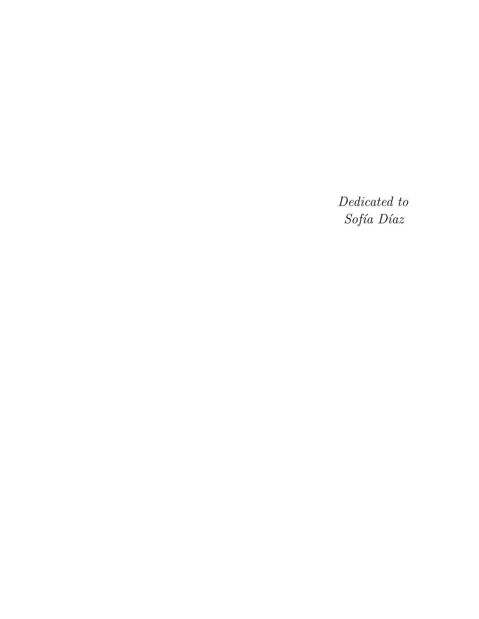Dedicated to Sofía Díaz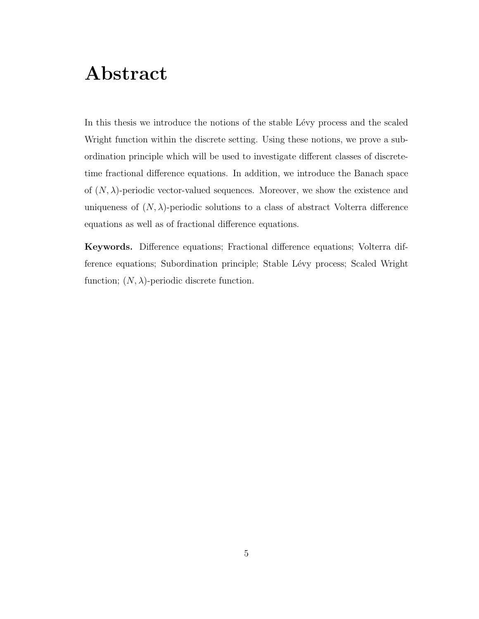### Abstract

In this thesis we introduce the notions of the stable Lévy process and the scaled Wright function within the discrete setting. Using these notions, we prove a subordination principle which will be used to investigate different classes of discretetime fractional difference equations. In addition, we introduce the Banach space of  $(N, \lambda)$ -periodic vector-valued sequences. Moreover, we show the existence and uniqueness of  $(N, \lambda)$ -periodic solutions to a class of abstract Volterra difference equations as well as of fractional difference equations.

Keywords. Difference equations; Fractional difference equations; Volterra difference equations; Subordination principle; Stable L´evy process; Scaled Wright function;  $(N, \lambda)$ -periodic discrete function.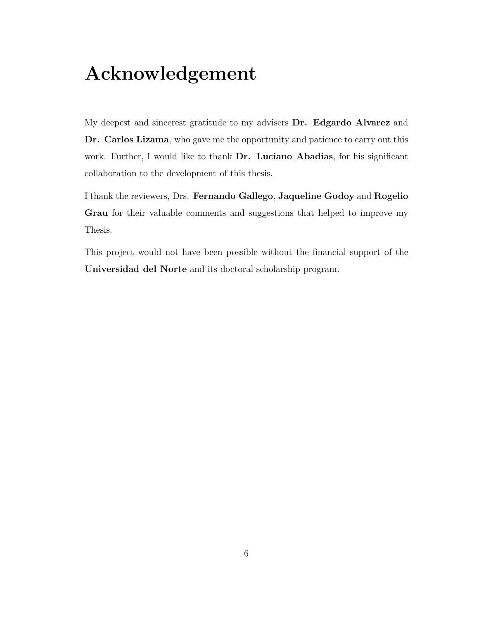## Acknowledgement

My deepest and sincerest gratitude to my advisers Dr. Edgardo Alvarez and Dr. Carlos Lizama, who gave me the opportunity and patience to carry out this work. Further, I would like to thank Dr. Luciano Abadias, for his significant collaboration to the development of this thesis.

I thank the reviewers, Drs. Fernando Gallego, Jaqueline Godoy and Rogelio Grau for their valuable comments and suggestions that helped to improve my Thesis.

This project would not have been possible without the financial support of the Universidad del Norte and its doctoral scholarship program.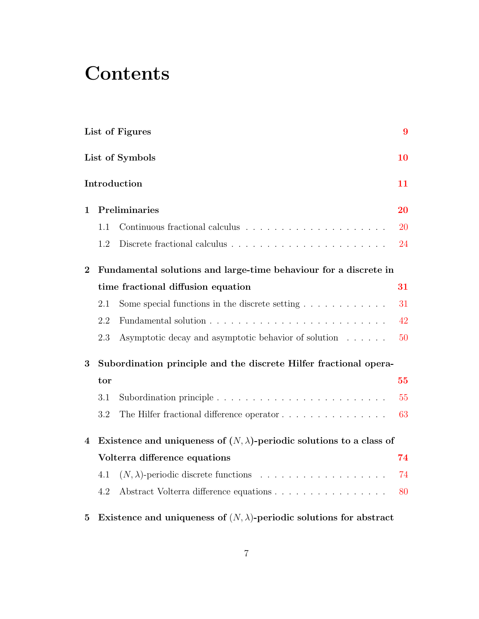## **Contents**

|                  |     | List of Figures                                                              | 9  |  |  |  |
|------------------|-----|------------------------------------------------------------------------------|----|--|--|--|
|                  |     | List of Symbols                                                              | 10 |  |  |  |
|                  |     | Introduction                                                                 | 11 |  |  |  |
| 1                |     | Preliminaries                                                                | 20 |  |  |  |
|                  | 1.1 |                                                                              | 20 |  |  |  |
|                  | 1.2 |                                                                              | 24 |  |  |  |
| $\boldsymbol{2}$ |     | Fundamental solutions and large-time behaviour for a discrete in             |    |  |  |  |
|                  |     | time fractional diffusion equation                                           | 31 |  |  |  |
|                  | 2.1 | Some special functions in the discrete setting $\dots \dots \dots \dots$     | 31 |  |  |  |
|                  | 2.2 |                                                                              | 42 |  |  |  |
|                  | 2.3 | Asymptotic decay and asymptotic behavior of solution                         | 50 |  |  |  |
| 3                |     | Subordination principle and the discrete Hilfer fractional opera-            |    |  |  |  |
|                  | tor |                                                                              | 55 |  |  |  |
|                  | 3.1 |                                                                              | 55 |  |  |  |
|                  | 3.2 | The Hilfer fractional difference operator                                    | 63 |  |  |  |
| 4                |     | Existence and uniqueness of $(N, \lambda)$ -periodic solutions to a class of |    |  |  |  |
|                  |     | Volterra difference equations                                                | 74 |  |  |  |
|                  | 4.1 | $(N, \lambda)$ -periodic discrete functions                                  | 74 |  |  |  |
|                  | 4.2 | Abstract Volterra difference equations                                       | 80 |  |  |  |
| $\mathbf{5}$     |     | Existence and uniqueness of $(N, \lambda)$ -periodic solutions for abstract  |    |  |  |  |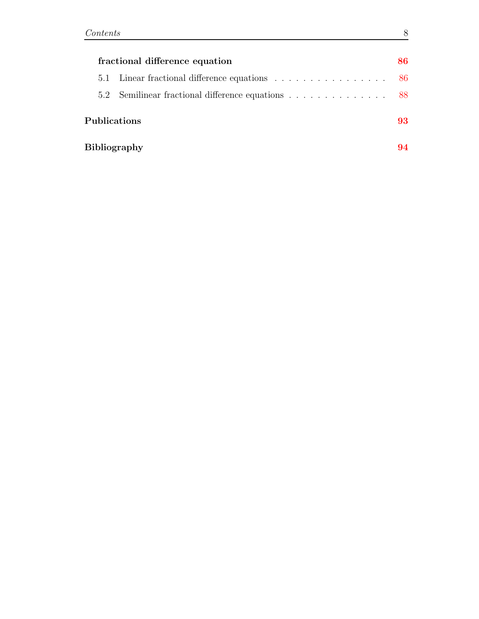|                     | fractional difference equation |                                                   | 86 |
|---------------------|--------------------------------|---------------------------------------------------|----|
|                     |                                |                                                   |    |
|                     |                                | 5.2 Semilinear fractional difference equations 88 |    |
| Publications        |                                |                                                   | 93 |
| <b>Bibliography</b> |                                |                                                   | 94 |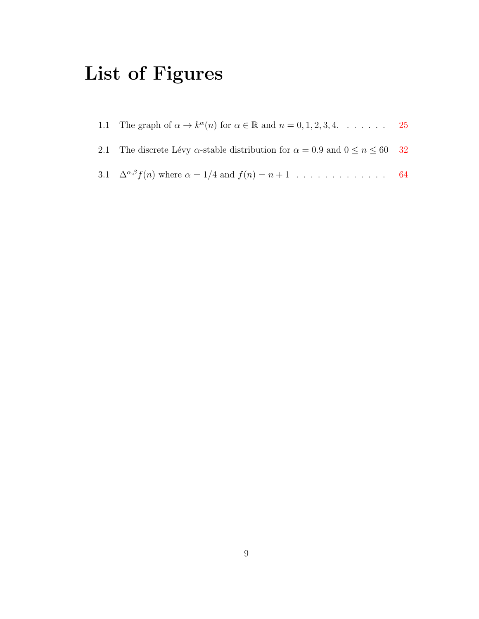## <span id="page-8-0"></span>List of Figures

|  | 1.1 The graph of $\alpha \to k^{\alpha}(n)$ for $\alpha \in \mathbb{R}$ and $n = 0, 1, 2, 3, 4$ 25 |  |  |  |  |  |  |  |
|--|----------------------------------------------------------------------------------------------------|--|--|--|--|--|--|--|
|--|----------------------------------------------------------------------------------------------------|--|--|--|--|--|--|--|

2.1 The discrete Lévy  $\alpha$ -stable distribution for  $\alpha = 0.9$  and  $0 \leq n \leq 60$  [32](#page-31-0)

3.1 
$$
\Delta^{\alpha,\beta} f(n)
$$
 where  $\alpha = 1/4$  and  $f(n) = n + 1$  . . . . . . . . . . . . 64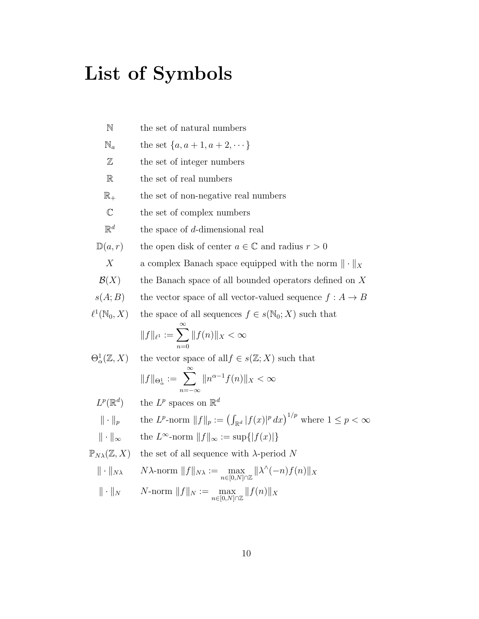## <span id="page-9-0"></span>List of Symbols

| $\mathbb N$                           | the set of natural numbers                                                                                 |
|---------------------------------------|------------------------------------------------------------------------------------------------------------|
| $\mathbb{N}_a$                        | the set $\{a, a+1, a+2, \dots\}$                                                                           |
| $\mathbb Z$                           | the set of integer numbers                                                                                 |
| $\mathbb R$                           | the set of real numbers                                                                                    |
| $\mathbb{R}_+$                        | the set of non-negative real numbers                                                                       |
| $\mathbb{C}$                          | the set of complex numbers                                                                                 |
| $\mathbb{R}^d$                        | the space of d-dimensional real                                                                            |
| $\mathbb{D}(a,r)$                     | the open disk of center $a \in \mathbb{C}$ and radius $r > 0$                                              |
| X                                     | a complex Banach space equipped with the norm $\ \cdot\ _X$                                                |
| $\mathcal{B}(X)$                      | the Banach space of all bounded operators defined on $X$                                                   |
| s(A;B)                                | the vector space of all vector-valued sequence $f: A \rightarrow B$                                        |
| $\ell^1(\mathbb{N}_0,X)$              | the space of all sequences $f \in s(\mathbb{N}_0; X)$ such that                                            |
|                                       | $  f  _{\ell^1} := \sum   f(n)  _X < \infty$                                                               |
| $\Theta^1_\alpha(\mathbb{Z},X)$       | the vector space of all $f \in s(\mathbb{Z}; X)$ such that                                                 |
|                                       | $  f  _{\Theta_{\alpha}^{1}} := \sum_{n=1}^{\infty}   n^{\alpha-1}f(n)  _{X} < \infty$                     |
| $L^p(\mathbb{R}^d)$                   | the $L^p$ spaces on $\mathbb{R}^d$                                                                         |
| $\ \cdot\ _p$                         | the $L^p\text{-norm }\ f\ _p:=\left(\int_{\mathbb{R}^d} f(x) ^p\,dx\right)^{1/p}$ where $1\leq p<\infty$   |
| $\ \cdot\ _{\infty}$                  | the $L^{\infty}$ -norm $  f  _{\infty} := \sup\{ f(x) \}$                                                  |
| $\mathbb{P}_{N\lambda}(\mathbb{Z},X)$ | the set of all sequence with $\lambda$ -period N                                                           |
| $\ \cdot\ _{N\lambda}$                | $N\lambda$ -norm $  f  _{N\lambda} := \max_{n \in [0,N] \cap \mathbb{Z}}   \lambda^{\wedge}(-n)f(n)  _{X}$ |
| $\ \cdot\ _N$                         | <i>N</i> -norm $  f  _N := \max_{n \in [0,N] \cap \mathbb{Z}}   f(n)  _X$                                  |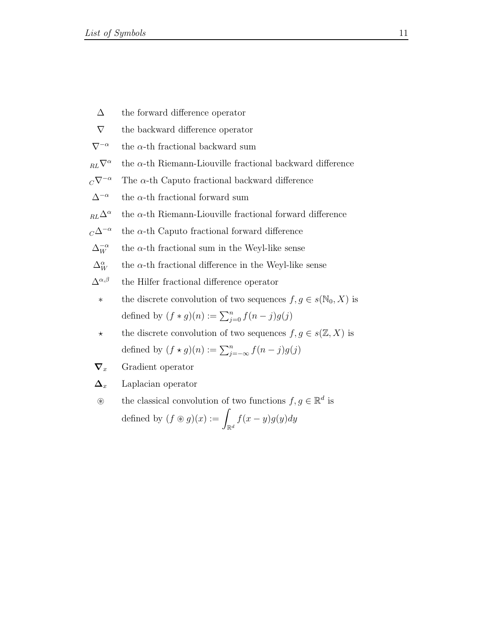| Δ                       | the forward difference operator                                            |
|-------------------------|----------------------------------------------------------------------------|
| $\nabla$                | the backward difference operator                                           |
| $\nabla^{-\alpha}$      | the $\alpha$ -th fractional backward sum                                   |
| $_{RL}\nabla^\alpha$    | the $\alpha$ -th Riemann-Liouville fractional backward difference          |
| $C^{\nabla^{-\alpha}}$  | The $\alpha$ -th Caputo fractional backward difference                     |
| $\Delta^{-\alpha}$      | the $\alpha$ -th fractional forward sum                                    |
| $_{RL}\Delta^\alpha$    | the $\alpha$ -th Riemann-Liouville fractional forward difference           |
| $_C\Delta^{-\alpha}$    | the $\alpha$ -th Caputo fractional forward difference                      |
| $\Delta_W^{-\alpha}$    | the $\alpha$ -th fractional sum in the Weyl-like sense                     |
| $\Delta_W^{\alpha}$     | the $\alpha$ -th fractional difference in the Weyl-like sense              |
| $\Delta^{\alpha,\beta}$ | the Hilfer fractional difference operator                                  |
| $\ast$                  | the discrete convolution of two sequences $f, g \in s(\mathbb{N}_0, X)$ is |
|                         | defined by $(f * g)(n) := \sum_{i=0}^{n} f(n - j)g(j)$                     |
| $\star$                 | the discrete convolution of two sequences $f, g \in s(\mathbb{Z}, X)$ is   |
|                         | defined by $(f \star g)(n) := \sum_{j=-\infty}^{n} f(n-j)g(j)$             |
| $\boldsymbol{\nabla}_x$ | Gradient operator                                                          |
| $\boldsymbol{\Delta}_x$ | Laplacian operator                                                         |
| $^{\circledR}$          | the classical convolution of two functions $f, g \in \mathbb{R}^d$ is      |

$$
\circledast \qquad \text{the classical convolution of two functions } f, g \in \mathbb{R}
$$
\n
$$
\text{defined by } (f \circledast g)(x) := \int_{\mathbb{R}^d} f(x - y)g(y)dy
$$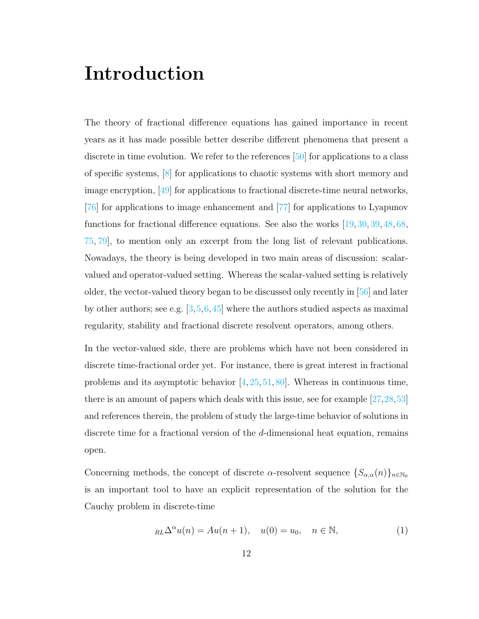## Introduction

The theory of fractional difference equations has gained importance in recent years as it has made possible better describe different phenomena that present a discrete in time evolution. We refer to the references [\[50\]](#page-99-0) for applications to a class of specific systems, [\[8\]](#page-94-0) for applications to chaotic systems with short memory and image encryption, [\[49\]](#page-99-1) for applications to fractional discrete-time neural networks, [\[76\]](#page-102-0) for applications to image enhancement and [\[77\]](#page-102-1) for applications to Lyapunov functions for fractional difference equations. See also the works [\[19,](#page-96-0) [30,](#page-97-0) [39,](#page-98-0) [48,](#page-99-2) [68,](#page-101-0) [75,](#page-102-2) [79\]](#page-102-3), to mention only an excerpt from the long list of relevant publications. Nowadays, the theory is being developed in two main areas of discussion: scalarvalued and operator-valued setting. Whereas the scalar-valued setting is relatively older, the vector-valued theory began to be discussed only recently in [\[56\]](#page-100-0) and later by other authors; see e.g.  $[3,5,6,45]$  $[3,5,6,45]$  $[3,5,6,45]$  $[3,5,6,45]$  where the authors studied aspects as maximal regularity, stability and fractional discrete resolvent operators, among others.

In the vector-valued side, there are problems which have not been considered in discrete time-fractional order yet. For instance, there is great interest in fractional problems and its asymptotic behavior  $[4, 25, 51, 80]$  $[4, 25, 51, 80]$  $[4, 25, 51, 80]$  $[4, 25, 51, 80]$  $[4, 25, 51, 80]$  $[4, 25, 51, 80]$ . Whereas in continuous time, there is an amount of papers which deals with this issue, see for example [\[27](#page-97-1)[,28,](#page-97-2)[53\]](#page-99-4) and references therein, the problem of study the large-time behavior of solutions in discrete time for a fractional version of the d-dimensional heat equation, remains open.

Concerning methods, the concept of discrete  $\alpha$ -resolvent sequence  $\{S_{\alpha,\alpha}(n)\}_{n\in\mathbb{N}_0}$ is an important tool to have an explicit representation of the solution for the Cauchy problem in discrete-time

<span id="page-11-0"></span>
$$
_{RL}\Delta^{\alpha}u(n) = Au(n+1), \quad u(0) = u_0, \quad n \in \mathbb{N}, \tag{1}
$$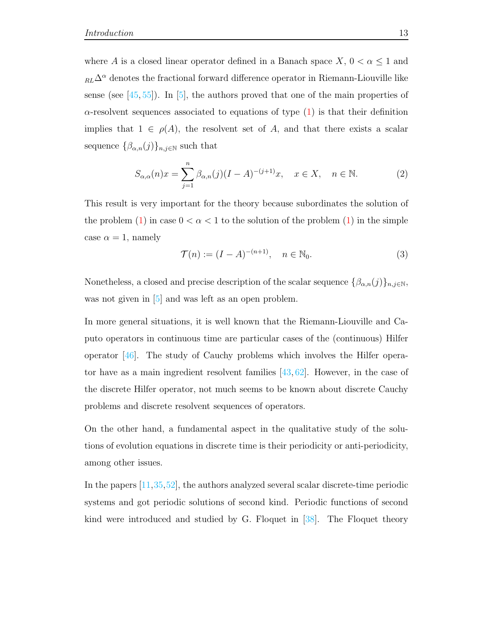where A is a closed linear operator defined in a Banach space  $X$ ,  $0 < \alpha \leq 1$  and  $_{RL}\Delta^\alpha$  denotes the fractional forward difference operator in Riemann-Liouville like sense (see  $[45, 55]$  $[45, 55]$ ). In [\[5\]](#page-94-2), the authors proved that one of the main properties of  $\alpha$ -resolvent sequences associated to equations of type [\(1\)](#page-11-0) is that their definition implies that  $1 \in \rho(A)$ , the resolvent set of A, and that there exists a scalar sequence  $\{\beta_{\alpha,n}(j)\}_{n,j\in\mathbb{N}}$  such that

<span id="page-12-1"></span>
$$
S_{\alpha,\alpha}(n)x = \sum_{j=1}^{n} \beta_{\alpha,n}(j)(I-A)^{-(j+1)}x, \quad x \in X, \quad n \in \mathbb{N}.
$$
 (2)

This result is very important for the theory because subordinates the solution of the problem [\(1\)](#page-11-0) in case  $0 < \alpha < 1$  to the solution of the problem (1) in the simple case  $\alpha = 1$ , namely

<span id="page-12-0"></span>
$$
\mathcal{T}(n) := (I - A)^{-(n+1)}, \quad n \in \mathbb{N}_0.
$$
 (3)

Nonetheless, a closed and precise description of the scalar sequence  $\{\beta_{\alpha,n}(j)\}_{n,j\in\mathbb{N}},$ was not given in  $\boxed{5}$  and was left as an open problem.

In more general situations, it is well known that the Riemann-Liouville and Caputo operators in continuous time are particular cases of the (continuous) Hilfer operator [\[46\]](#page-99-5). The study of Cauchy problems which involves the Hilfer operator have as a main ingredient resolvent families [\[43,](#page-98-2) [62\]](#page-100-2). However, in the case of the discrete Hilfer operator, not much seems to be known about discrete Cauchy problems and discrete resolvent sequences of operators.

On the other hand, a fundamental aspect in the qualitative study of the solutions of evolution equations in discrete time is their periodicity or anti-periodicity, among other issues.

In the papers [\[11,](#page-95-0)[35](#page-97-3)[,52\]](#page-99-6), the authors analyzed several scalar discrete-time periodic systems and got periodic solutions of second kind. Periodic functions of second kind were introduced and studied by G. Floquet in [\[38\]](#page-98-3). The Floquet theory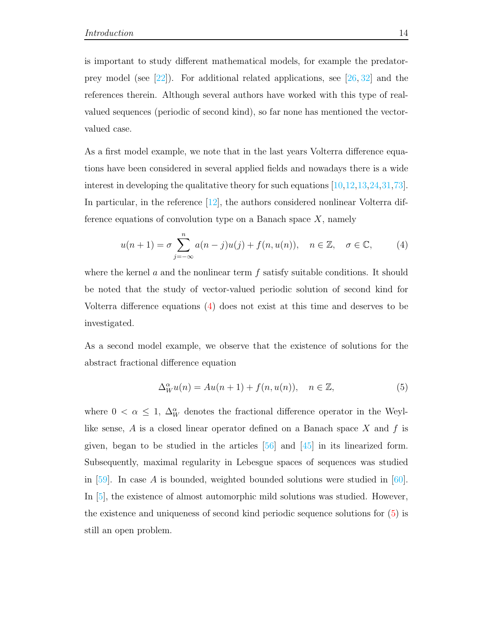is important to study different mathematical models, for example the predatorprey model (see [\[22\]](#page-96-2)). For additional related applications, see [\[26,](#page-96-3) [32\]](#page-97-4) and the references therein. Although several authors have worked with this type of realvalued sequences (periodic of second kind), so far none has mentioned the vectorvalued case.

As a first model example, we note that in the last years Volterra difference equations have been considered in several applied fields and nowadays there is a wide interest in developing the qualitative theory for such equations [\[10,](#page-95-1)[12,](#page-95-2)[13,](#page-95-3)[24,](#page-96-4)[31,](#page-97-5)[73\]](#page-101-1). In particular, in the reference [\[12\]](#page-95-2), the authors considered nonlinear Volterra difference equations of convolution type on a Banach space  $X$ , namely

<span id="page-13-0"></span>
$$
u(n+1) = \sigma \sum_{j=-\infty}^{n} a(n-j)u(j) + f(n, u(n)), \quad n \in \mathbb{Z}, \quad \sigma \in \mathbb{C}, \tag{4}
$$

where the kernel  $\alpha$  and the nonlinear term  $f$  satisfy suitable conditions. It should be noted that the study of vector-valued periodic solution of second kind for Volterra difference equations [\(4\)](#page-13-0) does not exist at this time and deserves to be investigated.

As a second model example, we observe that the existence of solutions for the abstract fractional difference equation

<span id="page-13-1"></span>
$$
\Delta_W^{\alpha} u(n) = Au(n+1) + f(n, u(n)), \quad n \in \mathbb{Z}, \tag{5}
$$

where  $0 < \alpha \leq 1$ ,  $\Delta_W^{\alpha}$  denotes the fractional difference operator in the Weyllike sense, A is a closed linear operator defined on a Banach space X and  $f$  is given, began to be studied in the articles  $[56]$  and  $[45]$  in its linearized form. Subsequently, maximal regularity in Lebesgue spaces of sequences was studied in [\[59\]](#page-100-3). In case A is bounded, weighted bounded solutions were studied in  $[60]$ . In [\[5\]](#page-94-2), the existence of almost automorphic mild solutions was studied. However, the existence and uniqueness of second kind periodic sequence solutions for  $(5)$  is still an open problem.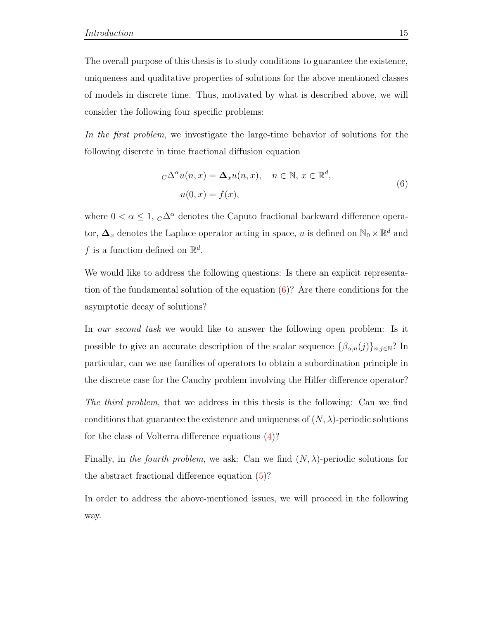The overall purpose of this thesis is to study conditions to guarantee the existence, uniqueness and qualitative properties of solutions for the above mentioned classes of models in discrete time. Thus, motivated by what is described above, we will consider the following four specific problems:

In the first problem, we investigate the large-time behavior of solutions for the following discrete in time fractional diffusion equation

<span id="page-14-0"></span>
$$
c\Delta^{\alpha}u(n,x) = \Delta_x u(n,x), \quad n \in \mathbb{N}, x \in \mathbb{R}^d,
$$
  

$$
u(0,x) = f(x),
$$
 (6)

where  $0 < \alpha \leq 1$ ,  $C^{\Delta^{\alpha}}$  denotes the Caputo fractional backward difference operator,  $\Delta_x$  denotes the Laplace operator acting in space, u is defined on  $\mathbb{N}_0 \times \mathbb{R}^d$  and f is a function defined on  $\mathbb{R}^d$ .

We would like to address the following questions: Is there an explicit representation of the fundamental solution of the equation  $(6)$ ? Are there conditions for the asymptotic decay of solutions?

In *our second task* we would like to answer the following open problem: Is it possible to give an accurate description of the scalar sequence  $\{\beta_{\alpha,n}(j)\}_{n,j\in\mathbb{N}}$ ? In particular, can we use families of operators to obtain a subordination principle in the discrete case for the Cauchy problem involving the Hilfer difference operator?

The third problem, that we address in this thesis is the following: Can we find conditions that guarantee the existence and uniqueness of  $(N, \lambda)$ -periodic solutions for the class of Volterra difference equations [\(4\)](#page-13-0)?

Finally, in the fourth problem, we ask: Can we find  $(N, \lambda)$ -periodic solutions for the abstract fractional difference equation  $(5)$ ?

In order to address the above-mentioned issues, we will proceed in the following way.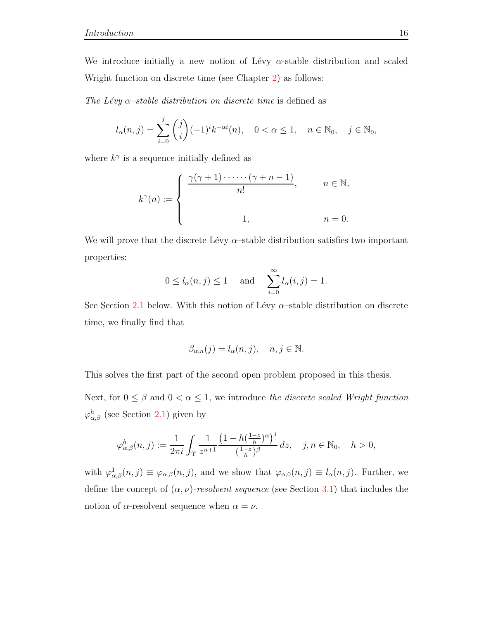We introduce initially a new notion of Lévy  $\alpha$ -stable distribution and scaled Wright function on discrete time (see Chapter [2\)](#page-30-0) as follows:

The Lévy  $\alpha$ –stable distribution on discrete time is defined as

$$
l_{\alpha}(n,j) = \sum_{i=0}^{j} {j \choose i} (-1)^{i} k^{-\alpha i}(n), \quad 0 < \alpha \le 1, \quad n \in \mathbb{N}_0, \quad j \in \mathbb{N}_0,
$$

where  $k^{\gamma}$  is a sequence initially defined as

$$
k^{\gamma}(n) := \begin{cases} \frac{\gamma(\gamma+1)\cdot \dots \cdot (\gamma+n-1)}{n!}, & n \in \mathbb{N}, \\ 1, & n = 0. \end{cases}
$$

We will prove that the discrete Lévy  $\alpha$ –stable distribution satisfies two important properties:

$$
0 \le l_\alpha(n,j) \le 1
$$
 and  $\sum_{i=0}^\infty l_\alpha(i,j) = 1$ .

See Section [2.1](#page-30-1) below. With this notion of Lévy  $\alpha$ –stable distribution on discrete time, we finally find that

$$
\beta_{\alpha,n}(j) = l_{\alpha}(n,j), \quad n, j \in \mathbb{N}.
$$

This solves the first part of the second open problem proposed in this thesis.

Next, for  $0 \leq \beta$  and  $0 < \alpha \leq 1$ , we introduce the discrete scaled Wright function  $\varphi_{\alpha,\beta}^h$  (see Section [2.1\)](#page-30-1) given by

$$
\varphi_{\alpha,\beta}^h(n,j) := \frac{1}{2\pi i} \int_{\Upsilon} \frac{1}{z^{n+1}} \frac{\left(1 - h\left(\frac{1-z}{h}\right)^{\alpha}\right)^j}{\left(\frac{1-z}{h}\right)^{\beta}} dz, \quad j, n \in \mathbb{N}_0, \quad h > 0,
$$

with  $\varphi_{\alpha,\beta}^1(n,j) \equiv \varphi_{\alpha,\beta}(n,j)$ , and we show that  $\varphi_{\alpha,0}(n,j) \equiv l_\alpha(n,j)$ . Further, we define the concept of  $(\alpha, \nu)$ -resolvent sequence (see Section [3.1\)](#page-54-1) that includes the notion of  $\alpha$ -resolvent sequence when  $\alpha = \nu$ .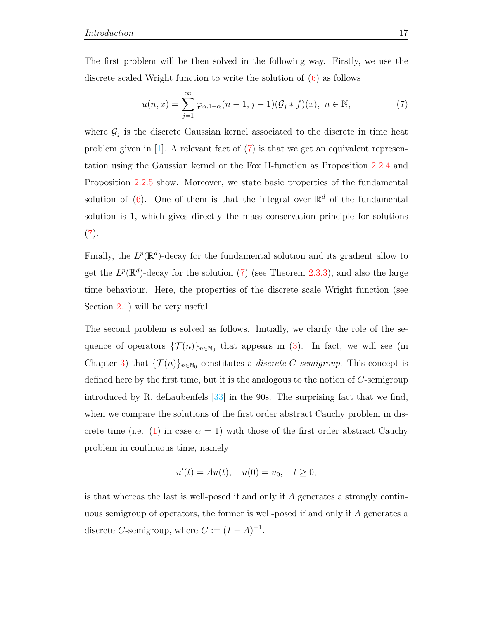The first problem will be then solved in the following way. Firstly, we use the discrete scaled Wright function to write the solution of [\(6\)](#page-14-0) as follows

<span id="page-16-0"></span>
$$
u(n,x) = \sum_{j=1}^{\infty} \varphi_{\alpha,1-\alpha}(n-1,j-1)(\mathcal{G}_j * f)(x), \ n \in \mathbb{N},
$$
 (7)

where  $\mathcal{G}_j$  is the discrete Gaussian kernel associated to the discrete in time heat problem given in  $[1]$ . A relevant fact of  $(7)$  is that we get an equivalent representation using the Gaussian kernel or the Fox H-function as Proposition [2.2.4](#page-46-0) and Proposition [2.2.5](#page-47-0) show. Moreover, we state basic properties of the fundamental solution of  $(6)$ . One of them is that the integral over  $\mathbb{R}^d$  of the fundamental solution is 1, which gives directly the mass conservation principle for solutions  $(7).$  $(7).$ 

Finally, the  $L^p(\mathbb{R}^d)$ -decay for the fundamental solution and its gradient allow to get the  $L^p(\mathbb{R}^d)$ -decay for the solution [\(7\)](#page-16-0) (see Theorem [2.3.3\)](#page-50-0), and also the large time behaviour. Here, the properties of the discrete scale Wright function (see Section [2.1\)](#page-30-1) will be very useful.

The second problem is solved as follows. Initially, we clarify the role of the sequence of operators  $\{\mathcal{T}(n)\}_{n\in\mathbb{N}_0}$  that appears in [\(3\)](#page-12-0). In fact, we will see (in Chapter [3\)](#page-54-0) that  $\{\mathcal{T}(n)\}_{n\in\mathbb{N}_0}$  constitutes a *discrete C-semigroup*. This concept is defined here by the first time, but it is the analogous to the notion of C-semigroup introduced by R. deLaubenfels [\[33\]](#page-97-6) in the 90s. The surprising fact that we find, when we compare the solutions of the first order abstract Cauchy problem in dis-crete time (i.e. [\(1\)](#page-11-0) in case  $\alpha = 1$ ) with those of the first order abstract Cauchy problem in continuous time, namely

$$
u'(t) = Au(t), \quad u(0) = u_0, \quad t \ge 0,
$$

is that whereas the last is well-posed if and only if A generates a strongly continuous semigroup of operators, the former is well-posed if and only if A generates a discrete *C*-semigroup, where  $C := (I - A)^{-1}$ .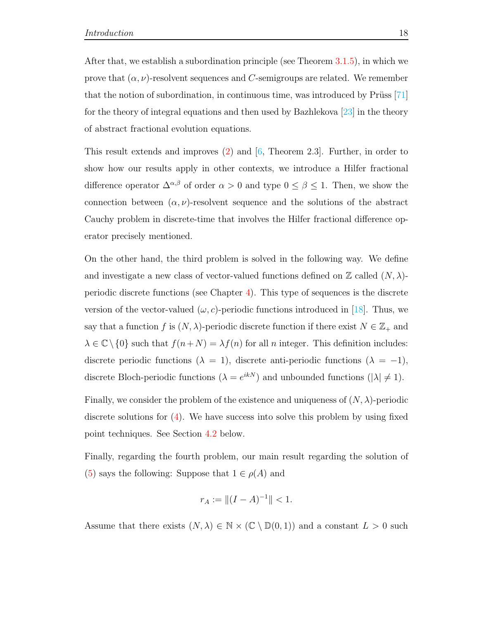After that, we establish a subordination principle (see Theorem [3.1.5\)](#page-58-0), in which we prove that  $(\alpha, \nu)$ -resolvent sequences and C-semigroups are related. We remember that the notion of subordination, in continuous time, was introduced by Prüss  $[71]$ for the theory of integral equations and then used by Bazhlekova [\[23\]](#page-96-5) in the theory of abstract fractional evolution equations.

This result extends and improves [\(2\)](#page-12-1) and [\[6,](#page-94-3) Theorem 2.3]. Further, in order to show how our results apply in other contexts, we introduce a Hilfer fractional difference operator  $\Delta^{\alpha,\beta}$  of order  $\alpha > 0$  and type  $0 \le \beta \le 1$ . Then, we show the connection between  $(\alpha, \nu)$ -resolvent sequence and the solutions of the abstract Cauchy problem in discrete-time that involves the Hilfer fractional difference operator precisely mentioned.

On the other hand, the third problem is solved in the following way. We define and investigate a new class of vector-valued functions defined on  $\mathbb Z$  called  $(N, \lambda)$ periodic discrete functions (see Chapter [4\)](#page-73-0). This type of sequences is the discrete version of the vector-valued ( $\omega$ , c)-periodic functions introduced in [\[18\]](#page-96-6). Thus, we say that a function f is  $(N, \lambda)$ -periodic discrete function if there exist  $N \in \mathbb{Z}_+$  and  $\lambda \in \mathbb{C} \setminus \{0\}$  such that  $f(n+N) = \lambda f(n)$  for all n integer. This definition includes: discrete periodic functions ( $\lambda = 1$ ), discrete anti-periodic functions ( $\lambda = -1$ ), discrete Bloch-periodic functions  $(\lambda = e^{ikN})$  and unbounded functions  $(|\lambda| \neq 1)$ .

Finally, we consider the problem of the existence and uniqueness of  $(N, \lambda)$ -periodic discrete solutions for [\(4\)](#page-13-0). We have success into solve this problem by using fixed point techniques. See Section [4.2](#page-79-0) below.

Finally, regarding the fourth problem, our main result regarding the solution of [\(5\)](#page-13-1) says the following: Suppose that  $1 \in \rho(A)$  and

$$
r_A := \|(I - A)^{-1}\| < 1.
$$

Assume that there exists  $(N, \lambda) \in \mathbb{N} \times (\mathbb{C} \setminus \mathbb{D}(0, 1))$  and a constant  $L > 0$  such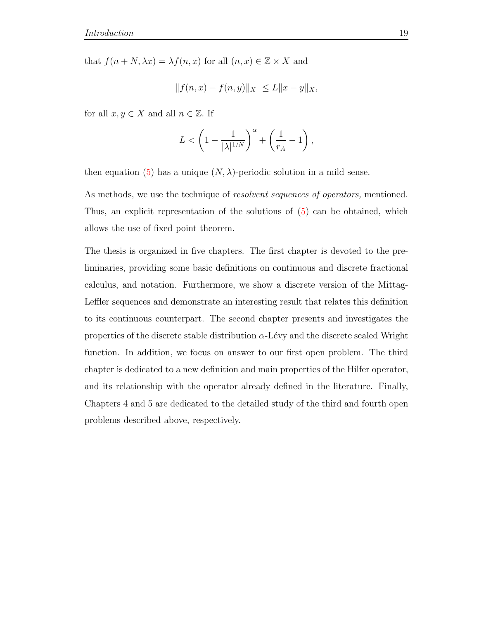that  $f(n + N, \lambda x) = \lambda f(n, x)$  for all  $(n, x) \in \mathbb{Z} \times X$  and

$$
||f(n,x) - f(n,y)||_X \le L||x - y||_X,
$$

for all  $x, y \in X$  and all  $n \in \mathbb{Z}$ . If

$$
L < \left(1 - \frac{1}{|\lambda|^{1/N}}\right)^{\alpha} + \left(\frac{1}{r_A} - 1\right),
$$

then equation [\(5\)](#page-13-1) has a unique  $(N, \lambda)$ -periodic solution in a mild sense.

As methods, we use the technique of *resolvent sequences of operators*, mentioned. Thus, an explicit representation of the solutions of [\(5\)](#page-13-1) can be obtained, which allows the use of fixed point theorem.

The thesis is organized in five chapters. The first chapter is devoted to the preliminaries, providing some basic definitions on continuous and discrete fractional calculus, and notation. Furthermore, we show a discrete version of the Mittag-Leffler sequences and demonstrate an interesting result that relates this definition to its continuous counterpart. The second chapter presents and investigates the properties of the discrete stable distribution  $\alpha$ -Lévy and the discrete scaled Wright function. In addition, we focus on answer to our first open problem. The third chapter is dedicated to a new definition and main properties of the Hilfer operator, and its relationship with the operator already defined in the literature. Finally, Chapters 4 and 5 are dedicated to the detailed study of the third and fourth open problems described above, respectively.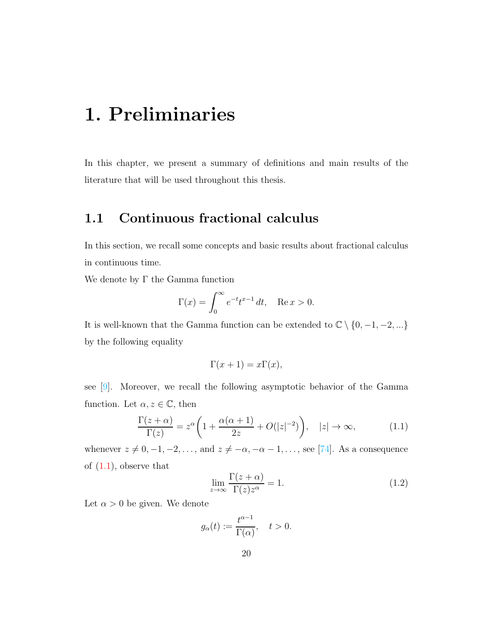## <span id="page-19-0"></span>1. Preliminaries

<span id="page-19-1"></span>In this chapter, we present a summary of definitions and main results of the literature that will be used throughout this thesis.

#### 1.1 Continuous fractional calculus

In this section, we recall some concepts and basic results about fractional calculus in continuous time.

We denote by  $\Gamma$  the Gamma function

$$
\Gamma(x) = \int_0^\infty e^{-t} t^{x-1} dt, \quad \text{Re } x > 0.
$$

It is well-known that the Gamma function can be extended to  $\mathbb{C} \setminus \{0, -1, -2, ...\}$ by the following equality

$$
\Gamma(x+1) = x\Gamma(x),
$$

see [\[9\]](#page-95-4). Moreover, we recall the following asymptotic behavior of the Gamma function. Let  $\alpha, z \in \mathbb{C}$ , then

<span id="page-19-2"></span>
$$
\frac{\Gamma(z+\alpha)}{\Gamma(z)} = z^{\alpha} \left( 1 + \frac{\alpha(\alpha+1)}{2z} + O(|z|^{-2}) \right), \quad |z| \to \infty,
$$
 (1.1)

whenever  $z \neq 0, -1, -2, \ldots$ , and  $z \neq -\alpha, -\alpha - 1, \ldots$ , see [\[74\]](#page-101-3). As a consequence of  $(1.1)$ , observe that

$$
\lim_{z \to \infty} \frac{\Gamma(z + \alpha)}{\Gamma(z) z^{\alpha}} = 1.
$$
\n(1.2)

Let  $\alpha > 0$  be given. We denote

$$
g_{\alpha}(t) := \frac{t^{\alpha - 1}}{\Gamma(\alpha)}, \quad t > 0.
$$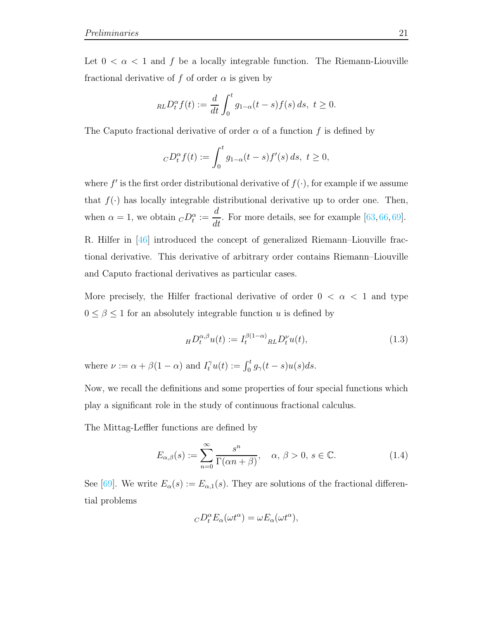Let  $0 < \alpha < 1$  and f be a locally integrable function. The Riemann-Liouville fractional derivative of f of order  $\alpha$  is given by

$$
_{RL}D_t^{\alpha}f(t) := \frac{d}{dt} \int_0^t g_{1-\alpha}(t-s)f(s) ds, \ t \ge 0.
$$

The Caputo fractional derivative of order  $\alpha$  of a function f is defined by

$$
{}_CD_t^{\alpha} f(t) := \int_0^t g_{1-\alpha}(t-s) f'(s) \, ds, \ t \ge 0,
$$

where  $f'$  is the first order distributional derivative of  $f(\cdot)$ , for example if we assume that  $f(\cdot)$  has locally integrable distributional derivative up to order one. Then, when  $\alpha = 1$ , we obtain  ${}_CD_t^{\alpha} :=$ d  $\frac{d}{dt}$ . For more details, see for example [\[63,](#page-100-5) [66,](#page-101-4) [69\]](#page-101-5). R. Hilfer in [\[46\]](#page-99-5) introduced the concept of generalized Riemann–Liouville fractional derivative. This derivative of arbitrary order contains Riemann–Liouville and Caputo fractional derivatives as particular cases.

More precisely, the Hilfer fractional derivative of order  $0 < \alpha < 1$  and type  $0 \leq \beta \leq 1$  for an absolutely integrable function u is defined by

$$
_H D_t^{\alpha,\beta} u(t) := I_t^{\beta(1-\alpha)}{}_{RL} D_t^{\nu} u(t), \qquad (1.3)
$$

where  $\nu := \alpha + \beta(1 - \alpha)$  and  $I_t^{\gamma}u(t) := \int_0^t g_{\gamma}(t - s)u(s)ds$ .

Now, we recall the definitions and some properties of four special functions which play a significant role in the study of continuous fractional calculus.

The Mittag-Leffler functions are defined by

$$
E_{\alpha,\beta}(s) := \sum_{n=0}^{\infty} \frac{s^n}{\Gamma(\alpha n + \beta)}, \quad \alpha, \beta > 0, s \in \mathbb{C}.
$$
 (1.4)

See [\[69\]](#page-101-5). We write  $E_{\alpha}(s) := E_{\alpha,1}(s)$ . They are solutions of the fractional differential problems

$$
{}_{C}D_t^{\alpha}E_{\alpha}(\omega t^{\alpha}) = \omega E_{\alpha}(\omega t^{\alpha}),
$$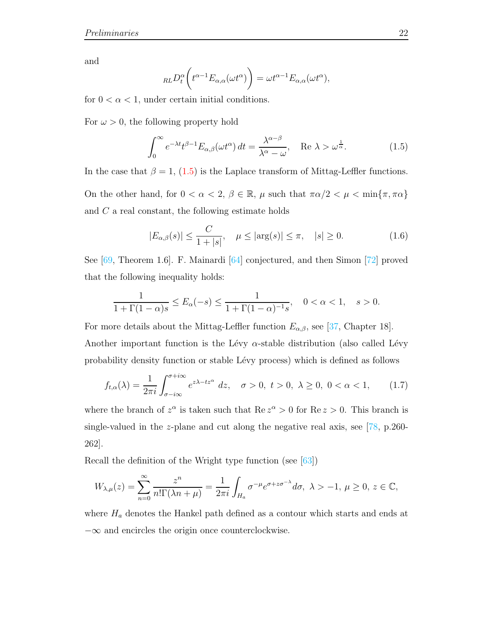and

$$
_{RL}D_t^{\alpha}\bigg(t^{\alpha-1}E_{\alpha,\alpha}(\omega t^{\alpha})\bigg)=\omega t^{\alpha-1}E_{\alpha,\alpha}(\omega t^{\alpha}),
$$

for  $0 < \alpha < 1$ , under certain initial conditions.

For  $\omega > 0$ , the following property hold

<span id="page-21-0"></span>
$$
\int_0^\infty e^{-\lambda t} t^{\beta - 1} E_{\alpha, \beta}(\omega t^\alpha) dt = \frac{\lambda^{\alpha - \beta}}{\lambda^\alpha - \omega}, \quad \text{Re } \lambda > \omega^{\frac{1}{\alpha}}.
$$
 (1.5)

In the case that  $\beta = 1$ , [\(1.5\)](#page-21-0) is the Laplace transform of Mittag-Leffler functions. On the other hand, for  $0 < \alpha < 2$ ,  $\beta \in \mathbb{R}$ ,  $\mu$  such that  $\pi \alpha/2 < \mu < \min\{\pi, \pi \alpha\}$ and  $C$  a real constant, the following estimate holds

<span id="page-21-1"></span>
$$
|E_{\alpha,\beta}(s)| \le \frac{C}{1+|s|}, \quad \mu \le |\arg(s)| \le \pi, \quad |s| \ge 0.
$$
 (1.6)

See [\[69,](#page-101-5) Theorem 1.6]. F. Mainardi [\[64\]](#page-100-6) conjectured, and then Simon [\[72\]](#page-101-6) proved that the following inequality holds:

$$
\frac{1}{1+\Gamma(1-\alpha)s} \le E_{\alpha}(-s) \le \frac{1}{1+\Gamma(1-\alpha)^{-1}s}, \quad 0 < \alpha < 1, \quad s > 0.
$$

For more details about the Mittag-Leffler function  $E_{\alpha,\beta}$ , see [\[37,](#page-98-4) Chapter 18]. Another important function is the Lévy  $\alpha$ -stable distribution (also called Lévy probability density function or stable L´evy process) which is defined as follows

$$
f_{t,\alpha}(\lambda) = \frac{1}{2\pi i} \int_{\sigma - i\infty}^{\sigma + i\infty} e^{z\lambda - tz^{\alpha}} dz, \quad \sigma > 0, \ t > 0, \ \lambda \ge 0, \ 0 < \alpha < 1, \tag{1.7}
$$

where the branch of  $z^{\alpha}$  is taken such that  $\text{Re } z^{\alpha} > 0$  for  $\text{Re } z > 0$ . This branch is single-valued in the z-plane and cut along the negative real axis, see  $[78, p.260-$ 262].

Recall the definition of the Wright type function (see [\[63\]](#page-100-5))

$$
W_{\lambda,\mu}(z) = \sum_{n=0}^{\infty} \frac{z^n}{n!\Gamma(\lambda n + \mu)} = \frac{1}{2\pi i} \int_{H_a} \sigma^{-\mu} e^{\sigma + z\sigma^{-\lambda}} d\sigma, \ \lambda > -1, \ \mu \ge 0, \ z \in \mathbb{C},
$$

where  $H_a$  denotes the Hankel path defined as a contour which starts and ends at  $-\infty$  and encircles the origin once counterclockwise.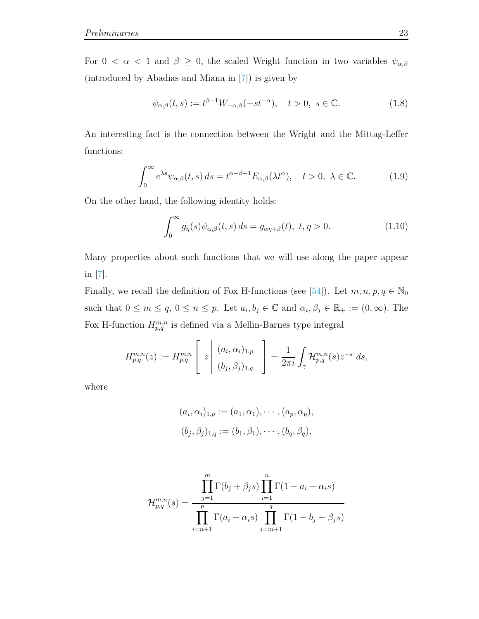For  $0 < \alpha < 1$  and  $\beta \geq 0$ , the scaled Wright function in two variables  $\psi_{\alpha,\beta}$ (introduced by Abadias and Miana in [\[7\]](#page-94-6)) is given by

$$
\psi_{\alpha,\beta}(t,s) := t^{\beta - 1} W_{-\alpha,\beta}(-st^{-\alpha}), \quad t > 0, \ s \in \mathbb{C}.
$$
 (1.8)

An interesting fact is the connection between the Wright and the Mittag-Leffer functions:

$$
\int_0^\infty e^{\lambda s} \psi_{\alpha,\beta}(t,s) \, ds = t^{\alpha+\beta-1} E_{\alpha,\beta}(\lambda t^\alpha), \quad t > 0, \ \lambda \in \mathbb{C}.\tag{1.9}
$$

On the other hand, the following identity holds:

$$
\int_0^\infty g_\eta(s)\psi_{\alpha,\beta}(t,s)\,ds = g_{\alpha\eta+\beta}(t),\ t,\eta > 0. \tag{1.10}
$$

Many properties about such functions that we will use along the paper appear in [\[7\]](#page-94-6).

Finally, we recall the definition of Fox H-functions (see [\[54\]](#page-99-7)). Let  $m, n, p, q \in \mathbb{N}_0$ such that  $0 \leq m \leq q$ ,  $0 \leq n \leq p$ . Let  $a_i, b_j \in \mathbb{C}$  and  $\alpha_i, \beta_j \in \mathbb{R}_+ := (0, \infty)$ . The Fox H-function  $H_{p,q}^{m,n}$  is defined via a Mellin-Barnes type integral

$$
H_{p,q}^{m,n}(z) := H_{p,q}^{m,n} \left[ z \mid \begin{array}{c} (a_i, \alpha_i)_{1,p} \\ (b_j, \beta_j)_{1,q} \end{array} \right] = \frac{1}{2\pi i} \int_{\gamma} \mathcal{H}_{p,q}^{m,n}(s) z^{-s} ds,
$$

where

$$
(a_i, \alpha_i)_{1,p} := (a_1, \alpha_1), \cdots, (a_p, \alpha_p),
$$
  

$$
(b_j, \beta_j)_{1,q} := (b_1, \beta_1), \cdots, (b_q, \beta_q),
$$

$$
\mathcal{H}_{p,q}^{m,n}(s) = \frac{\prod_{j=1}^{m} \Gamma(b_j + \beta_j s) \prod_{i=1}^{n} \Gamma(1 - a_i - \alpha_i s)}{\prod_{i=n+1}^{p} \Gamma(a_i + \alpha_i s) \prod_{j=m+1}^{q} \Gamma(1 - b_j - \beta_j s)}
$$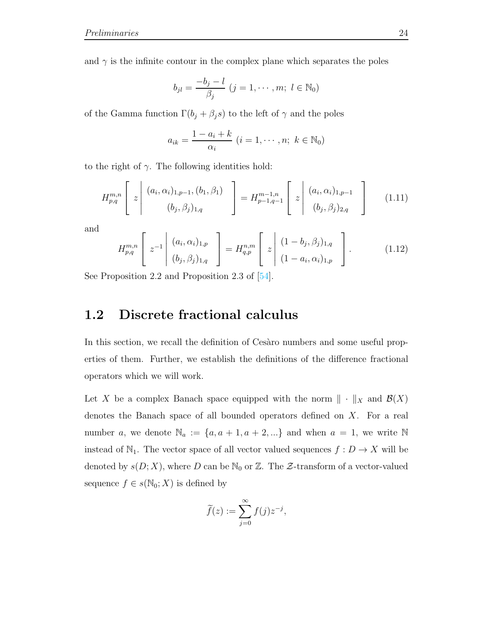and  $\gamma$  is the infinite contour in the complex plane which separates the poles

$$
b_{jl} = \frac{-b_j - l}{\beta_j} \ (j = 1, \cdots, m; \ l \in \mathbb{N}_0)
$$

of the Gamma function  $\Gamma(b_j + \beta_j s)$  to the left of  $\gamma$  and the poles

$$
a_{ik} = \frac{1 - a_i + k}{\alpha_i} \ (i = 1, \cdots, n; \ k \in \mathbb{N}_0)
$$

to the right of  $\gamma$ . The following identities hold:

$$
H_{p,q}^{m,n}\left[z\middle| (a_i,\alpha_i)_{1,p-1}, (b_1,\beta_1) \atop (b_j,\beta_j)_{1,q} \right] = H_{p-1,q-1}^{m-1,n}\left[z\middle| (a_i,\alpha_i)_{1,p-1} \atop (b_j,\beta_j)_{2,q} \right] \quad (1.11)
$$

and

$$
H_{p,q}^{m,n} \left[ z^{-1} \left| \begin{array}{c} (a_i, \alpha_i)_{1,p} \\ (b_j, \beta_j)_{1,q} \end{array} \right| = H_{q,p}^{n,m} \left[ z \left| \begin{array}{c} (1-b_j, \beta_j)_{1,q} \\ (1-a_i, \alpha_i)_{1,p} \end{array} \right| \right].
$$
 (1.12)

<span id="page-23-0"></span>See Proposition 2.2 and Proposition 2.3 of [\[54\]](#page-99-7).

#### 1.2 Discrete fractional calculus

In this section, we recall the definition of Cesaro numbers and some useful properties of them. Further, we establish the definitions of the difference fractional operators which we will work.

Let X be a complex Banach space equipped with the norm  $\| \cdot \|_X$  and  $\mathcal{B}(X)$ denotes the Banach space of all bounded operators defined on X. For a real number a, we denote  $\mathbb{N}_a := \{a, a+1, a+2, ...\}$  and when  $a = 1$ , we write  $\mathbb N$ instead of  $\mathbb{N}_1$ . The vector space of all vector valued sequences  $f: D \to X$  will be denoted by  $s(D; X)$ , where D can be  $\mathbb{N}_0$  or Z. The Z-transform of a vector-valued sequence  $f \in s(\mathbb{N}_0; X)$  is defined by

$$
\widetilde{f}(z) := \sum_{j=0}^{\infty} f(j) z^{-j},
$$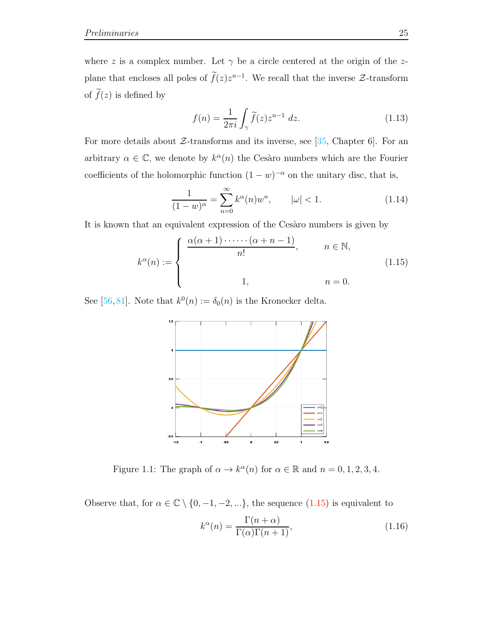where z is a complex number. Let  $\gamma$  be a circle centered at the origin of the zplane that encloses all poles of  $f(z)z^{n-1}$ . We recall that the inverse  $\mathcal{Z}\text{-transform}$ of  $\tilde{f}(z)$  is defined by

<span id="page-24-2"></span>
$$
f(n) = \frac{1}{2\pi i} \int_{\gamma} \widetilde{f}(z) z^{n-1} dz.
$$
 (1.13)

For more details about  $\mathcal{Z}$ -transforms and its inverse, see [\[35,](#page-97-3) Chapter 6]. For an arbitrary  $\alpha \in \mathbb{C}$ , we denote by  $k^{\alpha}(n)$  the Cesàro numbers which are the Fourier coefficients of the holomorphic function  $(1 - w)^{-\alpha}$  on the unitary disc, that is,

$$
\frac{1}{(1-w)^{\alpha}} = \sum_{n=0}^{\infty} k^{\alpha}(n)w^n, \qquad |\omega| < 1.
$$
 (1.14)

It is known that an equivalent expression of the Cesaro numbers is given by

<span id="page-24-1"></span>
$$
k^{\alpha}(n) := \begin{cases} \frac{\alpha(\alpha+1)\cdots(\alpha+n-1)}{n!}, & n \in \mathbb{N}, \\ 1, & n = 0. \end{cases}
$$
 (1.15)

See [\[56,](#page-100-0)[81\]](#page-102-6). Note that  $k^0(n) := \delta_0(n)$  is the Kronecker delta.



<span id="page-24-0"></span>Figure 1.1: The graph of  $\alpha \to k^{\alpha}(n)$  for  $\alpha \in \mathbb{R}$  and  $n = 0, 1, 2, 3, 4$ .

Observe that, for  $\alpha \in \mathbb{C} \setminus \{0, -1, -2, ...\}$ , the sequence  $(1.15)$  is equivalent to

<span id="page-24-3"></span>
$$
k^{\alpha}(n) = \frac{\Gamma(n+\alpha)}{\Gamma(\alpha)\Gamma(n+1)},
$$
\n(1.16)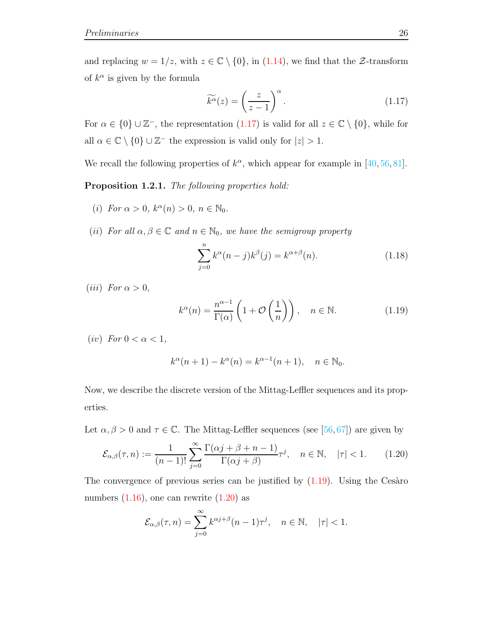and replacing  $w = 1/z$ , with  $z \in \mathbb{C} \setminus \{0\}$ , in  $(1.14)$ , we find that the *Z*-transform of  $k^{\alpha}$  is given by the formula

<span id="page-25-0"></span>
$$
\widetilde{k^{\alpha}}(z) = \left(\frac{z}{z-1}\right)^{\alpha}.
$$
\n(1.17)

For  $\alpha \in \{0\} \cup \mathbb{Z}^-$ , the representation  $(1.17)$  is valid for all  $z \in \mathbb{C} \setminus \{0\}$ , while for all  $\alpha \in \mathbb{C} \setminus \{0\} \cup \mathbb{Z}^-$  the expression is valid only for  $|z| > 1$ .

We recall the following properties of  $k^{\alpha}$ , which appear for example in [\[40,](#page-98-5) [56,](#page-100-0) [81\]](#page-102-6).

Proposition 1.2.1. The following properties hold:

- (i) For  $\alpha > 0$ ,  $k^{\alpha}(n) > 0$ ,  $n \in \mathbb{N}_0$ .
- (ii) For all  $\alpha, \beta \in \mathbb{C}$  and  $n \in \mathbb{N}_0$ , we have the semigroup property

<span id="page-25-3"></span><span id="page-25-1"></span>
$$
\sum_{j=0}^{n} k^{\alpha} (n-j) k^{\beta}(j) = k^{\alpha+\beta}(n).
$$
 (1.18)

(*iii*) For  $\alpha > 0$ ,

$$
k^{\alpha}(n) = \frac{n^{\alpha-1}}{\Gamma(\alpha)} \left( 1 + \mathcal{O}\left(\frac{1}{n}\right) \right), \quad n \in \mathbb{N}.
$$
 (1.19)

(iv) For  $0 < \alpha < 1$ ,

<span id="page-25-2"></span>
$$
k^{\alpha}(n+1) - k^{\alpha}(n) = k^{\alpha-1}(n+1), \quad n \in \mathbb{N}_0.
$$

Now, we describe the discrete version of the Mittag-Leffler sequences and its properties.

Let  $\alpha, \beta > 0$  and  $\tau \in \mathbb{C}$ . The Mittag-Leffler sequences (see [\[56,](#page-100-0)[67\]](#page-101-7)) are given by

$$
\mathcal{E}_{\alpha,\beta}(\tau,n) := \frac{1}{(n-1)!} \sum_{j=0}^{\infty} \frac{\Gamma(\alpha j + \beta + n - 1)}{\Gamma(\alpha j + \beta)} \tau^j, \quad n \in \mathbb{N}, \quad |\tau| < 1. \tag{1.20}
$$

The convergence of previous series can be justified by  $(1.19)$ . Using the Cesaro numbers  $(1.16)$ , one can rewrite  $(1.20)$  as

$$
\mathcal{E}_{\alpha,\beta}(\tau,n) = \sum_{j=0}^{\infty} k^{\alpha j + \beta} (n-1)\tau^j, \quad n \in \mathbb{N}, \quad |\tau| < 1.
$$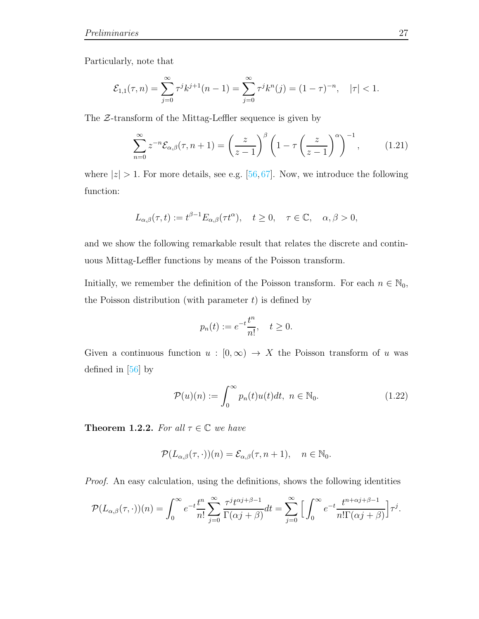Particularly, note that

$$
\mathcal{E}_{1,1}(\tau,n) = \sum_{j=0}^{\infty} \tau^j k^{j+1}(n-1) = \sum_{j=0}^{\infty} \tau^j k^n(j) = (1-\tau)^{-n}, \quad |\tau| < 1.
$$

The Z-transform of the Mittag-Leffler sequence is given by

$$
\sum_{n=0}^{\infty} z^{-n} \mathcal{E}_{\alpha,\beta}(\tau, n+1) = \left(\frac{z}{z-1}\right)^{\beta} \left(1 - \tau \left(\frac{z}{z-1}\right)^{\alpha}\right)^{-1},\tag{1.21}
$$

where  $|z| > 1$ . For more details, see e.g. [\[56,](#page-100-0)[67\]](#page-101-7). Now, we introduce the following function:

$$
L_{\alpha,\beta}(\tau,t) := t^{\beta - 1} E_{\alpha,\beta}(\tau t^{\alpha}), \quad t \ge 0, \quad \tau \in \mathbb{C}, \quad \alpha, \beta > 0,
$$

and we show the following remarkable result that relates the discrete and continuous Mittag-Leffler functions by means of the Poisson transform.

Initially, we remember the definition of the Poisson transform. For each  $n \in \mathbb{N}_0$ , the Poisson distribution (with parameter  $t$ ) is defined by

$$
p_n(t) := e^{-t} \frac{t^n}{n!}, \quad t \ge 0.
$$

Given a continuous function  $u : [0, \infty) \to X$  the Poisson transform of u was defined in  $[56]$  by

$$
\mathcal{P}(u)(n) := \int_0^\infty p_n(t)u(t)dt, \ n \in \mathbb{N}_0.
$$
\n(1.22)

**Theorem 1.2.2.** For all  $\tau \in \mathbb{C}$  we have

$$
\mathcal{P}(L_{\alpha,\beta}(\tau,\cdot))(n)=\mathcal{E}_{\alpha,\beta}(\tau,n+1),\quad n\in\mathbb{N}_0.
$$

Proof. An easy calculation, using the definitions, shows the following identities

$$
\mathcal{P}(L_{\alpha,\beta}(\tau,\cdot))(n) = \int_0^\infty e^{-t}\frac{t^n}{n!} \sum_{j=0}^\infty \frac{\tau^j t^{\alpha j+\beta-1}}{\Gamma(\alpha j+\beta)} dt = \sum_{j=0}^\infty \Big[ \int_0^\infty e^{-t} \frac{t^{n+\alpha j+\beta-1}}{n!\Gamma(\alpha j+\beta)} \Big] \tau^j.
$$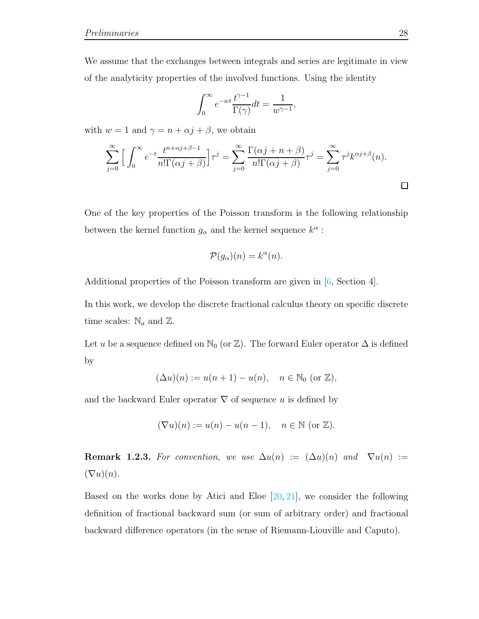We assume that the exchanges between integrals and series are legitimate in view of the analyticity properties of the involved functions. Using the identity

$$
\int_0^\infty e^{-wt} \frac{t^{\gamma - 1}}{\Gamma(\gamma)} dt = \frac{1}{w^{\gamma - 1}},
$$

with  $w = 1$  and  $\gamma = n + \alpha j + \beta$ , we obtain

$$
\sum_{j=0}^{\infty} \left[ \int_0^{\infty} e^{-t} \frac{t^{n+\alpha j+\beta-1}}{n! \Gamma(\alpha j+\beta)} \right] \tau^j = \sum_{j=0}^{\infty} \frac{\Gamma(\alpha j+n+\beta)}{n! \Gamma(\alpha j+\beta)} \tau^j = \sum_{j=0}^{\infty} \tau^j k^{\alpha j+\beta}(n).
$$

One of the key properties of the Poisson transform is the following relationship between the kernel function  $g_{\alpha}$  and the kernel sequence  $k^{\alpha}$ :

$$
\mathcal{P}(g_{\alpha})(n) = k^{\alpha}(n).
$$

Additional properties of the Poisson transform are given in [\[6,](#page-94-3) Section 4].

In this work, we develop the discrete fractional calculus theory on specific discrete time scales:  $\mathbb{N}_a$  and  $\mathbb{Z}$ .

Let u be a sequence defined on  $\mathbb{N}_0$  (or  $\mathbb{Z}$ ). The forward Euler operator  $\Delta$  is defined by

$$
(\Delta u)(n) := u(n+1) - u(n), \quad n \in \mathbb{N}_0 \text{ (or } \mathbb{Z}),
$$

and the backward Euler operator  $\nabla$  of sequence u is defined by

$$
(\nabla u)(n) := u(n) - u(n-1), \quad n \in \mathbb{N} \text{ (or } \mathbb{Z}).
$$

Remark 1.2.3. For convention, we use  $\Delta u(n) := (\Delta u)(n)$  and  $\nabla u(n) :=$  $(\nabla u)(n)$ .

Based on the works done by Atici and Eloe  $[20, 21]$  $[20, 21]$ , we consider the following definition of fractional backward sum (or sum of arbitrary order) and fractional backward difference operators (in the sense of Riemann-Liouville and Caputo).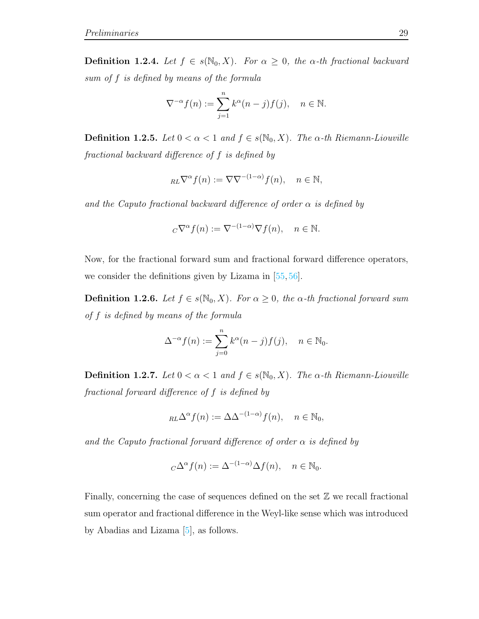**Definition 1.2.4.** Let  $f \in s(\mathbb{N}_0, X)$ . For  $\alpha \geq 0$ , the  $\alpha$ -th fractional backward sum of f is defined by means of the formula

$$
\nabla^{-\alpha} f(n) := \sum_{j=1}^{n} k^{\alpha} (n-j) f(j), \quad n \in \mathbb{N}.
$$

Definition 1.2.5. Let  $0 < \alpha < 1$  and  $f \in s(\mathbb{N}_0, X)$ . The  $\alpha$ -th Riemann-Liouville fractional backward difference of f is defined by

$$
_{RL}\nabla^{\alpha}f(n) := \nabla \nabla^{-(1-\alpha)}f(n), \quad n \in \mathbb{N},
$$

and the Caputo fractional backward difference of order  $\alpha$  is defined by

$$
{}_C\nabla^{\alpha}f(n):=\nabla^{-(1-\alpha)}\nabla f(n),\quad n\in\mathbb{N}.
$$

Now, for the fractional forward sum and fractional forward difference operators, we consider the definitions given by Lizama in [\[55,](#page-100-1) [56\]](#page-100-0).

**Definition 1.2.6.** Let  $f \in s(\mathbb{N}_0, X)$ . For  $\alpha \geq 0$ , the  $\alpha$ -th fractional forward sum of f is defined by means of the formula

$$
\Delta^{-\alpha} f(n) := \sum_{j=0}^{n} k^{\alpha} (n-j) f(j), \quad n \in \mathbb{N}_0.
$$

**Definition 1.2.7.** Let  $0 < \alpha < 1$  and  $f \in s(\mathbb{N}_0, X)$ . The  $\alpha$ -th Riemann-Liouville fractional forward difference of f is defined by

$$
_{RL}\Delta^{\alpha}f(n) := \Delta \Delta^{-(1-\alpha)}f(n), \quad n \in \mathbb{N}_0,
$$

and the Caputo fractional forward difference of order  $\alpha$  is defined by

$$
{}_C\Delta^{\alpha}f(n) := \Delta^{-(1-\alpha)}\Delta f(n), \quad n \in \mathbb{N}_0.
$$

Finally, concerning the case of sequences defined on the set  $\mathbb Z$  we recall fractional sum operator and fractional difference in the Weyl-like sense which was introduced by Abadias and Lizama [\[5\]](#page-94-2), as follows.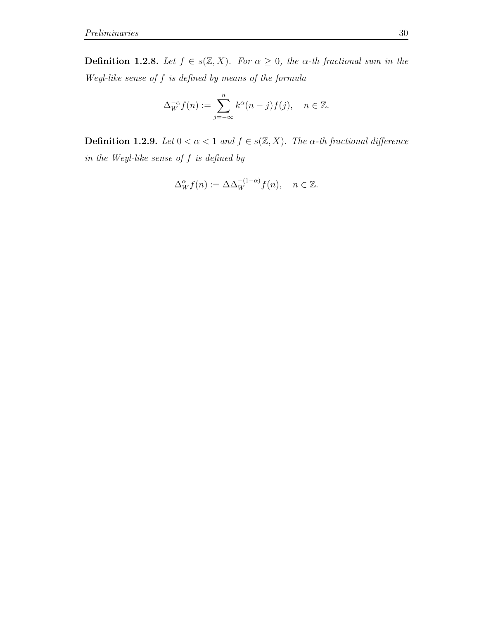**Definition 1.2.8.** Let  $f \in s(\mathbb{Z}, X)$ . For  $\alpha \geq 0$ , the  $\alpha$ -th fractional sum in the Weyl-like sense of f is defined by means of the formula

$$
\Delta_W^{-\alpha} f(n) := \sum_{j=-\infty}^n k^{\alpha} (n-j) f(j), \quad n \in \mathbb{Z}.
$$

Definition 1.2.9. Let  $0 < \alpha < 1$  and  $f \in s(\mathbb{Z}, X)$ . The  $\alpha$ -th fractional difference in the Weyl-like sense of f is defined by

$$
\Delta_W^{\alpha} f(n) := \Delta \Delta_W^{-(1-\alpha)} f(n), \quad n \in \mathbb{Z}.
$$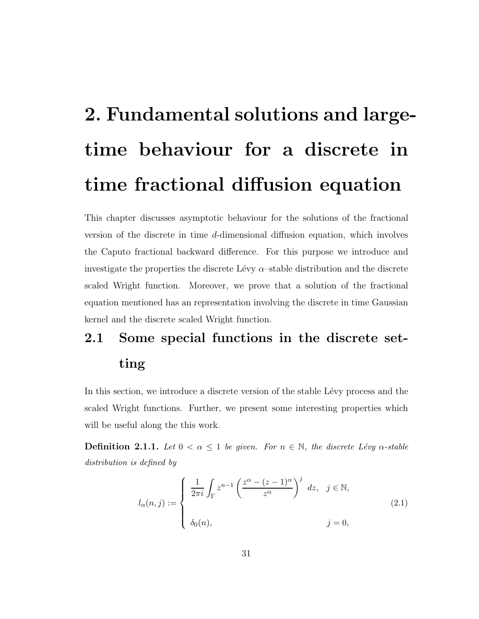# <span id="page-30-0"></span>2. Fundamental solutions and largetime behaviour for a discrete in time fractional diffusion equation

This chapter discusses asymptotic behaviour for the solutions of the fractional version of the discrete in time d-dimensional diffusion equation, which involves the Caputo fractional backward difference. For this purpose we introduce and investigate the properties the discrete Lévy  $\alpha$ –stable distribution and the discrete scaled Wright function. Moreover, we prove that a solution of the fractional equation mentioned has an representation involving the discrete in time Gaussian kernel and the discrete scaled Wright function.

## <span id="page-30-1"></span>2.1 Some special functions in the discrete setting

In this section, we introduce a discrete version of the stable Lévy process and the scaled Wright functions. Further, we present some interesting properties which will be useful along the this work.

**Definition 2.1.1.** Let  $0 < \alpha \leq 1$  be given. For  $n \in \mathbb{N}$ , the discrete Lévy  $\alpha$ -stable distribution is defined by

<span id="page-30-2"></span>
$$
l_{\alpha}(n,j) := \begin{cases} \frac{1}{2\pi i} \int_{\Gamma} z^{n-1} \left( \frac{z^{\alpha} - (z-1)^{\alpha}}{z^{\alpha}} \right)^{j} dz, & j \in \mathbb{N}, \\ 0, & j = 0, \end{cases}
$$
(2.1)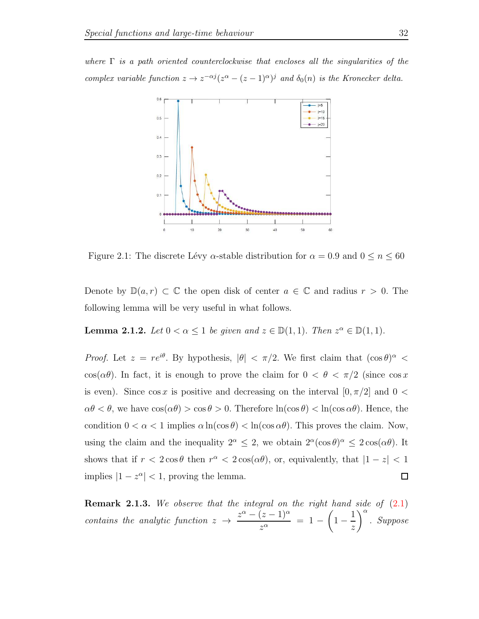where  $\Gamma$  is a path oriented counterclockwise that encloses all the singularities of the complex variable function  $z \to z^{-\alpha j} (z^{\alpha} - (z-1)^{\alpha})^j$  and  $\delta_0(n)$  is the Kronecker delta.



<span id="page-31-0"></span>Figure 2.1: The discrete Lévy  $\alpha$ -stable distribution for  $\alpha = 0.9$  and  $0 \le n \le 60$ 

Denote by  $\mathbb{D}(a,r) \subset \mathbb{C}$  the open disk of center  $a \in \mathbb{C}$  and radius  $r > 0$ . The following lemma will be very useful in what follows.

**Lemma 2.1.2.** Let  $0 < \alpha \leq 1$  be given and  $z \in \mathbb{D}(1,1)$ . Then  $z^{\alpha} \in \mathbb{D}(1,1)$ .

*Proof.* Let  $z = re^{i\theta}$ . By hypothesis,  $|\theta| < \pi/2$ . We first claim that  $(\cos \theta)^{\alpha} <$ cos( $\alpha\theta$ ). In fact, it is enough to prove the claim for  $0 < \theta < \pi/2$  (since cos x is even). Since  $\cos x$  is positive and decreasing on the interval  $[0, \pi/2]$  and  $0 <$  $\alpha\theta < \theta$ , we have  $\cos(\alpha\theta) > \cos\theta > 0$ . Therefore  $\ln(\cos\theta) < \ln(\cos\alpha\theta)$ . Hence, the condition  $0 < \alpha < 1$  implies  $\alpha \ln(\cos \theta) < \ln(\cos \alpha \theta)$ . This proves the claim. Now, using the claim and the inequality  $2^{\alpha} \leq 2$ , we obtain  $2^{\alpha} (\cos \theta)^{\alpha} \leq 2 \cos(\alpha \theta)$ . It shows that if  $r < 2 \cos \theta$  then  $r^{\alpha} < 2 \cos(\alpha \theta)$ , or, equivalently, that  $|1 - z| < 1$ implies  $|1 - z^{\alpha}| < 1$ , proving the lemma.  $\Box$ 

<span id="page-31-1"></span>**Remark 2.1.3.** We observe that the integral on the right hand side of  $(2.1)$ contains the analytic function  $z \rightarrow$  $z^{\alpha} - (z-1)^{\alpha}$  $\frac{(x-1)}{z^{\alpha}} = 1 \sqrt{ }$ 1 − 1 z  $\setminus^{\alpha}$ . Suppose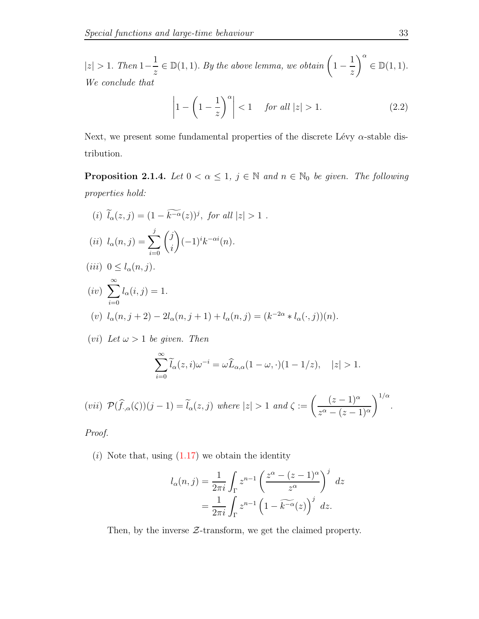$|z| > 1$ . Then 1– 1  $\frac{1}{z} \in \mathbb{D}(1,1)$ . By the above lemma, we obtain  $\bigg(1-\frac{1}{z}\bigg)$ 1 z  $\setminus^{\alpha}$  $\in \mathbb{D}(1,1)$ . We conclude that

$$
\left|1 - \left(1 - \frac{1}{z}\right)^{\alpha}\right| < 1 \quad \text{for all } |z| > 1. \tag{2.2}
$$

Next, we present some fundamental properties of the discrete Lévy  $\alpha$ -stable distribution.

**Proposition 2.1.4.** Let  $0 < \alpha \leq 1$ ,  $j \in \mathbb{N}$  and  $n \in \mathbb{N}_0$  be given. The following properties hold:

(i) 
$$
\tilde{l}_{\alpha}(z, j) = (1 - \widetilde{k^{-\alpha}}(z))^j
$$
, for all  $|z| > 1$ .  
\n(ii)  $l_{\alpha}(n, j) = \sum_{i=0}^j {j \choose i} (-1)^i k^{-\alpha i}(n)$ .  
\n(iii)  $0 \le l_{\alpha}(n, j)$ .

$$
(iv) \sum_{i=0}^{\infty} l_{\alpha}(i, j) = 1.
$$
  

$$
(v) l_{\alpha}(n, j+2) - 2l_{\alpha}(n, j+1) + l_{\alpha}(n, j) = (k^{-2\alpha} * l_{\alpha}(\cdot, j))(n).
$$

(*vi*) Let  $\omega > 1$  be given. Then

$$
\sum_{i=0}^{\infty} \widetilde{l}_{\alpha}(z,i)\omega^{-i} = \omega \widehat{L}_{\alpha,\alpha}(1-\omega,\cdot)(1-1/z), \quad |z| > 1.
$$

$$
(vii) \ \mathcal{P}(\widehat{f}_{\cdot,\alpha}(\zeta))(j-1) = \widetilde{l}_{\alpha}(z,j) \ \text{where} \ |z| > 1 \ \text{and} \ \zeta := \left(\frac{(z-1)^{\alpha}}{z^{\alpha} - (z-1)^{\alpha}}\right)^{1/\alpha}.
$$

Proof.

 $(i)$  Note that, using  $(1.17)$  we obtain the identity

$$
l_{\alpha}(n,j) = \frac{1}{2\pi i} \int_{\Gamma} z^{n-1} \left( \frac{z^{\alpha} - (z-1)^{\alpha}}{z^{\alpha}} \right)^{j} dz
$$
  
= 
$$
\frac{1}{2\pi i} \int_{\Gamma} z^{n-1} \left( 1 - \widetilde{k^{-\alpha}}(z) \right)^{j} dz.
$$

Then, by the inverse  $\mathcal{Z}\text{-transform}$ , we get the claimed property.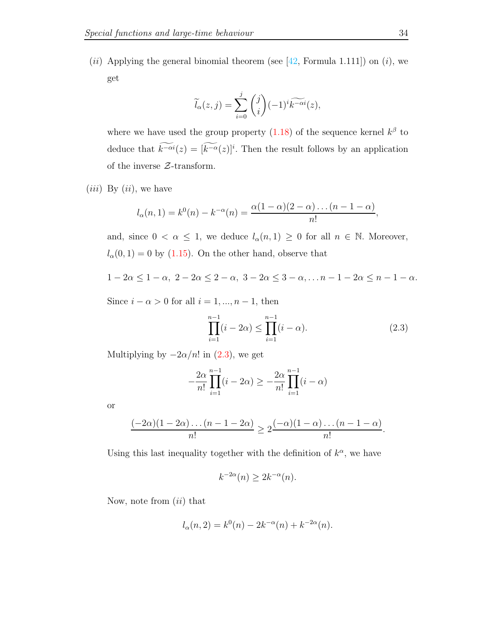(*ii*) Applying the general binomial theorem (see  $[42,$  Formula 1.111]) on (*i*), we get

$$
\widetilde{l}_{\alpha}(z,j) = \sum_{i=0}^{j} {j \choose i} (-1)^{i} \widetilde{k^{-\alpha i}}(z),
$$

where we have used the group property  $(1.18)$  of the sequence kernel  $k^{\beta}$  to deduce that  $k^{-\alpha i}(z) = [k^{-\alpha}(z)]^i$ . Then the result follows by an application of the inverse  $Z$ -transform.

 $(iii)$  By  $(ii)$ , we have

$$
l_{\alpha}(n,1)=k^{0}(n)-k^{-\alpha}(n)=\frac{\alpha(1-\alpha)(2-\alpha)...(n-1-\alpha)}{n!},
$$

and, since  $0 < \alpha \leq 1$ , we deduce  $l_{\alpha}(n, 1) \geq 0$  for all  $n \in \mathbb{N}$ . Moreover,  $l_{\alpha}(0, 1) = 0$  by [\(1.15\)](#page-24-1). On the other hand, observe that

$$
1 - 2\alpha \le 1 - \alpha, \ 2 - 2\alpha \le 2 - \alpha, \ 3 - 2\alpha \le 3 - \alpha, \dots n - 1 - 2\alpha \le n - 1 - \alpha.
$$

Since  $i - \alpha > 0$  for all  $i = 1, ..., n - 1$ , then

<span id="page-33-0"></span>
$$
\prod_{i=1}^{n-1} (i - 2\alpha) \le \prod_{i=1}^{n-1} (i - \alpha).
$$
 (2.3)

Multiplying by  $-2\alpha/n!$  in [\(2.3\)](#page-33-0), we get

$$
-\frac{2\alpha}{n!} \prod_{i=1}^{n-1} (i - 2\alpha) \ge -\frac{2\alpha}{n!} \prod_{i=1}^{n-1} (i - \alpha)
$$

or

$$
\frac{(-2\alpha)(1-2\alpha)\dots(n-1-2\alpha)}{n!} \ge 2\frac{(-\alpha)(1-\alpha)\dots(n-1-\alpha)}{n!}.
$$

Using this last inequality together with the definition of  $k^{\alpha}$ , we have

$$
k^{-2\alpha}(n) \ge 2k^{-\alpha}(n).
$$

Now, note from  $(ii)$  that

$$
l_{\alpha}(n,2) = k^{0}(n) - 2k^{-\alpha}(n) + k^{-2\alpha}(n).
$$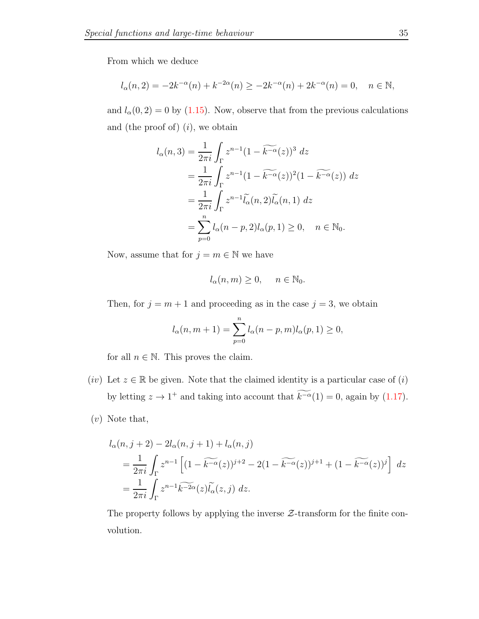From which we deduce

$$
l_{\alpha}(n,2) = -2k^{-\alpha}(n) + k^{-2\alpha}(n) \ge -2k^{-\alpha}(n) + 2k^{-\alpha}(n) = 0, \quad n \in \mathbb{N},
$$

and  $l_{\alpha}(0, 2) = 0$  by [\(1.15\)](#page-24-1). Now, observe that from the previous calculations and (the proof of)  $(i)$ , we obtain

$$
l_{\alpha}(n,3) = \frac{1}{2\pi i} \int_{\Gamma} z^{n-1} (1 - \widetilde{k^{-\alpha}}(z))^3 dz
$$
  
= 
$$
\frac{1}{2\pi i} \int_{\Gamma} z^{n-1} (1 - \widetilde{k^{-\alpha}}(z))^2 (1 - \widetilde{k^{-\alpha}}(z)) dz
$$
  
= 
$$
\frac{1}{2\pi i} \int_{\Gamma} z^{n-1} \widetilde{l_{\alpha}}(n,2) \widetilde{l_{\alpha}}(n,1) dz
$$
  
= 
$$
\sum_{p=0}^n l_{\alpha}(n-p,2) l_{\alpha}(p,1) \ge 0, \quad n \in \mathbb{N}_0.
$$

Now, assume that for  $j = m \in \mathbb{N}$  we have

$$
l_{\alpha}(n,m) \ge 0, \quad n \in \mathbb{N}_0.
$$

Then, for  $j = m + 1$  and proceeding as in the case  $j = 3$ , we obtain

$$
l_{\alpha}(n, m + 1) = \sum_{p=0}^{n} l_{\alpha}(n - p, m)l_{\alpha}(p, 1) \ge 0,
$$

for all  $n \in \mathbb{N}$ . This proves the claim.

- (iv) Let  $z \in \mathbb{R}$  be given. Note that the claimed identity is a particular case of (i) by letting  $z \to 1^+$  and taking into account that  $k^{-\alpha}(1) = 0$ , again by [\(1.17\)](#page-25-0).
- (v) Note that,

$$
l_{\alpha}(n,j+2) - 2l_{\alpha}(n,j+1) + l_{\alpha}(n,j)
$$
  
= 
$$
\frac{1}{2\pi i} \int_{\Gamma} z^{n-1} \left[ (1 - \widetilde{k^{-\alpha}}(z))^{j+2} - 2(1 - \widetilde{k^{-\alpha}}(z))^{j+1} + (1 - \widetilde{k^{-\alpha}}(z))^{j} \right] dz
$$
  
= 
$$
\frac{1}{2\pi i} \int_{\Gamma} z^{n-1} \widetilde{k^{-2\alpha}}(z) \widetilde{l_{\alpha}}(z,j) dz.
$$

The property follows by applying the inverse  $\mathcal{Z}\text{-transform}$  for the finite convolution.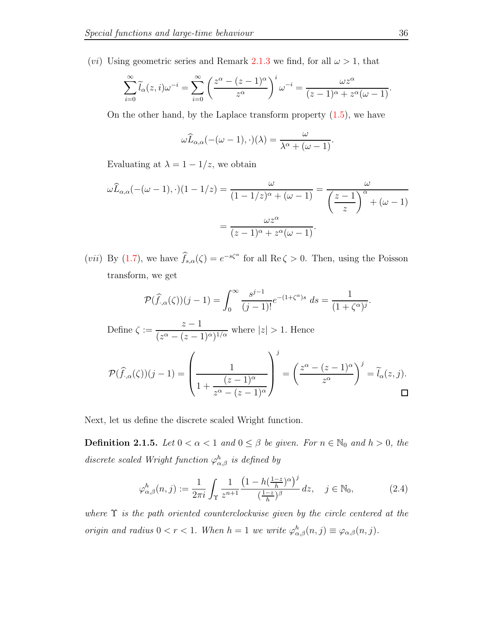(*vi*) Using geometric series and Remark [2.1.3](#page-31-1) we find, for all  $\omega > 1$ , that

$$
\sum_{i=0}^{\infty} \widetilde{l}_{\alpha}(z,i)\omega^{-i} = \sum_{i=0}^{\infty} \left(\frac{z^{\alpha} - (z-1)^{\alpha}}{z^{\alpha}}\right)^{i} \omega^{-i} = \frac{\omega z^{\alpha}}{(z-1)^{\alpha} + z^{\alpha}(\omega - 1)}.
$$

On the other hand, by the Laplace transform property [\(1.5\)](#page-21-0), we have

$$
\omega \widehat{L}_{\alpha,\alpha}(-(\omega - 1), \cdot)(\lambda) = \frac{\omega}{\lambda^{\alpha} + (\omega - 1)}.
$$

Evaluating at  $\lambda = 1 - 1/z$ , we obtain

$$
\omega \widehat{L}_{\alpha,\alpha}(-(\omega - 1), \cdot)(1 - 1/z) = \frac{\omega}{(1 - 1/z)^{\alpha} + (\omega - 1)} = \frac{\omega}{\left(\frac{z - 1}{z}\right)^{\alpha} + (\omega - 1)}
$$

$$
= \frac{\omega z^{\alpha}}{(z - 1)^{\alpha} + z^{\alpha}(\omega - 1)}.
$$

(*vii*) By [\(1.7\)](#page-21-1), we have  $\hat{f}_{s,\alpha}(\zeta) = e^{-s\zeta^{\alpha}}$  for all Re  $\zeta > 0$ . Then, using the Poisson transform, we get

$$
\mathcal{P}(\widehat{f}_{,\alpha}(\zeta))(j-1) = \int_0^\infty \frac{s^{j-1}}{(j-1)!} e^{-(1+\zeta^{\alpha})s} \ ds = \frac{1}{(1+\zeta^{\alpha})^j}
$$

Define  $\zeta := \frac{z-1}{\sqrt{z-1}}$  $\frac{z}{(z^{\alpha}-(z-1)^{\alpha})^{1/\alpha}}$  where  $|z|>1$ . Hence

$$
\mathcal{P}(\widehat{f}_{,\alpha}(\zeta))(j-1) = \left(\frac{1}{1 + \frac{(z-1)^{\alpha}}{z^{\alpha} - (z-1)^{\alpha}}}\right)^{j} = \left(\frac{z^{\alpha} - (z-1)^{\alpha}}{z^{\alpha}}\right)^{j} = \widetilde{l}_{\alpha}(z,j).
$$

Next, let us define the discrete scaled Wright function.

**Definition 2.1.5.** Let  $0 < \alpha < 1$  and  $0 \le \beta$  be given. For  $n \in \mathbb{N}_0$  and  $h > 0$ , the discrete scaled Wright function  $\varphi_{\alpha,\beta}^h$  is defined by

$$
\varphi_{\alpha,\beta}^h(n,j) := \frac{1}{2\pi i} \int_{\Upsilon} \frac{1}{z^{n+1}} \frac{\left(1 - h\left(\frac{1-z}{h}\right)^{\alpha}\right)^j}{\left(\frac{1-z}{h}\right)^{\beta}} dz, \quad j \in \mathbb{N}_0,
$$
\n(2.4)

where  $\Upsilon$  is the path oriented counterclockwise given by the circle centered at the origin and radius  $0 < r < 1$ . When  $h = 1$  we write  $\varphi_{\alpha,\beta}^h(n,j) \equiv \varphi_{\alpha,\beta}(n,j)$ .

.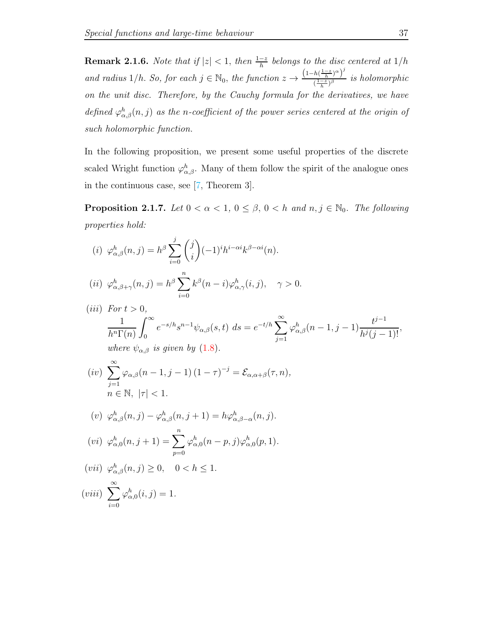**Remark 2.1.6.** Note that if  $|z| < 1$ , then  $\frac{1-z}{h}$  belongs to the disc centered at  $1/h$ and radius 1/h. So, for each  $j \in \mathbb{N}_0$ , the function  $z \to \frac{\left(1-h(\frac{1-z}{h})^{\alpha}\right)^j}{\left(\frac{1-z}{h}\right)^{\beta}}$  $\frac{(\frac{h}{h})^{\beta}}{(\frac{1-z}{h})^{\beta}}$  is holomorphic on the unit disc. Therefore, by the Cauchy formula for the derivatives, we have defined  $\varphi_{\alpha,\beta}^h(n,j)$  as the n-coefficient of the power series centered at the origin of such holomorphic function.

In the following proposition, we present some useful properties of the discrete scaled Wright function  $\varphi_{\alpha,\beta}^h$ . Many of them follow the spirit of the analogue ones in the continuous case, see [\[7,](#page-94-0) Theorem 3].

<span id="page-36-0"></span>**Proposition 2.1.7.** Let  $0 < \alpha < 1$ ,  $0 \leq \beta$ ,  $0 < h$  and  $n, j \in \mathbb{N}_0$ . The following properties hold:

(i) 
$$
\varphi_{\alpha,\beta}^h(n,j) = h^{\beta} \sum_{i=0}^j \binom{j}{i} (-1)^i h^{i-\alpha i} k^{\beta-\alpha i} (n).
$$
  
\n(ii)  $\varphi_{\alpha}^h$ ,  $(n, i) = h^{\beta} \sum_{i=0}^n k^{\beta} (n-i) \varphi_{\alpha}^h$ ,  $(i, i) = \alpha$ 

$$
(ii) \ \varphi_{\alpha,\beta+\gamma}^{h}(n,j) = h^{\beta} \sum_{i=0} k^{\beta} (n-i) \varphi_{\alpha,\gamma}^{h}(i,j), \quad \gamma > 0.
$$

(*iii*) For  $t > 0$ , 1  $h^n\Gamma(n)$  $\int^{\infty}$ 0  $e^{-s/h} s^{n-1} \psi_{\alpha,\beta}(s,t) ds = e^{-t/h} \sum_{n=0}^{\infty}$  $j=1$  $\varphi_{\alpha,\beta}^h(n-1,j-1)\frac{t^{j-1}}{h^j(i-1)}$  $\frac{v}{h^j(j-1)!}$ where  $\psi_{\alpha,\beta}$  is given by [\(1.8\)](#page-22-0).

$$
(iv) \sum_{\substack{j=1 \ n \in \mathbb{N}, \ |\tau| < 1}}^{\infty} \varphi_{\alpha,\beta}(n-1,j-1) (1-\tau)^{-j} = \mathcal{E}_{\alpha,\alpha+\beta}(\tau,n),
$$

$$
\begin{aligned} (v) \ \varphi_{\alpha,\beta}^h(n,j) - \varphi_{\alpha,\beta}^h(n,j+1) &= h\varphi_{\alpha,\beta-\alpha}^h(n,j).\\ (vi) \ \varphi_{\alpha,0}^h(n,j+1) &= \sum_{j=1}^n \varphi_{\alpha,0}^h(n-p,j)\varphi_{\alpha,0}^h(p,1) \end{aligned}
$$

$$
(vi) \varphi_{\alpha,0}^{h}(n,j+1) = \sum_{p=0} \varphi_{\alpha,0}^{h}(n-p,j)\varphi_{\alpha,0}^{h}(p,1).
$$

$$
(vii) \ \varphi_{\alpha,\beta}^h(n,j) \ge 0, \quad 0 < h \le 1.
$$

$$
(viii) \sum_{i=0}^{\infty} \varphi_{\alpha,0}^{h}(i,j) = 1.
$$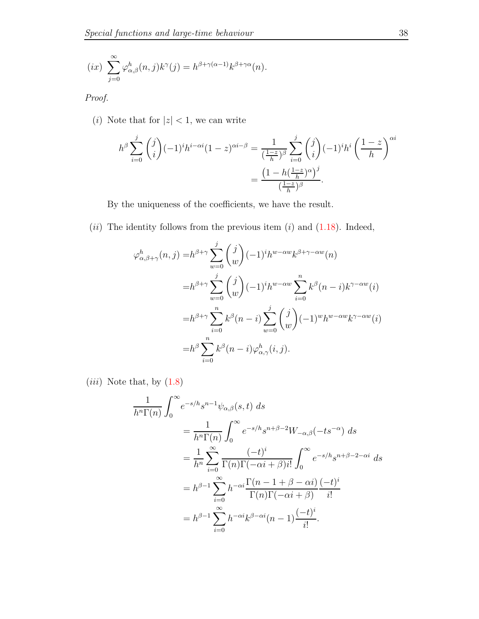$$
(ix)\ \sum_{j=0}^{\infty}\varphi_{\alpha,\beta}^{h}(n,j)k^{\gamma}(j)=h^{\beta+\gamma(\alpha-1)}k^{\beta+\gamma\alpha}(n).
$$

Proof.

(*i*) Note that for  $|z| < 1$ , we can write

$$
h^{\beta} \sum_{i=0}^{j} {j \choose i} (-1)^{i} h^{i-\alpha i} (1-z)^{\alpha i-\beta} = \frac{1}{\left(\frac{1-z}{h}\right)^{\beta}} \sum_{i=0}^{j} {j \choose i} (-1)^{i} h^{i} \left(\frac{1-z}{h}\right)^{\alpha i}
$$

$$
= \frac{\left(1 - h\left(\frac{1-z}{h}\right)^{\alpha}\right)^{j}}{\left(\frac{1-z}{h}\right)^{\beta}}.
$$

By the uniqueness of the coefficients, we have the result.

(ii) The identity follows from the previous item  $(i)$  and  $(1.18)$ . Indeed,

$$
\varphi_{\alpha,\beta+\gamma}^{h}(n,j) = h^{\beta+\gamma} \sum_{w=0}^{j} {j \choose w} (-1)^{i} h^{w-\alpha w} k^{\beta+\gamma-\alpha w}(n)
$$
  

$$
= h^{\beta+\gamma} \sum_{w=0}^{j} {j \choose w} (-1)^{i} h^{w-\alpha w} \sum_{i=0}^{n} k^{\beta} (n-i) k^{\gamma-\alpha w}(i)
$$
  

$$
= h^{\beta+\gamma} \sum_{i=0}^{n} k^{\beta} (n-i) \sum_{w=0}^{j} {j \choose w} (-1)^{w} h^{w-\alpha w} k^{\gamma-\alpha w}(i)
$$
  

$$
= h^{\beta} \sum_{i=0}^{n} k^{\beta} (n-i) \varphi_{\alpha,\gamma}^{h}(i,j).
$$

 $(iii)$  Note that, by  $(1.8)$ 

$$
\frac{1}{h^{n}\Gamma(n)} \int_{0}^{\infty} e^{-s/h} s^{n-1} \psi_{\alpha,\beta}(s,t) ds
$$
\n
$$
= \frac{1}{h^{n}\Gamma(n)} \int_{0}^{\infty} e^{-s/h} s^{n+\beta-2} W_{-\alpha,\beta}(-ts^{-\alpha}) ds
$$
\n
$$
= \frac{1}{h^{n}} \sum_{i=0}^{\infty} \frac{(-t)^{i}}{\Gamma(n)\Gamma(-\alpha i+\beta)i!} \int_{0}^{\infty} e^{-s/h} s^{n+\beta-2-\alpha i} ds
$$
\n
$$
= h^{\beta-1} \sum_{i=0}^{\infty} h^{-\alpha i} \frac{\Gamma(n-1+\beta-\alpha i)}{\Gamma(n)\Gamma(-\alpha i+\beta)} \frac{(-t)^{i}}{i!}
$$
\n
$$
= h^{\beta-1} \sum_{i=0}^{\infty} h^{-\alpha i} k^{\beta-\alpha i} (n-1) \frac{(-t)^{i}}{i!}.
$$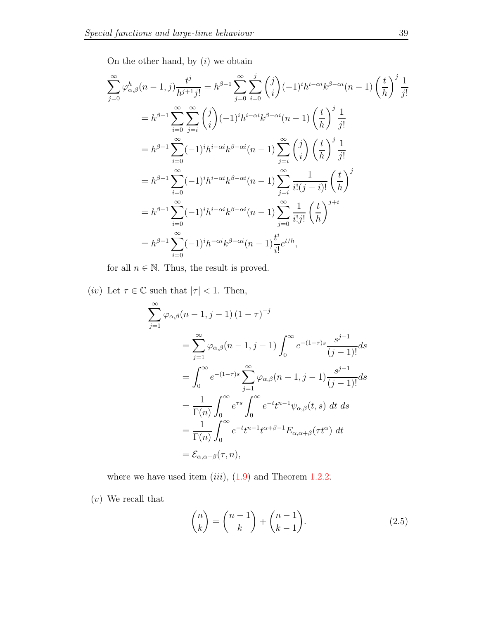On the other hand, by  $(i)$  we obtain

$$
\sum_{j=0}^{\infty} \varphi_{\alpha,\beta}^{h}(n-1,j) \frac{t^{j}}{h^{j+1}j!} = h^{\beta-1} \sum_{j=0}^{\infty} \sum_{i=0}^{j} {j \choose i} (-1)^{i} h^{i-\alpha i} k^{\beta-\alpha i} (n-1) \left(\frac{t}{h}\right)^{j} \frac{1}{j!}
$$
  
\n
$$
= h^{\beta-1} \sum_{i=0}^{\infty} \sum_{j=i}^{\infty} {j \choose i} (-1)^{i} h^{i-\alpha i} k^{\beta-\alpha i} (n-1) \left(\frac{t}{h}\right)^{j} \frac{1}{j!}
$$
  
\n
$$
= h^{\beta-1} \sum_{i=0}^{\infty} (-1)^{i} h^{i-\alpha i} k^{\beta-\alpha i} (n-1) \sum_{j=i}^{\infty} {j \choose i} \left(\frac{t}{h}\right)^{j} \frac{1}{j!}
$$
  
\n
$$
= h^{\beta-1} \sum_{i=0}^{\infty} (-1)^{i} h^{i-\alpha i} k^{\beta-\alpha i} (n-1) \sum_{j=i}^{\infty} \frac{1}{i! (j-i)!} \left(\frac{t}{h}\right)^{j}
$$
  
\n
$$
= h^{\beta-1} \sum_{i=0}^{\infty} (-1)^{i} h^{i-\alpha i} k^{\beta-\alpha i} (n-1) \sum_{j=0}^{\infty} \frac{1}{i! j!} \left(\frac{t}{h}\right)^{j+i}
$$
  
\n
$$
= h^{\beta-1} \sum_{i=0}^{\infty} (-1)^{i} h^{-\alpha i} k^{\beta-\alpha i} (n-1) \frac{t^{i}}{i!} e^{t/h},
$$

for all  $n \in \mathbb{N}$ . Thus, the result is proved.

(*iv*) Let  $\tau \in \mathbb{C}$  such that  $|\tau| < 1$ . Then,

$$
\sum_{j=1}^{\infty} \varphi_{\alpha,\beta}(n-1,j-1) (1-\tau)^{-j}
$$
\n
$$
= \sum_{j=1}^{\infty} \varphi_{\alpha,\beta}(n-1,j-1) \int_{0}^{\infty} e^{-(1-\tau)s} \frac{s^{j-1}}{(j-1)!} ds
$$
\n
$$
= \int_{0}^{\infty} e^{-(1-\tau)s} \sum_{j=1}^{\infty} \varphi_{\alpha,\beta}(n-1,j-1) \frac{s^{j-1}}{(j-1)!} ds
$$
\n
$$
= \frac{1}{\Gamma(n)} \int_{0}^{\infty} e^{\tau s} \int_{0}^{\infty} e^{-t} t^{n-1} \psi_{\alpha,\beta}(t,s) dt ds
$$
\n
$$
= \frac{1}{\Gamma(n)} \int_{0}^{\infty} e^{-t} t^{n-1} t^{\alpha+\beta-1} E_{\alpha,\alpha+\beta}(\tau t^{\alpha}) dt
$$
\n
$$
= \mathcal{E}_{\alpha,\alpha+\beta}(\tau, n),
$$

where we have used item  $(iii)$ ,  $(1.9)$  and Theorem [1.2.2.](#page-26-0)

(v) We recall that

<span id="page-38-0"></span>
$$
\binom{n}{k} = \binom{n-1}{k} + \binom{n-1}{k-1}.
$$
\n(2.5)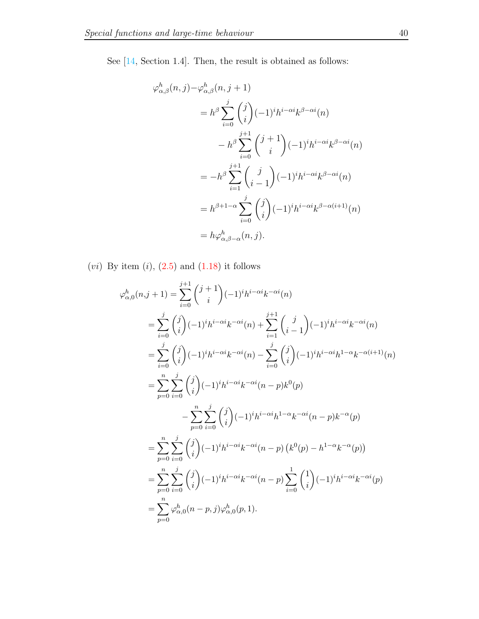See  $[14, Section 1.4]$ . Then, the result is obtained as follows:

$$
\varphi_{\alpha,\beta}^{h}(n,j) - \varphi_{\alpha,\beta}^{h}(n,j+1)
$$
  
=  $h^{\beta} \sum_{i=0}^{j} {j \choose i} (-1)^{i} h^{i-\alpha i} k^{\beta-\alpha i}(n)$   
 $- h^{\beta} \sum_{i=0}^{j+1} {j+1 \choose i} (-1)^{i} h^{i-\alpha i} k^{\beta-\alpha i}(n)$   
=  $-h^{\beta} \sum_{i=1}^{j+1} {j \choose i-1} (-1)^{i} h^{i-\alpha i} k^{\beta-\alpha i}(n)$   
=  $h^{\beta+1-\alpha} \sum_{i=0}^{j} {j \choose i} (-1)^{i} h^{i-\alpha i} k^{\beta-\alpha(i+1)}(n)$   
=  $h \varphi_{\alpha,\beta-\alpha}^{h}(n,j).$ 

 $(vi)$  By item  $(i)$ ,  $(2.5)$  and  $(1.18)$  it follows

$$
\varphi_{\alpha,0}^{h}(n,j+1) = \sum_{i=0}^{j+1} {j+1 \choose i} (-1)^{i} h^{i-\alpha i} k^{-\alpha i} (n)
$$
  
\n
$$
= \sum_{i=0}^{j} {j \choose i} (-1)^{i} h^{i-\alpha i} k^{-\alpha i} (n) + \sum_{i=1}^{j+1} {j \choose i} (-1)^{i} h^{i-\alpha i} k^{-\alpha i} (n)
$$
  
\n
$$
= \sum_{i=0}^{j} {j \choose i} (-1)^{i} h^{i-\alpha i} k^{-\alpha i} (n) - \sum_{i=0}^{j} {j \choose i} (-1)^{i} h^{i-\alpha i} h^{1-\alpha} k^{-\alpha (i+1)} (n)
$$
  
\n
$$
= \sum_{p=0}^{n} \sum_{i=0}^{j} {j \choose i} (-1)^{i} h^{i-\alpha i} k^{-\alpha i} (n-p) k^{0} (p)
$$
  
\n
$$
- \sum_{p=0}^{n} \sum_{i=0}^{j} {j \choose i} (-1)^{i} h^{i-\alpha i} h^{1-\alpha} k^{-\alpha i} (n-p) k^{-\alpha} (p)
$$
  
\n
$$
= \sum_{p=0}^{n} \sum_{i=0}^{j} {j \choose i} (-1)^{i} h^{i-\alpha i} k^{-\alpha i} (n-p) (k^{0} (p) - h^{1-\alpha} k^{-\alpha} (p))
$$
  
\n
$$
= \sum_{p=0}^{n} \sum_{i=0}^{j} {j \choose i} (-1)^{i} h^{i-\alpha i} k^{-\alpha i} (n-p) \sum_{i=0}^{1} {1 \choose i} (-1)^{i} h^{i-\alpha i} k^{-\alpha i} (p)
$$
  
\n
$$
= \sum_{p=0}^{n} \varphi_{\alpha,0}^{h} (n-p, j) \varphi_{\alpha,0}^{h} (p, 1).
$$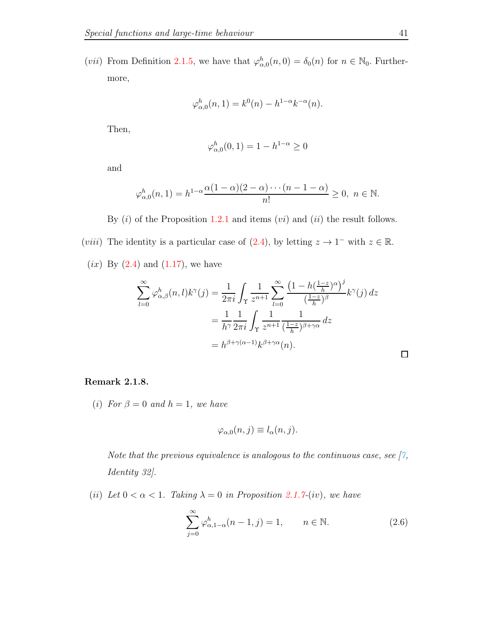(*vii*) From Definition [2.1.5,](#page-35-0) we have that  $\varphi_{\alpha,0}^h(n,0) = \delta_0(n)$  for  $n \in \mathbb{N}_0$ . Furthermore,

$$
\varphi_{\alpha,0}^h(n,1) = k^0(n) - h^{1-\alpha} k^{-\alpha}(n).
$$

Then,

$$
\varphi_{\alpha,0}^h(0,1) = 1 - h^{1-\alpha} \ge 0
$$

and

$$
\varphi_{\alpha,0}^h(n,1) = h^{1-\alpha} \frac{\alpha(1-\alpha)(2-\alpha)\cdots(n-1-\alpha)}{n!} \ge 0, \ n \in \mathbb{N}.
$$

By  $(i)$  of the Proposition [1.2.1](#page-25-1) and items  $(vi)$  and  $(ii)$  the result follows.

(*viii*) The identity is a particular case of [\(2.4\)](#page-35-1), by letting  $z \to 1^-$  with  $z \in \mathbb{R}$ .

 $(ix)$  By  $(2.4)$  and  $(1.17)$ , we have

$$
\sum_{l=0}^{\infty} \varphi_{\alpha,\beta}^{h}(n,l) k^{\gamma}(j) = \frac{1}{2\pi i} \int_{\Upsilon} \frac{1}{z^{n+1}} \sum_{l=0}^{\infty} \frac{\left(1 - h\left(\frac{1-z}{h}\right)^{\alpha}\right)^{j}}{\left(\frac{1-z}{h}\right)^{\beta}} k^{\gamma}(j) dz
$$

$$
= \frac{1}{h^{\gamma}} \frac{1}{2\pi i} \int_{\Upsilon} \frac{1}{z^{n+1}} \frac{1}{\left(\frac{1-z}{h}\right)^{\beta + \gamma \alpha}} dz
$$

$$
= h^{\beta + \gamma(\alpha - 1)} k^{\beta + \gamma \alpha}(n).
$$

#### Remark 2.1.8.

(i) For  $\beta = 0$  and  $h = 1$ , we have

<span id="page-40-0"></span>
$$
\varphi_{\alpha,0}(n,j) \equiv l_{\alpha}(n,j).
$$

Note that the previous equivalence is analogous to the continuous case, see  $\lbrack\gamma\rbrack$ , Identity 32].

(ii) Let  $0 < \alpha < 1$ . Taking  $\lambda = 0$  in Proposition [2.1.7-](#page-36-0)(iv), we have

$$
\sum_{j=0}^{\infty} \varphi_{\alpha, 1-\alpha}^{h}(n-1, j) = 1, \qquad n \in \mathbb{N}.
$$
 (2.6)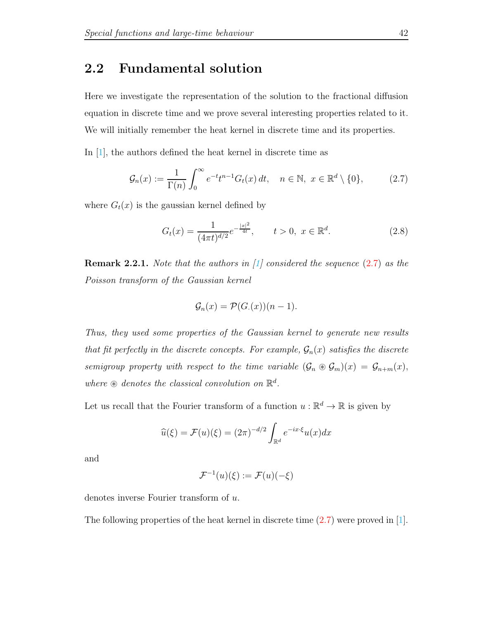### 2.2 Fundamental solution

Here we investigate the representation of the solution to the fractional diffusion equation in discrete time and we prove several interesting properties related to it. We will initially remember the heat kernel in discrete time and its properties.

In [\[1\]](#page-94-1), the authors defined the heat kernel in discrete time as

<span id="page-41-0"></span>
$$
\mathcal{G}_n(x) := \frac{1}{\Gamma(n)} \int_0^\infty e^{-t} t^{n-1} G_t(x) dt, \quad n \in \mathbb{N}, \ x \in \mathbb{R}^d \setminus \{0\},\tag{2.7}
$$

where  $G_t(x)$  is the gaussian kernel defined by

$$
G_t(x) = \frac{1}{(4\pi t)^{d/2}} e^{-\frac{|x|^2}{4t}}, \qquad t > 0, \ x \in \mathbb{R}^d.
$$
 (2.8)

**Remark 2.2.1.** Note that the authors in  $\begin{bmatrix} 1 \end{bmatrix}$  considered the sequence  $(2.7)$  as the Poisson transform of the Gaussian kernel

<span id="page-41-1"></span>
$$
\mathcal{G}_n(x) = \mathcal{P}(G_1(x))(n-1).
$$

Thus, they used some properties of the Gaussian kernel to generate new results that fit perfectly in the discrete concepts. For example,  $\mathcal{G}_n(x)$  satisfies the discrete semigroup property with respect to the time variable  $(\mathcal{G}_n \otimes \mathcal{G}_m)(x) = \mathcal{G}_{n+m}(x)$ , where  $\otimes$  denotes the classical convolution on  $\mathbb{R}^d$ .

Let us recall that the Fourier transform of a function  $u : \mathbb{R}^d \to \mathbb{R}$  is given by

$$
\widehat{u}(\xi) = \mathcal{F}(u)(\xi) = (2\pi)^{-d/2} \int_{\mathbb{R}^d} e^{-ix\cdot\xi} u(x) dx
$$

and

$$
\mathcal{F}^{-1}(u)(\xi) := \mathcal{F}(u)(-\xi)
$$

denotes inverse Fourier transform of u.

The following properties of the heat kernel in discrete time  $(2.7)$  were proved in [\[1\]](#page-94-1).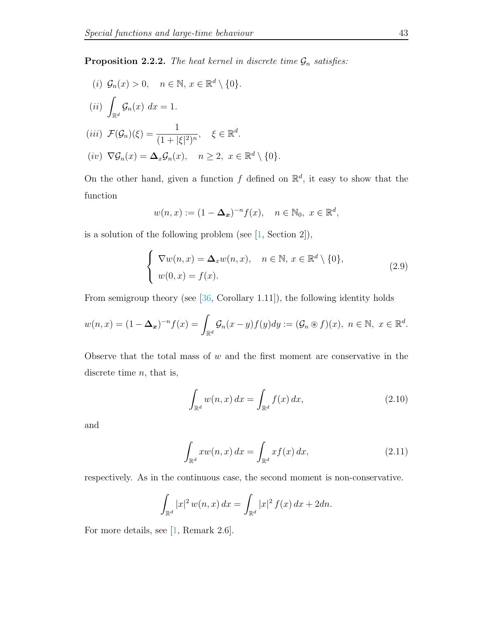<span id="page-42-0"></span>**Proposition 2.2.2.** The heat kernel in discrete time  $\mathcal{G}_n$  satisfies:

(i) 
$$
\mathcal{G}_n(x) > 0
$$
,  $n \in \mathbb{N}$ ,  $x \in \mathbb{R}^d \setminus \{0\}$ .  
\n(ii)  $\int_{\mathbb{R}^d} \mathcal{G}_n(x) dx = 1$ .  
\n(iii)  $\mathcal{F}(\mathcal{G}_n)(\xi) = \frac{1}{(1+|\xi|^2)^n}$ ,  $\xi \in \mathbb{R}^d$ .  
\n(iv)  $\nabla \mathcal{G}_n(x) = \Delta_x \mathcal{G}_n(x)$ ,  $n \ge 2$ ,  $x \in \mathbb{R}^d \setminus \{0\}$ .

On the other hand, given a function  $f$  defined on  $\mathbb{R}^d$ , it easy to show that the function

$$
w(n,x) := (1 - \Delta_x)^{-n} f(x), \quad n \in \mathbb{N}_0, \ x \in \mathbb{R}^d,
$$

is a solution of the following problem (see  $[1, Section 2]$ ),

<span id="page-42-1"></span>
$$
\begin{cases}\n\nabla w(n,x) = \Delta_x w(n,x), & n \in \mathbb{N}, x \in \mathbb{R}^d \setminus \{0\}, \\
w(0,x) = f(x).\n\end{cases}
$$
\n(2.9)

From semigroup theory (see [\[36,](#page-97-0) Corollary 1.11]), the following identity holds

$$
w(n,x) = (1 - \Delta_x)^{-n} f(x) = \int_{\mathbb{R}^d} \mathcal{G}_n(x - y) f(y) dy := (\mathcal{G}_n \circledast f)(x), \ n \in \mathbb{N}, \ x \in \mathbb{R}^d.
$$

Observe that the total mass of  $w$  and the first moment are conservative in the discrete time  $n$ , that is,

<span id="page-42-2"></span>
$$
\int_{\mathbb{R}^d} w(n,x) dx = \int_{\mathbb{R}^d} f(x) dx,
$$
\n(2.10)

and

<span id="page-42-3"></span>
$$
\int_{\mathbb{R}^d} x w(n, x) dx = \int_{\mathbb{R}^d} x f(x) dx,
$$
\n(2.11)

respectively. As in the continuous case, the second moment is non-conservative.

$$
\int_{\mathbb{R}^d} |x|^2 w(n, x) \, dx = \int_{\mathbb{R}^d} |x|^2 f(x) \, dx + 2dn.
$$

For more details, see [\[1,](#page-94-1) Remark 2.6].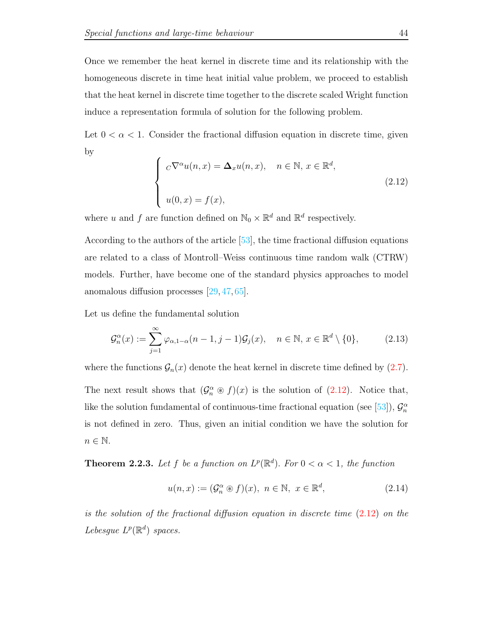Once we remember the heat kernel in discrete time and its relationship with the homogeneous discrete in time heat initial value problem, we proceed to establish that the heat kernel in discrete time together to the discrete scaled Wright function induce a representation formula of solution for the following problem.

Let  $0 < \alpha < 1$ . Consider the fractional diffusion equation in discrete time, given by

<span id="page-43-0"></span>
$$
\begin{cases}\n c\nabla^{\alpha}u(n,x) = \Delta_x u(n,x), & n \in \mathbb{N}, x \in \mathbb{R}^d, \\
 u(0,x) = f(x),\n\end{cases}
$$
\n(2.12)

where u and f are function defined on  $\mathbb{N}_0 \times \mathbb{R}^d$  and  $\mathbb{R}^d$  respectively.

According to the authors of the article [\[53\]](#page-99-0), the time fractional diffusion equations are related to a class of Montroll–Weiss continuous time random walk (CTRW) models. Further, have become one of the standard physics approaches to model anomalous diffusion processes [\[29,](#page-97-1) [47,](#page-99-1) [65\]](#page-101-0).

Let us define the fundamental solution

$$
\mathcal{G}_n^{\alpha}(x) := \sum_{j=1}^{\infty} \varphi_{\alpha, 1-\alpha}(n-1, j-1) \mathcal{G}_j(x), \quad n \in \mathbb{N}, x \in \mathbb{R}^d \setminus \{0\}, \tag{2.13}
$$

where the functions  $\mathcal{G}_n(x)$  denote the heat kernel in discrete time defined by [\(2.7\)](#page-41-0). The next result shows that  $(\mathcal{G}_n^{\alpha} \otimes f)(x)$  is the solution of  $(2.12)$ . Notice that, like the solution fundamental of continuous-time fractional equation (see [\[53\]](#page-99-0)),  $\mathcal{G}_n^{\alpha}$ is not defined in zero. Thus, given an initial condition we have the solution for  $n \in \mathbb{N}$ .

<span id="page-43-3"></span>**Theorem 2.2.3.** Let f be a function on  $L^p(\mathbb{R}^d)$ . For  $0 < \alpha < 1$ , the function

<span id="page-43-2"></span><span id="page-43-1"></span>
$$
u(n,x) := (\mathcal{G}_n^{\alpha} \circledast f)(x), \ n \in \mathbb{N}, \ x \in \mathbb{R}^d,
$$
\n
$$
(2.14)
$$

is the solution of the fractional diffusion equation in discrete time  $(2.12)$  on the Lebesgue  $L^p(\mathbb{R}^d)$  spaces.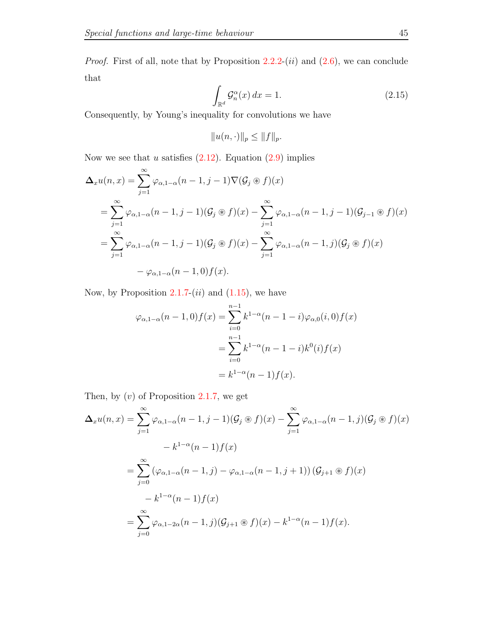*Proof.* First of all, note that by Proposition  $2.2.2-(ii)$  $2.2.2-(ii)$  and  $(2.6)$ , we can conclude that

<span id="page-44-0"></span>
$$
\int_{\mathbb{R}^d} \mathcal{G}_n^{\alpha}(x) dx = 1.
$$
\n(2.15)

Consequently, by Young's inequality for convolutions we have

$$
||u(n,\cdot)||_p \leq ||f||_p.
$$

Now we see that u satisfies  $(2.12)$ . Equation  $(2.9)$  implies

$$
\Delta_x u(n,x) = \sum_{j=1}^{\infty} \varphi_{\alpha,1-\alpha}(n-1,j-1) \nabla (\mathcal{G}_j \circledast f)(x)
$$
  
= 
$$
\sum_{j=1}^{\infty} \varphi_{\alpha,1-\alpha}(n-1,j-1) (\mathcal{G}_j \circledast f)(x) - \sum_{j=1}^{\infty} \varphi_{\alpha,1-\alpha}(n-1,j-1) (\mathcal{G}_{j-1} \circledast f)(x)
$$
  
= 
$$
\sum_{j=1}^{\infty} \varphi_{\alpha,1-\alpha}(n-1,j-1) (\mathcal{G}_j \circledast f)(x) - \sum_{j=1}^{\infty} \varphi_{\alpha,1-\alpha}(n-1,j) (\mathcal{G}_j \circledast f)(x)
$$
  
- 
$$
\varphi_{\alpha,1-\alpha}(n-1,0) f(x).
$$

Now, by Proposition  $2.1.7-(ii)$  $2.1.7-(ii)$  and  $(1.15)$ , we have

$$
\varphi_{\alpha,1-\alpha}(n-1,0)f(x) = \sum_{i=0}^{n-1} k^{1-\alpha}(n-1-i)\varphi_{\alpha,0}(i,0)f(x)
$$
  
= 
$$
\sum_{i=0}^{n-1} k^{1-\alpha}(n-1-i)k^{0}(i)f(x)
$$
  
= 
$$
k^{1-\alpha}(n-1)f(x).
$$

Then, by  $(v)$  of Proposition [2.1.7,](#page-36-0) we get

$$
\Delta_x u(n, x) = \sum_{j=1}^{\infty} \varphi_{\alpha, 1-\alpha}(n-1, j-1)(\mathcal{G}_j \circledast f)(x) - \sum_{j=1}^{\infty} \varphi_{\alpha, 1-\alpha}(n-1, j)(\mathcal{G}_j \circledast f)(x)
$$

$$
- k^{1-\alpha}(n-1)f(x)
$$

$$
= \sum_{j=0}^{\infty} (\varphi_{\alpha, 1-\alpha}(n-1, j) - \varphi_{\alpha, 1-\alpha}(n-1, j+1))(\mathcal{G}_{j+1} \circledast f)(x)
$$

$$
- k^{1-\alpha}(n-1)f(x)
$$

$$
= \sum_{j=0}^{\infty} \varphi_{\alpha, 1-2\alpha}(n-1, j)(\mathcal{G}_{j+1} \circledast f)(x) - k^{1-\alpha}(n-1)f(x).
$$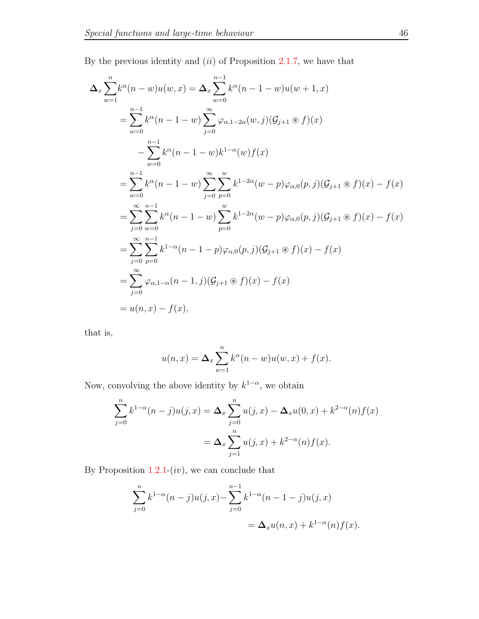By the previous identity and  $(ii)$  of Proposition [2.1.7,](#page-36-0) we have that

$$
\Delta_x \sum_{w=1}^{n} k^{\alpha} (n-w) u(w, x) = \Delta_x \sum_{w=0}^{n-1} k^{\alpha} (n-1-w) u(w+1, x)
$$
  
\n
$$
= \sum_{w=0}^{n-1} k^{\alpha} (n-1-w) \sum_{j=0}^{\infty} \varphi_{\alpha, 1-2\alpha}(w, j) (\mathcal{G}_{j+1} \otimes f)(x)
$$
  
\n
$$
- \sum_{w=0}^{n-1} k^{\alpha} (n-1-w) k^{1-\alpha}(w) f(x)
$$
  
\n
$$
= \sum_{w=0}^{n-1} k^{\alpha} (n-1-w) \sum_{j=0}^{\infty} \sum_{p=0}^{w} k^{1-2\alpha} (w-p) \varphi_{\alpha, 0}(p, j) (\mathcal{G}_{j+1} \otimes f)(x) - f(x)
$$
  
\n
$$
= \sum_{j=0}^{\infty} \sum_{w=0}^{n-1} k^{\alpha} (n-1-w) \sum_{p=0}^{w} k^{1-2\alpha} (w-p) \varphi_{\alpha, 0}(p, j) (\mathcal{G}_{j+1} \otimes f)(x) - f(x)
$$
  
\n
$$
= \sum_{j=0}^{\infty} \sum_{p=0}^{n-1} k^{1-\alpha} (n-1-p) \varphi_{\alpha, 0}(p, j) (\mathcal{G}_{j+1} \otimes f)(x) - f(x)
$$
  
\n
$$
= \sum_{j=0}^{\infty} \varphi_{\alpha, 1-\alpha}(n-1, j) (\mathcal{G}_{j+1} \otimes f)(x) - f(x)
$$
  
\n
$$
= u(n, x) - f(x),
$$

that is,

$$
u(n,x) = \Delta_x \sum_{w=1}^n k^{\alpha}(n-w)u(w,x) + f(x).
$$

Now, convolving the above identity by  $k^{1-\alpha}$ , we obtain

$$
\sum_{j=0}^{n} k^{1-\alpha}(n-j)u(j,x) = \Delta_x \sum_{j=0}^{n} u(j,x) - \Delta_x u(0,x) + k^{2-\alpha}(n)f(x)
$$

$$
= \Delta_x \sum_{j=1}^{n} u(j,x) + k^{2-\alpha}(n)f(x).
$$

By Proposition  $1.2.1-(iv)$  $1.2.1-(iv)$ , we can conclude that

$$
\sum_{j=0}^{n} k^{1-\alpha} (n-j) u(j, x) - \sum_{j=0}^{n-1} k^{1-\alpha} (n-1-j) u(j, x)
$$
  
=  $\Delta_x u(n, x) + k^{1-\alpha} (n) f(x).$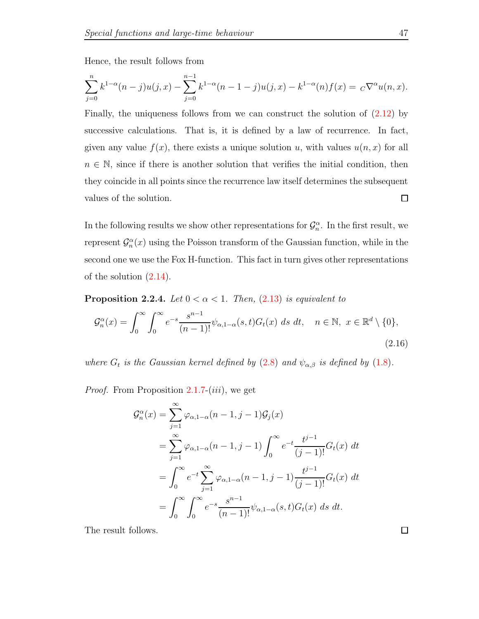Hence, the result follows from

$$
\sum_{j=0}^{n} k^{1-\alpha} (n-j) u(j, x) - \sum_{j=0}^{n-1} k^{1-\alpha} (n-1-j) u(j, x) - k^{1-\alpha} (n) f(x) = c \nabla^{\alpha} u(n, x).
$$

Finally, the uniqueness follows from we can construct the solution of [\(2.12\)](#page-43-0) by successive calculations. That is, it is defined by a law of recurrence. In fact, given any value  $f(x)$ , there exists a unique solution u, with values  $u(n, x)$  for all  $n \in \mathbb{N}$ , since if there is another solution that verifies the initial condition, then they coincide in all points since the recurrence law itself determines the subsequent values of the solution.  $\Box$ 

In the following results we show other representations for  $\mathcal{G}_n^{\alpha}$ . In the first result, we represent  $\mathcal{G}_n^{\alpha}(x)$  using the Poisson transform of the Gaussian function, while in the second one we use the Fox H-function. This fact in turn gives other representations of the solution  $(2.14)$ .

**Proposition 2.2.4.** Let  $0 < \alpha < 1$ . Then, [\(2.13\)](#page-43-2) is equivalent to

$$
\mathcal{G}_n^{\alpha}(x) = \int_0^{\infty} \int_0^{\infty} e^{-s} \frac{s^{n-1}}{(n-1)!} \psi_{\alpha,1-\alpha}(s,t) G_t(x) \, ds \, dt, \quad n \in \mathbb{N}, \ x \in \mathbb{R}^d \setminus \{0\},\tag{2.16}
$$

where  $G_t$  is the Gaussian kernel defined by [\(2.8\)](#page-41-1) and  $\psi_{\alpha,\beta}$  is defined by [\(1.8\)](#page-22-0).

*Proof.* From Proposition [2.1.7-](#page-36-0) $(iii)$ , we get

<span id="page-46-0"></span>
$$
\mathcal{G}_{n}^{\alpha}(x) = \sum_{j=1}^{\infty} \varphi_{\alpha,1-\alpha}(n-1,j-1) \mathcal{G}_{j}(x)
$$
  
= 
$$
\sum_{j=1}^{\infty} \varphi_{\alpha,1-\alpha}(n-1,j-1) \int_{0}^{\infty} e^{-t} \frac{t^{j-1}}{(j-1)!} G_{t}(x) dt
$$
  
= 
$$
\int_{0}^{\infty} e^{-t} \sum_{j=1}^{\infty} \varphi_{\alpha,1-\alpha}(n-1,j-1) \frac{t^{j-1}}{(j-1)!} G_{t}(x) dt
$$
  
= 
$$
\int_{0}^{\infty} \int_{0}^{\infty} e^{-s} \frac{s^{n-1}}{(n-1)!} \psi_{\alpha,1-\alpha}(s,t) G_{t}(x) ds dt.
$$

The result follows.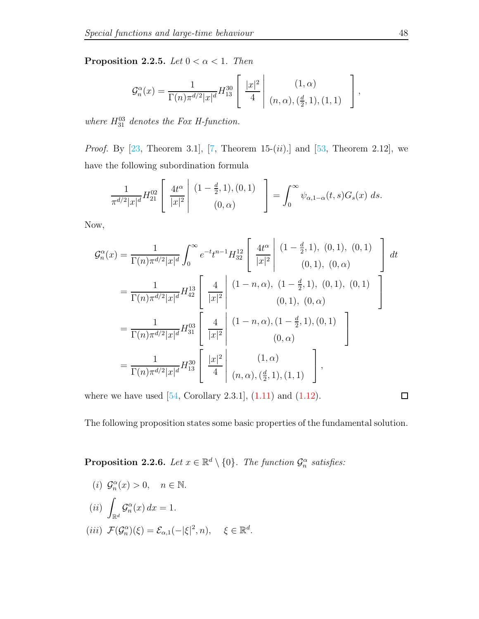Proposition 2.2.5. Let  $0 < \alpha < 1$ . Then

$$
\mathcal{G}_{n}^{\alpha}(x) = \frac{1}{\Gamma(n)\pi^{d/2}|x|^{d}} H_{13}^{30} \left[ \begin{array}{c} |x|^{2} \\ 4 \end{array} \middle| (1,\alpha) \begin{array}{c} (1,\alpha) \\ (n,\alpha), (\frac{d}{2},1), (1,1) \end{array} \right],
$$

where  $H_{31}^{03}$  denotes the Fox H-function.

*Proof.* By  $[23,$  Theorem 3.1],  $[7,$  Theorem 15- $(ii)$ .] and  $[53,$  Theorem 2.12], we have the following subordination formula

$$
\frac{1}{\pi^{d/2}|x|^d}H_{21}^{02}\left[\begin{array}{c}4t^{\alpha}\\|x|^2\end{array}\right](1-\frac{d}{2},1),(0,1)\right]=\int_0^{\infty}\psi_{\alpha,1-\alpha}(t,s)G_s(x)\;ds.
$$

Now,

$$
\mathcal{G}_{n}^{\alpha}(x) = \frac{1}{\Gamma(n)\pi^{d/2}|x|^{d}} \int_{0}^{\infty} e^{-t} t^{n-1} H_{32}^{12} \left[ \frac{4t^{\alpha}}{|x|^{2}} \middle| (1 - \frac{d}{2}, 1), (0, 1), (0, 1) \right] dt
$$
  
\n
$$
= \frac{1}{\Gamma(n)\pi^{d/2}|x|^{d}} H_{42}^{13} \left[ \frac{4}{|x|^{2}} \middle| (1 - n, \alpha), (1 - \frac{d}{2}, 1), (0, 1), (0, 1) \right]
$$
  
\n
$$
= \frac{1}{\Gamma(n)\pi^{d/2}|x|^{d}} H_{31}^{03} \left[ \frac{4}{|x|^{2}} \middle| (1 - n, \alpha), (1 - \frac{d}{2}, 1), (0, 1) \right]
$$
  
\n
$$
= \frac{1}{\Gamma(n)\pi^{d/2}|x|^{d}} H_{31}^{30} \left[ \frac{4}{|x|^{2}} \middle| (1 - n, \alpha), (1 - \frac{d}{2}, 1), (0, 1) \right]
$$
  
\n
$$
= \frac{1}{\Gamma(n)\pi^{d/2}|x|^{d}} H_{13}^{30} \left[ \frac{|x|^{2}}{4} \middle| (1, \alpha), (\frac{d}{2}, 1), (1, 1) \right],
$$

where we have used  $[54, Corollary 2.3.1], (1.11)$  $[54, Corollary 2.3.1], (1.11)$  and  $(1.12).$ 

 $\Box$ 

The following proposition states some basic properties of the fundamental solution.

**Proposition 2.2.6.** Let  $x \in \mathbb{R}^d \setminus \{0\}$ . The function  $\mathcal{G}_n^{\alpha}$  satisfies:

(i) 
$$
\mathcal{G}_n^{\alpha}(x) > 0
$$
,  $n \in \mathbb{N}$ .  
\n(ii)  $\int_{\mathbb{R}^d} \mathcal{G}_n^{\alpha}(x) dx = 1$ .  
\n(iii)  $\mathcal{F}(\mathcal{G}_n^{\alpha})(\xi) = \mathcal{E}_{\alpha,1}(-|\xi|^2, n)$ ,  $\xi \in \mathbb{R}^d$ .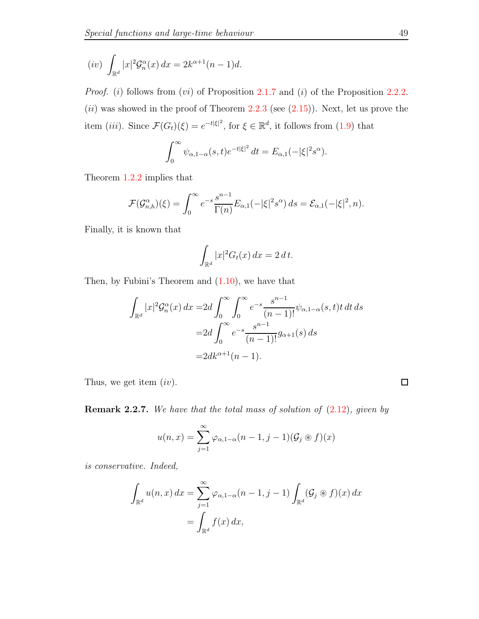$$
(iv) \int_{\mathbb{R}^d} |x|^2 \mathcal{G}_n^{\alpha}(x) dx = 2k^{\alpha+1}(n-1)d.
$$

*Proof.* (i) follows from  $(vi)$  of Proposition [2.1.7](#page-36-0) and (i) of the Proposition [2.2.2.](#page-42-0)  $(ii)$  was showed in the proof of Theorem [2.2.3](#page-43-3) (see  $(2.15)$ ). Next, let us prove the item (iii). Since  $\mathcal{F}(G_t)(\xi) = e^{-t|\xi|^2}$ , for  $\xi \in \mathbb{R}^d$ , it follows from [\(1.9\)](#page-22-1) that

$$
\int_0^\infty \psi_{\alpha,1-\alpha}(s,t)e^{-t|\xi|^2} dt = E_{\alpha,1}(-|\xi|^2 s^\alpha).
$$

Theorem [1.2.2](#page-26-0) implies that

$$
\mathcal{F}(\mathcal{G}_{n,h}^{\alpha})(\xi) = \int_0^{\infty} e^{-s} \frac{s^{n-1}}{\Gamma(n)} E_{\alpha,1}(-|\xi|^2 s^{\alpha}) ds = \mathcal{E}_{\alpha,1}(-|\xi|^2, n).
$$

Finally, it is known that

$$
\int_{\mathbb{R}^d} |x|^2 G_t(x) dx = 2 dt.
$$

Then, by Fubini's Theorem and  $(1.10)$ , we have that

$$
\int_{\mathbb{R}^d} |x|^2 \mathcal{G}_n^{\alpha}(x) dx = 2d \int_0^{\infty} \int_0^{\infty} e^{-s} \frac{s^{n-1}}{(n-1)!} \psi_{\alpha,1-\alpha}(s,t) dt ds
$$
  
=  $2d \int_0^{\infty} e^{-s} \frac{s^{n-1}}{(n-1)!} g_{\alpha+1}(s) ds$   
=  $2dk^{\alpha+1}(n-1)$ .

Thus, we get item  $(iv)$ .

**Remark 2.2.7.** We have that the total mass of solution of  $(2.12)$ , given by

$$
u(n,x) = \sum_{j=1}^{\infty} \varphi_{\alpha,1-\alpha}(n-1,j-1)(\mathcal{G}_j \circledast f)(x)
$$

is conservative. Indeed,

$$
\int_{\mathbb{R}^d} u(n,x) dx = \sum_{j=1}^{\infty} \varphi_{\alpha,1-\alpha}(n-1,j-1) \int_{\mathbb{R}^d} (\mathcal{G}_j \circledast f)(x) dx
$$

$$
= \int_{\mathbb{R}^d} f(x) dx,
$$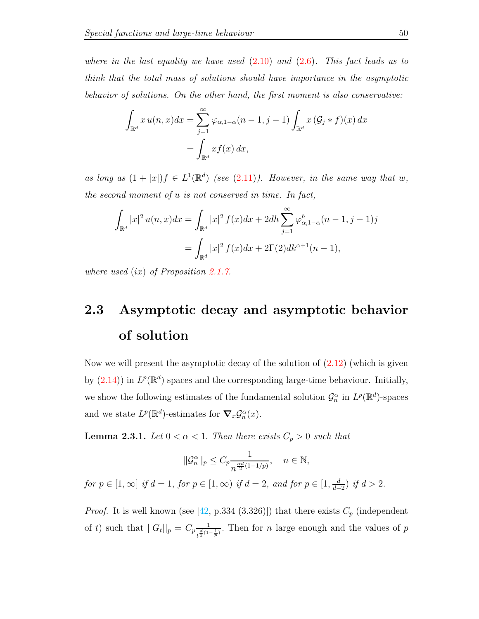where in the last equality we have used  $(2.10)$  and  $(2.6)$ . This fact leads us to think that the total mass of solutions should have importance in the asymptotic behavior of solutions. On the other hand, the first moment is also conservative:

$$
\int_{\mathbb{R}^d} x u(n,x) dx = \sum_{j=1}^{\infty} \varphi_{\alpha,1-\alpha}(n-1,j-1) \int_{\mathbb{R}^d} x (\mathcal{G}_j * f)(x) dx
$$

$$
= \int_{\mathbb{R}^d} x f(x) dx,
$$

as long as  $(1+|x|)f \in L^1(\mathbb{R}^d)$  (see  $(2.11)$ ). However, in the same way that w, the second moment of u is not conserved in time. In fact,

$$
\int_{\mathbb{R}^d} |x|^2 u(n,x) dx = \int_{\mathbb{R}^d} |x|^2 f(x) dx + 2dh \sum_{j=1}^{\infty} \varphi_{\alpha,1-\alpha}^h (n-1,j-1)j
$$
  
= 
$$
\int_{\mathbb{R}^d} |x|^2 f(x) dx + 2\Gamma(2)dk^{\alpha+1}(n-1),
$$

where used  $(ix)$  of Proposition [2.1.7.](#page-36-0)

# 2.3 Asymptotic decay and asymptotic behavior of solution

Now we will present the asymptotic decay of the solution of  $(2.12)$  (which is given by  $(2.14)$ ) in  $L^p(\mathbb{R}^d)$  spaces and the corresponding large-time behaviour. Initially, we show the following estimates of the fundamental solution  $\mathcal{G}_n^{\alpha}$  in  $L^p(\mathbb{R}^d)$ -spaces and we state  $L^p(\mathbb{R}^d)$ -estimates for  $\nabla_x \mathcal{G}_n^{\alpha}(x)$ .

<span id="page-49-0"></span>**Lemma 2.3.1.** Let  $0 < \alpha < 1$ . Then there exists  $C_p > 0$  such that

$$
\|\mathcal{G}_n^{\alpha}\|_p \le C_p \frac{1}{n^{\frac{\alpha d}{2}(1-1/p)}}, \quad n \in \mathbb{N},
$$

for  $p \in [1, \infty]$  if  $d = 1$ , for  $p \in [1, \infty)$  if  $d = 2$ , and for  $p \in [1, \frac{d}{d-1}]$  $\frac{d}{d-2}$ ) if  $d > 2$ .

*Proof.* It is well known (see [\[42,](#page-98-0) p.334 (3.326)]) that there exists  $C_p$  (independent of t) such that  $||G_t||_p = C_p \frac{1}{r^{\frac{d}{2}(1-p)}}$  $\frac{1}{t^{\frac{d}{2}(1-\frac{1}{p})}}$ . Then for *n* large enough and the values of *p*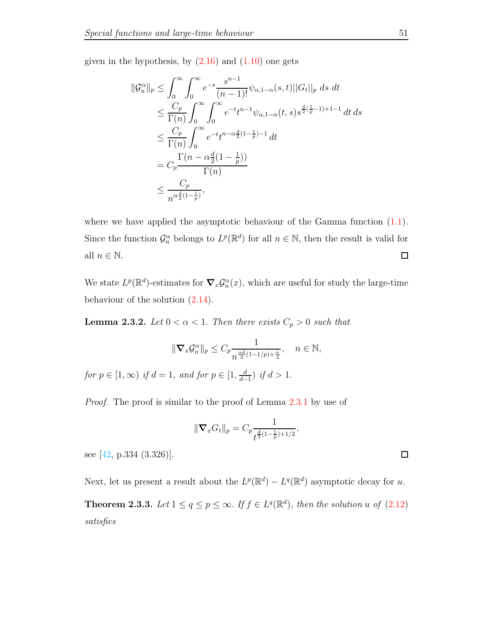given in the hypothesis, by  $(2.16)$  and  $(1.10)$  one gets

$$
\begin{split} \|\mathcal{G}_{n}^{\alpha}\|_{p} &\leq \int_{0}^{\infty} \int_{0}^{\infty} e^{-s} \frac{s^{n-1}}{(n-1)!} \psi_{\alpha,1-\alpha}(s,t) ||G_{t}||_{p} \, ds \, dt \\ &\leq \frac{C_{p}}{\Gamma(n)} \int_{0}^{\infty} \int_{0}^{\infty} e^{-t} t^{n-1} \psi_{\alpha,1-\alpha}(t,s) s^{\frac{d}{2}(\frac{1}{p}-1)+1-1} \, dt \, ds \\ &\leq \frac{C_{p}}{\Gamma(n)} \int_{0}^{\infty} e^{-t} t^{n-\alpha \frac{d}{2}(1-\frac{1}{p})-1} \, dt \\ &= C_{p} \frac{\Gamma(n-\alpha \frac{d}{2}(1-\frac{1}{p}))}{\Gamma(n)} \\ &\leq \frac{C_{p}}{n^{\alpha \frac{d}{2}(1-\frac{1}{p})}}, \end{split}
$$

where we have applied the asymptotic behaviour of the Gamma function  $(1.1)$ . Since the function  $\mathcal{G}_n^{\alpha}$  belongs to  $L^p(\mathbb{R}^d)$  for all  $n \in \mathbb{N}$ , then the result is valid for all  $n \in \mathbb{N}$ .  $\Box$ 

We state  $L^p(\mathbb{R}^d)$ -estimates for  $\nabla_x \mathcal{G}_n^{\alpha}(x)$ , which are useful for study the large-time behaviour of the solution [\(2.14\)](#page-43-1).

**Lemma 2.3.2.** Let  $0 < \alpha < 1$ . Then there exists  $C_p > 0$  such that

$$
\|\nabla_x \mathcal{G}_n^{\alpha}\|_p \le C_p \frac{1}{n^{\frac{\alpha d}{2}(1-1/p)+\frac{\alpha}{2}}}, \quad n \in \mathbb{N},
$$

for  $p \in [1, \infty)$  if  $d = 1$ , and for  $p \in [1, \frac{d}{d-1}]$  $\frac{d}{d-1}$ ) if  $d > 1$ .

Proof. The proof is similar to the proof of Lemma [2.3.1](#page-49-0) by use of

$$
\|\nabla_x G_t\|_p = C_p \frac{1}{t^{\frac{d}{2}(1-\frac{1}{p})+1/2}},
$$

see [\[42,](#page-98-0) p.334 (3.326)].

Next, let us present a result about the  $L^p(\mathbb{R}^d) - L^q(\mathbb{R}^d)$  asymptotic decay for u.

**Theorem 2.3.3.** Let  $1 \le q \le p \le \infty$ . If  $f \in L^q(\mathbb{R}^d)$ , then the solution u of  $(2.12)$ satisfies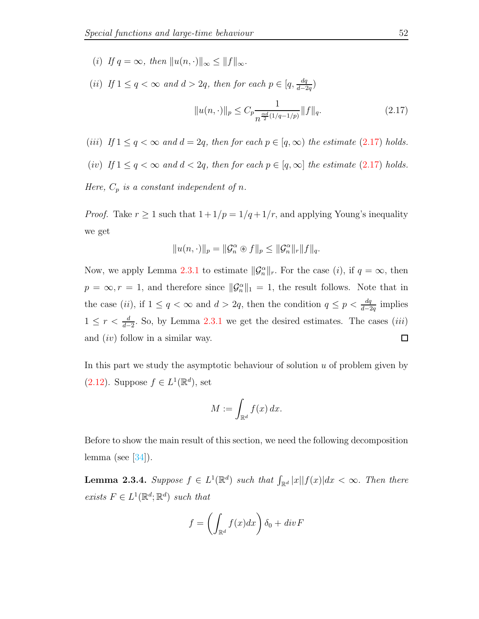- (i) If  $q = \infty$ , then  $||u(n, \cdot)||_{\infty} \leq ||f||_{\infty}$ .
- (ii) If  $1 \le q < \infty$  and  $d > 2q$ , then for each  $p \in [q, \frac{dq}{d-2q}]$  $\frac{dq}{d-2q}$

<span id="page-51-0"></span>
$$
||u(n, \cdot)||_p \le C_p \frac{1}{n^{\frac{\alpha d}{2}(1/q - 1/p)}} ||f||_q.
$$
 (2.17)

- (iii) If  $1 \le q < \infty$  and  $d = 2q$ , then for each  $p \in [q, \infty)$  the estimate [\(2.17\)](#page-51-0) holds.
- (iv) If  $1 \le q < \infty$  and  $d < 2q$ , then for each  $p \in [q, \infty]$  the estimate [\(2.17\)](#page-51-0) holds. Here,  $C_p$  is a constant independent of n.

*Proof.* Take  $r \ge 1$  such that  $1 + 1/p = 1/q + 1/r$ , and applying Young's inequality we get

$$
||u(n, \cdot)||_p = ||\mathcal{G}_n^{\alpha} \circledast f||_p \leq ||\mathcal{G}_n^{\alpha}||_r ||f||_q.
$$

Now, we apply Lemma [2.3.1](#page-49-0) to estimate  $\|\mathcal{G}_n^{\alpha}\|_r$ . For the case  $(i)$ , if  $q = \infty$ , then  $p = \infty, r = 1$ , and therefore since  $\|\mathcal{G}_n^{\alpha}\|_1 = 1$ , the result follows. Note that in the case (ii), if  $1 \le q < \infty$  and  $d > 2q$ , then the condition  $q \le p < \frac{dq}{d-2q}$  implies  $1 \leq r < \frac{d}{d-2}$ . So, by Lemma [2.3.1](#page-49-0) we get the desired estimates. The cases (iii) and (iv) follow in a similar way.  $\Box$ 

In this part we study the asymptotic behaviour of solution  $u$  of problem given by [\(2.12\)](#page-43-0). Suppose  $f \in L^1(\mathbb{R}^d)$ , set

$$
M:=\int_{\mathbb{R}^d} f(x)\,dx.
$$

Before to show the main result of this section, we need the following decomposition lemma (see  $[34]$ ).

<span id="page-51-1"></span>**Lemma 2.3.4.** Suppose  $f \in L^1(\mathbb{R}^d)$  such that  $\int_{\mathbb{R}^d} |x||f(x)|dx < \infty$ . Then there exists  $F \in L^1(\mathbb{R}^d; \mathbb{R}^d)$  such that

$$
f = \left(\int_{\mathbb{R}^d} f(x)dx\right)\delta_0 + div F
$$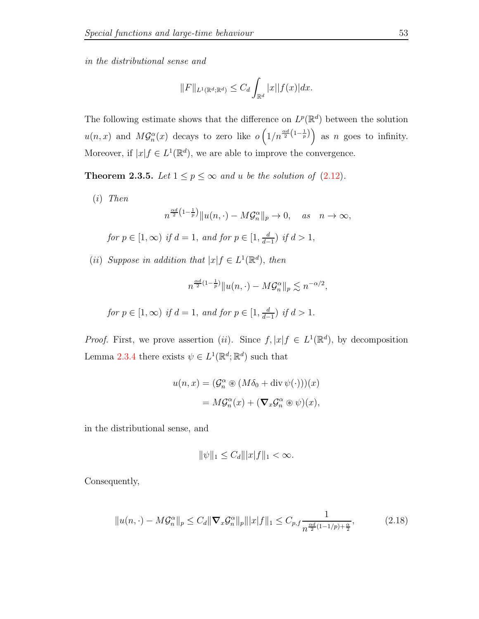in the distributional sense and

$$
||F||_{L^1(\mathbb{R}^d;\mathbb{R}^d)} \leq C_d \int_{\mathbb{R}^d} |x||f(x)| dx.
$$

The following estimate shows that the difference on  $L^p(\mathbb{R}^d)$  between the solution  $u(n,x)$  and  $MG_n^{\alpha}(x)$  decays to zero like  $o(1/n^{\frac{\alpha d}{2}(1-\frac{1}{p})})$  as n goes to infinity. Moreover, if  $|x| f \in L^1(\mathbb{R}^d)$ , we are able to improve the convergence.

**Theorem 2.3.5.** Let  $1 \leq p \leq \infty$  and u be the solution of [\(2.12\)](#page-43-0).

(i) Then

$$
n^{\frac{\alpha d}{2}\left(1-\frac{1}{p}\right)}\|u(n,\cdot)-M\mathcal{G}_n^{\alpha}\|_p\to 0, \quad as \quad n\to\infty,
$$

for 
$$
p \in [1, \infty)
$$
 if  $d = 1$ , and for  $p \in [1, \frac{d}{d-1})$  if  $d > 1$ ,

(*ii*) Suppose in addition that  $|x| f \in L^1(\mathbb{R}^d)$ , then

$$
n^{\frac{\alpha d}{2}(1-\frac{1}{p})} \|u(n,\cdot)-M\mathcal{G}_n^{\alpha}\|_p \lesssim n^{-\alpha/2},
$$

for 
$$
p \in [1, \infty)
$$
 if  $d = 1$ , and for  $p \in [1, \frac{d}{d-1})$  if  $d > 1$ .

*Proof.* First, we prove assertion (ii). Since  $f, |x|f \in L^1(\mathbb{R}^d)$ , by decomposition Lemma [2.3.4](#page-51-1) there exists  $\psi \in L^1(\mathbb{R}^d; \mathbb{R}^d)$  such that

$$
u(n,x) = (\mathcal{G}_n^{\alpha} \circledast (M\delta_0 + \text{div }\psi(\cdot)))(x)
$$
  
= 
$$
M\mathcal{G}_n^{\alpha}(x) + (\nabla_x \mathcal{G}_n^{\alpha} \circledast \psi)(x),
$$

in the distributional sense, and

$$
\|\psi\|_1 \le C_d \||x|f\|_1 < \infty.
$$

Consequently,

<span id="page-52-0"></span>
$$
||u(n,\cdot) - M\mathcal{G}_n^{\alpha}||_p \le C_d ||\nabla_x \mathcal{G}_n^{\alpha}||_p |||x| f||_1 \le C_{p,f} \frac{1}{n^{\frac{\alpha d}{2}(1-1/p)+\frac{\alpha}{2}}},
$$
(2.18)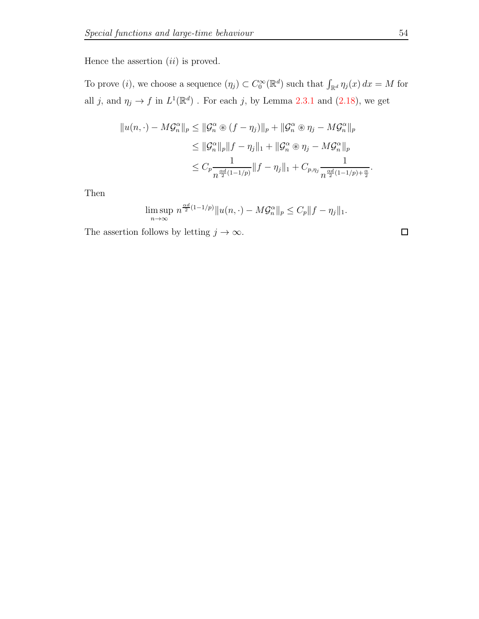Hence the assertion  $(ii)$  is proved.

To prove (*i*), we choose a sequence  $(\eta_j) \subset C_0^{\infty}(\mathbb{R}^d)$  such that  $\int_{\mathbb{R}^d} \eta_j(x) dx = M$  for all j, and  $\eta_j \to f$  in  $L^1(\mathbb{R}^d)$ . For each j, by Lemma [2.3.1](#page-49-0) and [\(2.18\)](#page-52-0), we get

$$
||u(n,\cdot)-M\mathcal{G}_n^{\alpha}||_p \le ||\mathcal{G}_n^{\alpha} \circledast (f - \eta_j)||_p + ||\mathcal{G}_n^{\alpha} \circledast \eta_j - M\mathcal{G}_n^{\alpha}||_p
$$
  
\n
$$
\le ||\mathcal{G}_n^{\alpha}||_p ||f - \eta_j||_1 + ||\mathcal{G}_n^{\alpha} \circledast \eta_j - M\mathcal{G}_n^{\alpha}||_p
$$
  
\n
$$
\le C_p \frac{1}{n^{\frac{\alpha d}{2}(1-1/p)}} ||f - \eta_j||_1 + C_{p,\eta_j} \frac{1}{n^{\frac{\alpha d}{2}(1-1/p)+\frac{\alpha}{2}}}
$$

Then

$$
\limsup_{n\to\infty} n^{\frac{\alpha d}{2}(1-1/p)} \|u(n,\cdot)-M\mathcal{G}_n^{\alpha}\|_p \leq C_p \|f-\eta_j\|_1.
$$

The assertion follows by letting  $j \to \infty$ .

.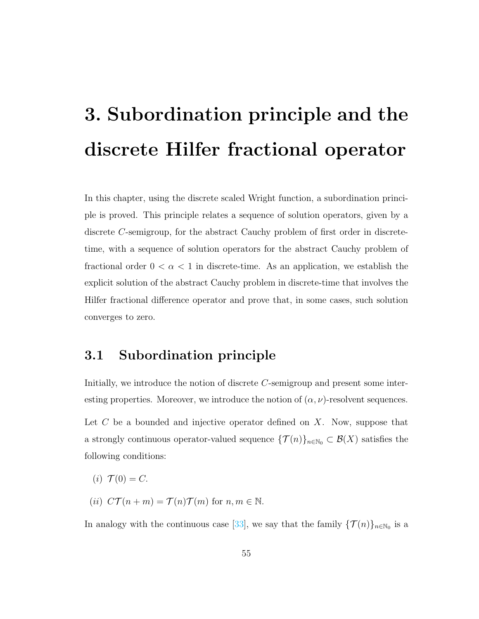# 3. Subordination principle and the discrete Hilfer fractional operator

In this chapter, using the discrete scaled Wright function, a subordination principle is proved. This principle relates a sequence of solution operators, given by a discrete C-semigroup, for the abstract Cauchy problem of first order in discretetime, with a sequence of solution operators for the abstract Cauchy problem of fractional order  $0 < \alpha < 1$  in discrete-time. As an application, we establish the explicit solution of the abstract Cauchy problem in discrete-time that involves the Hilfer fractional difference operator and prove that, in some cases, such solution converges to zero.

### 3.1 Subordination principle

Initially, we introduce the notion of discrete C-semigroup and present some interesting properties. Moreover, we introduce the notion of  $(\alpha, \nu)$ -resolvent sequences.

Let  $C$  be a bounded and injective operator defined on  $X$ . Now, suppose that a strongly continuous operator-valued sequence  $\{\mathcal{T}(n)\}_{n\in\mathbb{N}_0}\subset\mathcal{B}(X)$  satisfies the following conditions:

- $(i)$   $\mathcal{T}(0) = C$ .
- (ii)  $C\mathcal{T}(n+m) = \mathcal{T}(n)\mathcal{T}(m)$  for  $n, m \in \mathbb{N}$ .

In analogy with the continuous case [\[33\]](#page-97-3), we say that the family  $\{\mathcal{T}(n)\}_{n\in\mathbb{N}_0}$  is a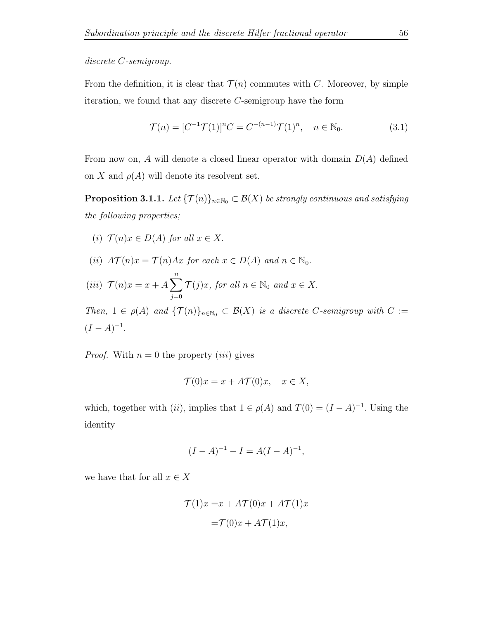### discrete C-semigroup.

From the definition, it is clear that  $\mathcal{T}(n)$  commutes with C. Moreover, by simple iteration, we found that any discrete C-semigroup have the form

$$
\mathcal{T}(n) = [C^{-1}\mathcal{T}(1)]^n C = C^{-(n-1)}\mathcal{T}(1)^n, \quad n \in \mathbb{N}_0.
$$
 (3.1)

From now on, A will denote a closed linear operator with domain  $D(A)$  defined on X and  $\rho(A)$  will denote its resolvent set.

<span id="page-55-0"></span>**Proposition 3.1.1.** Let  $\{\mathcal{T}(n)\}_{n\in\mathbb{N}_0} \subset \mathcal{B}(X)$  be strongly continuous and satisfying the following properties;

(i)  $\mathcal{T}(n)x \in D(A)$  for all  $x \in X$ .

(ii) 
$$
A\mathcal{T}(n)x = \mathcal{T}(n)Ax
$$
 for each  $x \in D(A)$  and  $n \in \mathbb{N}_0$ .

$$
(iii) \ \mathcal{T}(n)x = x + A \sum_{j=0}^{n} \mathcal{T}(j)x, \text{ for all } n \in \mathbb{N}_0 \text{ and } x \in X.
$$

Then,  $1 \in \rho(A)$  and  $\{\mathcal{T}(n)\}_{n \in \mathbb{N}_0} \subset \mathcal{B}(X)$  is a discrete C-semigroup with  $C :=$  $(I - A)^{-1}$ .

*Proof.* With  $n = 0$  the property *(iii)* gives

$$
\mathcal{T}(0)x = x + A\mathcal{T}(0)x, \quad x \in X,
$$

which, together with  $(ii)$ , implies that  $1 \in \rho(A)$  and  $T(0) = (I - A)^{-1}$ . Using the identity

$$
(I - A)^{-1} - I = A(I - A)^{-1},
$$

we have that for all  $x \in X$ 

$$
\mathcal{T}(1)x = x + A\mathcal{T}(0)x + A\mathcal{T}(1)x
$$

$$
= \mathcal{T}(0)x + A\mathcal{T}(1)x,
$$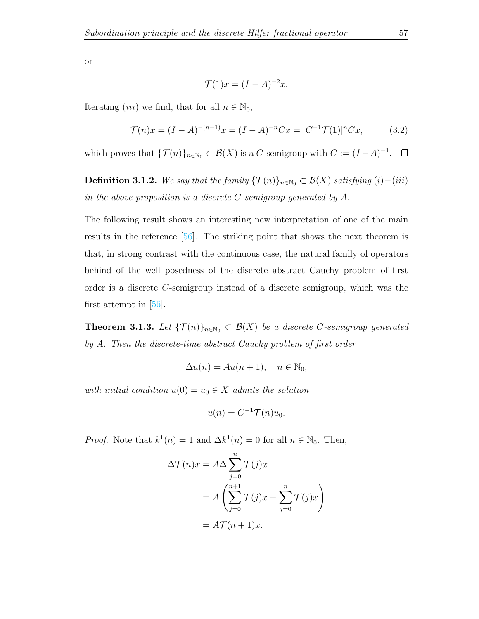or

$$
\mathcal{T}(1)x = (I - A)^{-2}x.
$$

Iterating (iii) we find, that for all  $n \in \mathbb{N}_0$ ,

<span id="page-56-0"></span>
$$
\mathcal{T}(n)x = (I - A)^{-(n+1)}x = (I - A)^{-n}Cx = [C^{-1}\mathcal{T}(1)]^nCx,\tag{3.2}
$$

which proves that  $\{\mathcal{T}(n)\}_{n\in\mathbb{N}_0}\subset\mathcal{B}(X)$  is a C-semigroup with  $C:=(I-A)^{-1}$ .

**Definition 3.1.2.** We say that the family  $\{\mathcal{T}(n)\}_{n\in\mathbb{N}_0}$  ⊂  $\mathcal{B}(X)$  satisfying  $(i) - (iii)$ in the above proposition is a discrete C-semigroup generated by A.

The following result shows an interesting new interpretation of one of the main results in the reference [\[56\]](#page-100-0). The striking point that shows the next theorem is that, in strong contrast with the continuous case, the natural family of operators behind of the well posedness of the discrete abstract Cauchy problem of first order is a discrete C-semigroup instead of a discrete semigroup, which was the first attempt in [\[56\]](#page-100-0).

**Theorem 3.1.3.** Let  $\{\mathcal{T}(n)\}_{n\in\mathbb{N}_0} \subset \mathcal{B}(X)$  be a discrete C-semigroup generated by A. Then the discrete-time abstract Cauchy problem of first order

$$
\Delta u(n) = Au(n+1), \quad n \in \mathbb{N}_0,
$$

with initial condition  $u(0) = u_0 \in X$  admits the solution

$$
u(n) = C^{-1} \mathcal{T}(n) u_0.
$$

*Proof.* Note that  $k^1(n) = 1$  and  $\Delta k^1(n) = 0$  for all  $n \in \mathbb{N}_0$ . Then,

$$
\Delta \mathcal{T}(n)x = A\Delta \sum_{j=0}^{n} \mathcal{T}(j)x
$$
  
=  $A \left( \sum_{j=0}^{n+1} \mathcal{T}(j)x - \sum_{j=0}^{n} \mathcal{T}(j)x \right)$   
=  $A\mathcal{T}(n+1)x$ .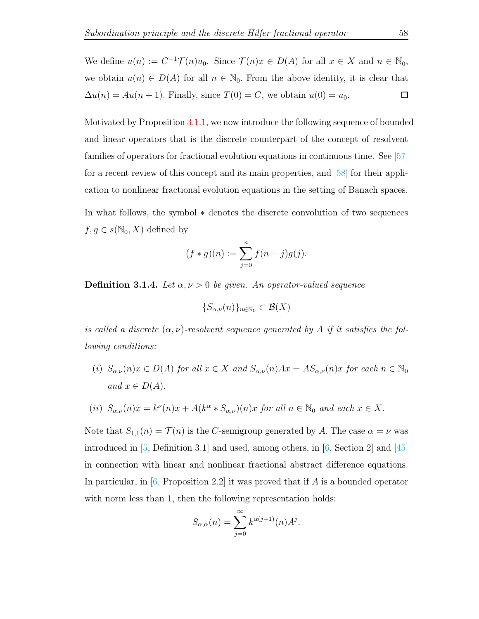We define  $u(n) := C^{-1} \mathcal{T}(n) u_0$ . Since  $\mathcal{T}(n)x \in D(A)$  for all  $x \in X$  and  $n \in \mathbb{N}_0$ , we obtain  $u(n) \in D(A)$  for all  $n \in \mathbb{N}_0$ . From the above identity, it is clear that  $\Delta u(n) = Au(n + 1)$ . Finally, since  $T(0) = C$ , we obtain  $u(0) = u_0$ .  $\Box$ 

Motivated by Proposition [3.1.1,](#page-55-0) we now introduce the following sequence of bounded and linear operators that is the discrete counterpart of the concept of resolvent families of operators for fractional evolution equations in continuous time. See [\[57\]](#page-100-1) for a recent review of this concept and its main properties, and [\[58\]](#page-100-2) for their application to nonlinear fractional evolution equations in the setting of Banach spaces.

In what follows, the symbol ∗ denotes the discrete convolution of two sequences  $f, g \in s(\mathbb{N}_0, X)$  defined by

$$
(f * g)(n) := \sum_{j=0}^{n} f(n-j)g(j).
$$

<span id="page-57-0"></span>**Definition 3.1.4.** Let  $\alpha, \nu > 0$  be given. An operator-valued sequence

$$
\{S_{\alpha,\nu}(n)\}_{n\in\mathbb{N}_0}\subset\mathcal{B}(X)
$$

is called a discrete  $(\alpha, \nu)$ -resolvent sequence generated by A if it satisfies the following conditions:

- (i)  $S_{\alpha,\nu}(n)x \in D(A)$  for all  $x \in X$  and  $S_{\alpha,\nu}(n)Ax = AS_{\alpha,\nu}(n)x$  for each  $n \in \mathbb{N}_0$ and  $x \in D(A)$ .
- (ii)  $S_{\alpha,\nu}(n)x = k^{\nu}(n)x + A(k^{\alpha} * S_{\alpha,\nu})(n)x$  for all  $n \in \mathbb{N}_0$  and each  $x \in X$ .

Note that  $S_{1,1}(n) = \mathcal{T}(n)$  is the C-semigroup generated by A. The case  $\alpha = \nu$  was introduced in [\[5,](#page-94-2) Definition 3.1] and used, among others, in [\[6,](#page-94-3) Section 2] and [\[45\]](#page-98-1) in connection with linear and nonlinear fractional abstract difference equations. In particular, in  $[6,$  Proposition 2.2 it was proved that if A is a bounded operator with norm less than 1, then the following representation holds:

$$
S_{\alpha,\alpha}(n) = \sum_{j=0}^{\infty} k^{\alpha(j+1)}(n)A^j.
$$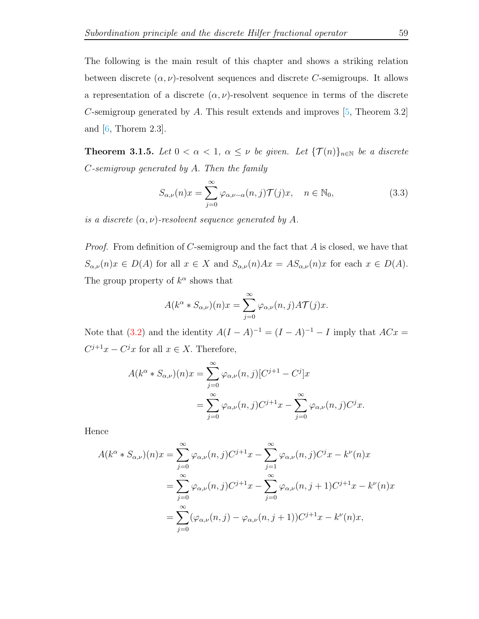The following is the main result of this chapter and shows a striking relation between discrete  $(\alpha, \nu)$ -resolvent sequences and discrete C-semigroups. It allows a representation of a discrete  $(\alpha, \nu)$ -resolvent sequence in terms of the discrete C-semigroup generated by A. This result extends and improves [\[5,](#page-94-2) Theorem 3.2] and [\[6,](#page-94-3) Thorem 2.3].

<span id="page-58-0"></span>**Theorem 3.1.5.** Let  $0 < \alpha < 1$ ,  $\alpha \leq \nu$  be given. Let  $\{\mathcal{T}(n)\}_{n\in\mathbb{N}}$  be a discrete C-semigroup generated by A. Then the family

<span id="page-58-1"></span>
$$
S_{\alpha,\nu}(n)x = \sum_{j=0}^{\infty} \varphi_{\alpha,\nu-\alpha}(n,j) \mathcal{T}(j)x, \quad n \in \mathbb{N}_0,
$$
 (3.3)

is a discrete  $(\alpha, \nu)$ -resolvent sequence generated by A.

*Proof.* From definition of C-semigroup and the fact that A is closed, we have that  $S_{\alpha,\nu}(n)x \in D(A)$  for all  $x \in X$  and  $S_{\alpha,\nu}(n)Ax = AS_{\alpha,\nu}(n)x$  for each  $x \in D(A)$ . The group property of  $k^{\alpha}$  shows that

$$
A(k^{\alpha}*S_{\alpha,\nu})(n)x = \sum_{j=0}^{\infty} \varphi_{\alpha,\nu}(n,j) A \mathcal{T}(j)x.
$$

Note that [\(3.2\)](#page-56-0) and the identity  $A(I - A)^{-1} = (I - A)^{-1} - I$  imply that  $ACx =$  $C^{j+1}x - C^jx$  for all  $x \in X$ . Therefore,

$$
A(k^{\alpha} * S_{\alpha,\nu})(n)x = \sum_{j=0}^{\infty} \varphi_{\alpha,\nu}(n,j)[C^{j+1} - C^j]x
$$
  
= 
$$
\sum_{j=0}^{\infty} \varphi_{\alpha,\nu}(n,j)C^{j+1}x - \sum_{j=0}^{\infty} \varphi_{\alpha,\nu}(n,j)C^jx.
$$

Hence

$$
A(k^{\alpha} * S_{\alpha,\nu})(n)x = \sum_{j=0}^{\infty} \varphi_{\alpha,\nu}(n,j)C^{j+1}x - \sum_{j=1}^{\infty} \varphi_{\alpha,\nu}(n,j)C^{j}x - k^{\nu}(n)x
$$
  
= 
$$
\sum_{j=0}^{\infty} \varphi_{\alpha,\nu}(n,j)C^{j+1}x - \sum_{j=0}^{\infty} \varphi_{\alpha,\nu}(n,j+1)C^{j+1}x - k^{\nu}(n)x
$$
  
= 
$$
\sum_{j=0}^{\infty} (\varphi_{\alpha,\nu}(n,j) - \varphi_{\alpha,\nu}(n,j+1))C^{j+1}x - k^{\nu}(n)x,
$$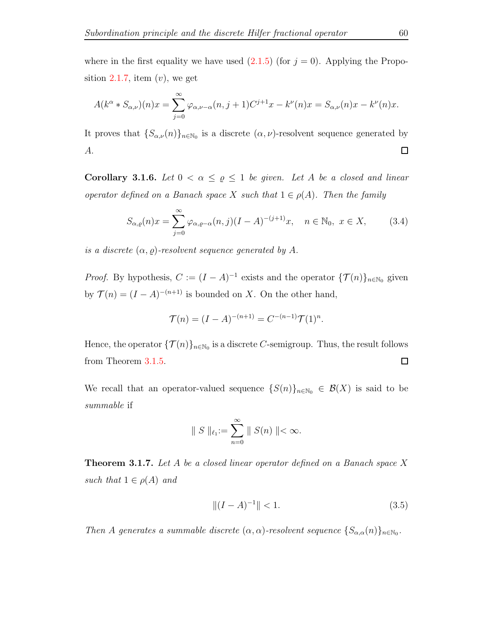where in the first equality we have used  $(2.1.5)$  (for  $j = 0$ ). Applying the Propo-sition [2.1.7,](#page-36-0) item  $(v)$ , we get

$$
A(k^{\alpha} * S_{\alpha,\nu})(n)x = \sum_{j=0}^{\infty} \varphi_{\alpha,\nu-\alpha}(n, j+1)C^{j+1}x - k^{\nu}(n)x = S_{\alpha,\nu}(n)x - k^{\nu}(n)x.
$$

It proves that  $\{S_{\alpha,\nu}(n)\}_{n\in\mathbb{N}_0}$  is a discrete  $(\alpha,\nu)$ -resolvent sequence generated by A.  $\Box$ 

<span id="page-59-0"></span>Corollary 3.1.6. Let  $0 < \alpha \leq \varrho \leq 1$  be given. Let A be a closed and linear operator defined on a Banach space X such that  $1 \in \rho(A)$ . Then the family

$$
S_{\alpha,\varrho}(n)x = \sum_{j=0}^{\infty} \varphi_{\alpha,\varrho-\alpha}(n,j)(I-A)^{-(j+1)}x, \quad n \in \mathbb{N}_0, \ x \in X,
$$
 (3.4)

is a discrete  $(\alpha, \rho)$ -resolvent sequence generated by A.

*Proof.* By hypothesis,  $C := (I - A)^{-1}$  exists and the operator  $\{\mathcal{T}(n)\}_{n \in \mathbb{N}_0}$  given by  $\mathcal{T}(n) = (I - A)^{-(n+1)}$  is bounded on X. On the other hand,

$$
\mathcal{T}(n) = (I - A)^{-(n+1)} = C^{-(n-1)} \mathcal{T}(1)^n.
$$

Hence, the operator  $\{\mathcal{T}(n)\}_{n\in\mathbb{N}_0}$  is a discrete C-semigroup. Thus, the result follows from Theorem [3.1.5.](#page-58-0)  $\Box$ 

We recall that an operator-valued sequence  $\{S(n)\}_{n\in\mathbb{N}_0} \in \mathcal{B}(X)$  is said to be summable if

$$
|| S ||_{\ell_1} := \sum_{n=0}^{\infty} || S(n) || < \infty.
$$

**Theorem 3.1.7.** Let A be a closed linear operator defined on a Banach space X such that  $1 \in \rho(A)$  and

<span id="page-59-1"></span>
$$
\|(I - A)^{-1}\| < 1. \tag{3.5}
$$

Then A generates a summable discrete  $(\alpha, \alpha)$ -resolvent sequence  $\{S_{\alpha,\alpha}(n)\}_{n\in\mathbb{N}_0}$ .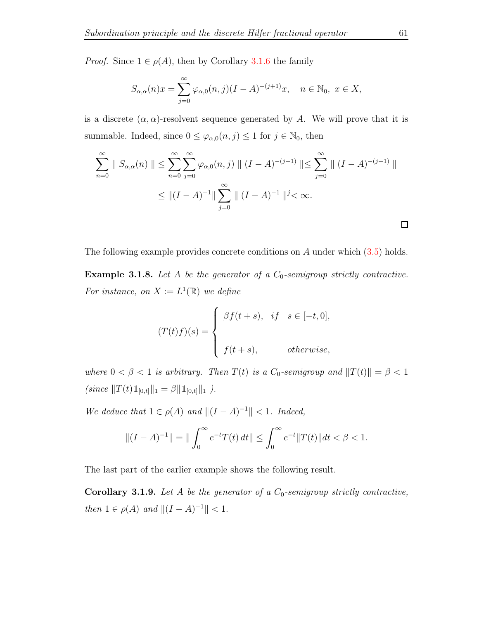*Proof.* Since  $1 \in \rho(A)$ , then by Corollary [3.1.6](#page-59-0) the family

$$
S_{\alpha,\alpha}(n)x = \sum_{j=0}^{\infty} \varphi_{\alpha,0}(n,j)(I-A)^{-(j+1)}x, \quad n \in \mathbb{N}_0, \ x \in X,
$$

is a discrete  $(\alpha, \alpha)$ -resolvent sequence generated by A. We will prove that it is summable. Indeed, since  $0 \leq \varphi_{\alpha,0}(n,j) \leq 1$  for  $j \in \mathbb{N}_0$ , then

$$
\sum_{n=0}^{\infty} \| S_{\alpha,\alpha}(n) \| \le \sum_{n=0}^{\infty} \sum_{j=0}^{\infty} \varphi_{\alpha,0}(n,j) \| (I - A)^{-(j+1)} \| \le \sum_{j=0}^{\infty} \| (I - A)^{-(j+1)} \|
$$
  

$$
\le \| (I - A)^{-1} \| \sum_{j=0}^{\infty} \| (I - A)^{-1} \|^{j} < \infty.
$$

The following example provides concrete conditions on A under which [\(3.5\)](#page-59-1) holds.

**Example 3.1.8.** Let A be the generator of a  $C_0$ -semigroup strictly contractive. For instance, on  $X := L^1(\mathbb{R})$  we define

$$
(T(t)f)(s) = \begin{cases} \beta f(t+s), & if \quad s \in [-t,0], \\ & \\ f(t+s), & otherwise, \end{cases}
$$

where  $0 < \beta < 1$  is arbitrary. Then  $T(t)$  is a  $C_0$ -semigroup and  $||T(t)|| = \beta < 1$ (since  $||T(t)1\!\!1_{[0,t]}||_1 = \beta ||1\!\!1_{[0,t]}||_1$  ).

We deduce that  $1 \in \rho(A)$  and  $||(I - A)^{-1}|| < 1$ . Indeed,

$$
||(I - A)^{-1}|| = ||\int_0^\infty e^{-t}T(t) dt|| \le \int_0^\infty e^{-t} ||T(t)|| dt < \beta < 1.
$$

The last part of the earlier example shows the following result.

**Corollary 3.1.9.** Let A be the generator of a  $C_0$ -semigroup strictly contractive, then  $1 \in \rho(A)$  and  $||(I - A)^{-1}|| < 1$ .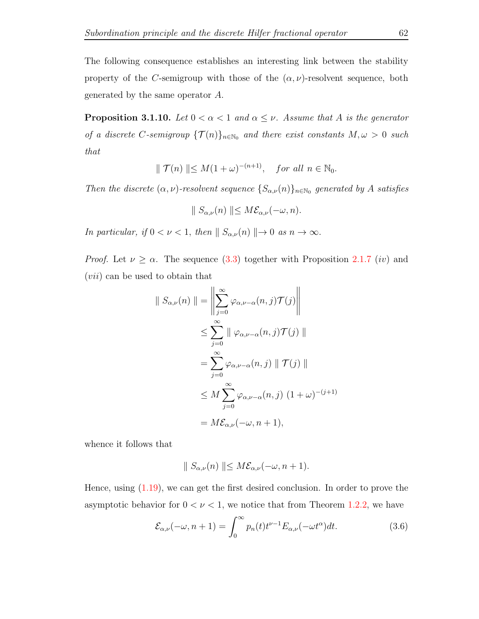The following consequence establishes an interesting link between the stability property of the C-semigroup with those of the  $(\alpha, \nu)$ -resolvent sequence, both generated by the same operator A.

**Proposition 3.1.10.** Let  $0 < \alpha < 1$  and  $\alpha \leq \nu$ . Assume that A is the generator of a discrete C-semigroup  $\{\mathcal{T}(n)\}_{n\in\mathbb{N}_0}$  and there exist constants  $M, \omega > 0$  such that

$$
\parallel \mathcal{T}(n) \parallel \leq M(1+\omega)^{-(n+1)}, \quad \text{for all } n \in \mathbb{N}_0.
$$

Then the discrete  $(\alpha, \nu)$ -resolvent sequence  $\{S_{\alpha, \nu}(n)\}_{n \in \mathbb{N}_0}$  generated by A satisfies

$$
\parallel S_{\alpha,\nu}(n) \parallel \leq M \mathcal{E}_{\alpha,\nu}(-\omega,n).
$$

In particular, if  $0 < \nu < 1$ , then  $|| S_{\alpha,\nu}(n) || \rightarrow 0$  as  $n \rightarrow \infty$ .

*Proof.* Let  $\nu \geq \alpha$ . The sequence [\(3.3\)](#page-58-1) together with Proposition [2.1.7](#page-36-0) (iv) and (vii) can be used to obtain that

$$
\| S_{\alpha,\nu}(n) \| = \left\| \sum_{j=0}^{\infty} \varphi_{\alpha,\nu-\alpha}(n,j) \mathcal{T}(j) \right\|
$$
  

$$
\leq \sum_{j=0}^{\infty} \| \varphi_{\alpha,\nu-\alpha}(n,j) \mathcal{T}(j) \|
$$
  

$$
= \sum_{j=0}^{\infty} \varphi_{\alpha,\nu-\alpha}(n,j) \| \mathcal{T}(j) \|
$$
  

$$
\leq M \sum_{j=0}^{\infty} \varphi_{\alpha,\nu-\alpha}(n,j) (1+\omega)^{-(j+1)}
$$
  

$$
= M \mathcal{E}_{\alpha,\nu}(-\omega, n+1),
$$

whence it follows that

$$
\parallel S_{\alpha,\nu}(n) \parallel \leq M \mathcal{E}_{\alpha,\nu}(-\omega, n+1).
$$

Hence, using [\(1.19\)](#page-25-3), we can get the first desired conclusion. In order to prove the asymptotic behavior for  $0 < \nu < 1$ , we notice that from Theorem [1.2.2,](#page-26-0) we have

<span id="page-61-0"></span>
$$
\mathcal{E}_{\alpha,\nu}(-\omega,n+1) = \int_0^\infty p_n(t)t^{\nu-1} E_{\alpha,\nu}(-\omega t^\alpha) dt.
$$
 (3.6)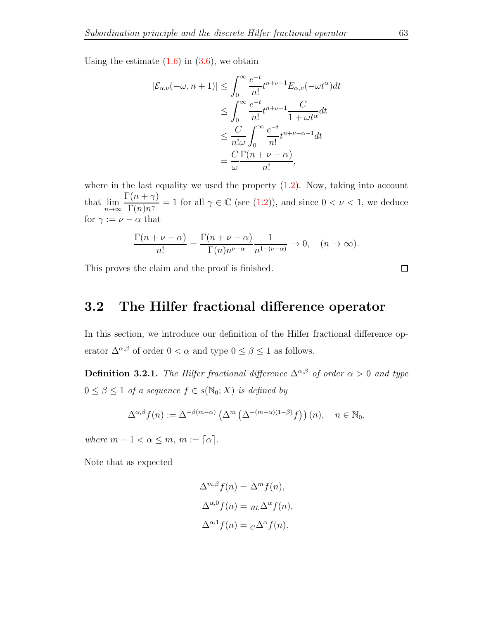Using the estimate  $(1.6)$  in  $(3.6)$ , we obtain

$$
|\mathcal{E}_{\alpha,\nu}(-\omega,n+1)| \leq \int_0^\infty \frac{e^{-t}}{n!} t^{n+\nu-1} E_{\alpha,\nu}(-\omega t^{\alpha}) dt
$$
  

$$
\leq \int_0^\infty \frac{e^{-t}}{n!} t^{n+\nu-1} \frac{C}{1+\omega t^{\alpha}} dt
$$
  

$$
\leq \frac{C}{n! \omega} \int_0^\infty \frac{e^{-t}}{n!} t^{n+\nu-\alpha-1} dt
$$
  

$$
= \frac{C}{\omega} \frac{\Gamma(n+\nu-\alpha)}{n!},
$$

where in the last equality we used the property  $(1.2)$ . Now, taking into account that  $\lim_{n\to\infty}$  $\Gamma(n+\gamma)$  $\frac{(n+\gamma)}{\Gamma(n)n^{\gamma}} = 1$  for all  $\gamma \in \mathbb{C}$  (see [\(1.2\)](#page-19-1)), and since  $0 < \nu < 1$ , we deduce for  $\gamma := \nu - \alpha$  that

$$
\frac{\Gamma(n+\nu-\alpha)}{n!} = \frac{\Gamma(n+\nu-\alpha)}{\Gamma(n)n^{\nu-\alpha}} \frac{1}{n^{1-(\nu-\alpha)}} \to 0, \quad (n \to \infty).
$$

This proves the claim and the proof is finished.

 $\Box$ 

## 3.2 The Hilfer fractional difference operator

In this section, we introduce our definition of the Hilfer fractional difference operator  $\Delta^{\alpha,\beta}$  of order  $0<\alpha$  and type  $0\leq\beta\leq1$  as follows.

<span id="page-62-0"></span>**Definition 3.2.1.** The Hilfer fractional difference  $\Delta^{\alpha,\beta}$  of order  $\alpha > 0$  and type  $0 \leq \beta \leq 1$  of a sequence  $f \in s(\mathbb{N}_0; X)$  is defined by

$$
\Delta^{\alpha,\beta} f(n) := \Delta^{-\beta(m-\alpha)} \left( \Delta^m \left( \Delta^{-(m-\alpha)(1-\beta)} f \right) \right) (n), \quad n \in \mathbb{N}_0,
$$

where  $m - 1 < \alpha \leq m$ ,  $m := \lceil \alpha \rceil$ .

Note that as expected

$$
\Delta^{m,\beta} f(n) = \Delta^m f(n),
$$
  

$$
\Delta^{\alpha,0} f(n) = R L \Delta^{\alpha} f(n),
$$
  

$$
\Delta^{\alpha,1} f(n) = C \Delta^{\alpha} f(n).
$$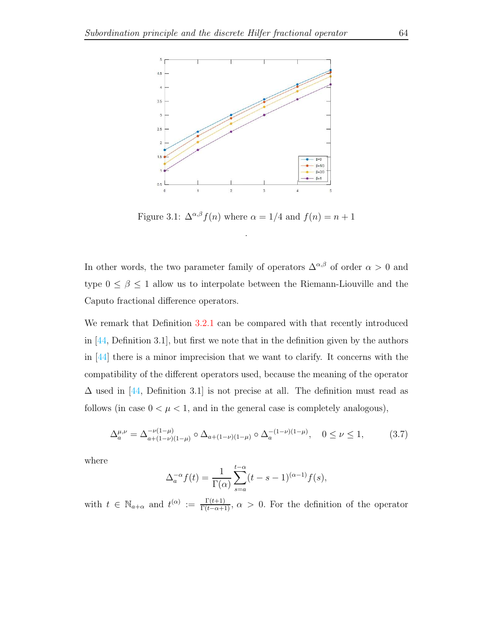

Figure 3.1:  $\Delta^{\alpha,\beta} f(n)$  where  $\alpha = 1/4$  and  $f(n) = n + 1$ 

.

In other words, the two parameter family of operators  $\Delta^{\alpha,\beta}$  of order  $\alpha > 0$  and type 0 $\leq$   $\beta$   $\leq$  1 allow us to interpolate between the Riemann-Liouville and the Caputo fractional difference operators.

We remark that Definition [3.2.1](#page-62-0) can be compared with that recently introduced in [\[44,](#page-98-2) Definition 3.1], but first we note that in the definition given by the authors in [\[44\]](#page-98-2) there is a minor imprecision that we want to clarify. It concerns with the compatibility of the different operators used, because the meaning of the operator  $\Delta$  used in [\[44,](#page-98-2) Definition 3.1] is not precise at all. The definition must read as follows (in case  $0 < \mu < 1$ , and in the general case is completely analogous),

<span id="page-63-0"></span>
$$
\Delta_a^{\mu,\nu} = \Delta_{a+(1-\nu)(1-\mu)}^{-\nu(1-\mu)} \circ \Delta_{a+(1-\nu)(1-\mu)} \circ \Delta_a^{-(1-\nu)(1-\mu)}, \quad 0 \le \nu \le 1,
$$
 (3.7)

where

$$
\Delta_a^{-\alpha} f(t) = \frac{1}{\Gamma(\alpha)} \sum_{s=a}^{t-\alpha} (t-s-1)^{(\alpha-1)} f(s),
$$

with  $t \in \mathbb{N}_{a+\alpha}$  and  $t^{(\alpha)} := \frac{\Gamma(t+1)}{\Gamma(t-\alpha+1)}, \alpha > 0$ . For the definition of the operator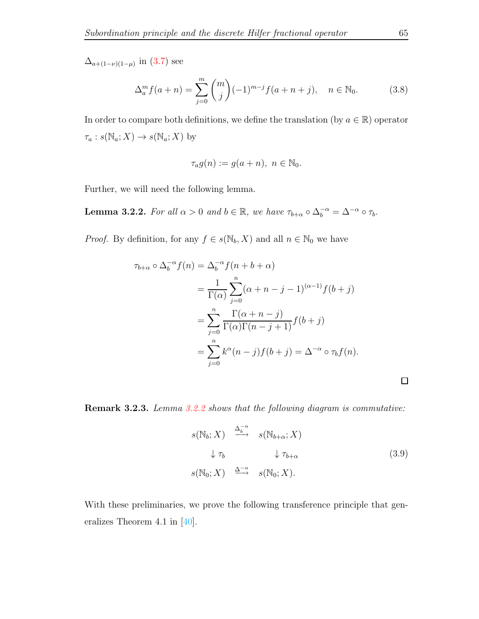$\Delta_{a+(1-\nu)(1-\mu)}$  in [\(3.7\)](#page-63-0) see

<span id="page-64-1"></span>
$$
\Delta_a^m f(a+n) = \sum_{j=0}^m \binom{m}{j} (-1)^{m-j} f(a+n+j), \quad n \in \mathbb{N}_0.
$$
 (3.8)

In order to compare both definitions, we define the translation (by  $a \in \mathbb{R}$ ) operator  $\tau_a : s(\mathbb{N}_a; X) \to s(\mathbb{N}_a; X)$  by

$$
\tau_a g(n) := g(a+n), \ n \in \mathbb{N}_0.
$$

Further, we will need the following lemma.

<span id="page-64-0"></span>**Lemma 3.2.2.** For all  $\alpha > 0$  and  $b \in \mathbb{R}$ , we have  $\tau_{b+\alpha} \circ \Delta_b^{-\alpha} = \Delta^{-\alpha} \circ \tau_b$ .

*Proof.* By definition, for any  $f \in s(\mathbb{N}_b, X)$  and all  $n \in \mathbb{N}_0$  we have

$$
\tau_{b+\alpha} \circ \Delta_b^{-\alpha} f(n) = \Delta_b^{-\alpha} f(n+b+\alpha)
$$
  
= 
$$
\frac{1}{\Gamma(\alpha)} \sum_{j=0}^n (\alpha+n-j-1)^{(\alpha-1)} f(b+j)
$$
  
= 
$$
\sum_{j=0}^n \frac{\Gamma(\alpha+n-j)}{\Gamma(\alpha)\Gamma(n-j+1)} f(b+j)
$$
  
= 
$$
\sum_{j=0}^n k^{\alpha} (n-j) f(b+j) = \Delta^{-\alpha} \circ \tau_b f(n).
$$

Remark 3.2.3. Lemma [3.2.2](#page-64-0) shows that the following diagram is commutative:

<span id="page-64-2"></span>
$$
s(\mathbb{N}_{b}; X) \xrightarrow{\Delta_{b}^{-\alpha}} s(\mathbb{N}_{b+\alpha}; X)
$$
  

$$
\downarrow \tau_{b} \qquad \qquad \downarrow \tau_{b+\alpha}
$$
  

$$
s(\mathbb{N}_{0}; X) \xrightarrow{\Delta^{-\alpha}} s(\mathbb{N}_{0}; X).
$$
  

$$
(3.9)
$$

With these preliminaries, we prove the following transference principle that generalizes Theorem 4.1 in [\[40\]](#page-98-3).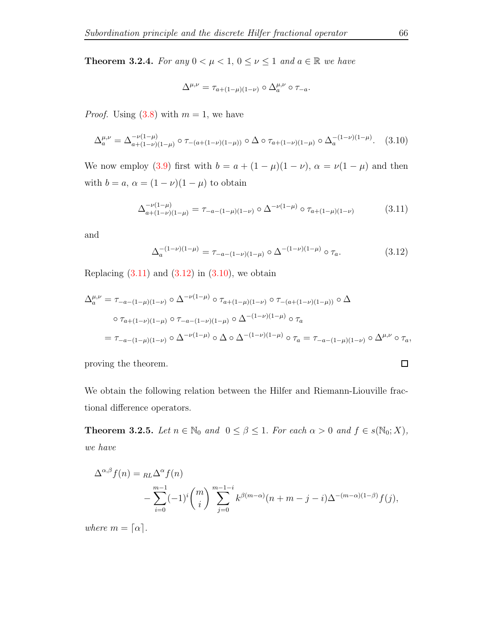<span id="page-65-3"></span>**Theorem 3.2.4.** For any  $0 < \mu < 1$ ,  $0 \le \nu \le 1$  and  $a \in \mathbb{R}$  we have

$$
\Delta^{\mu,\nu} = \tau_{a+(1-\mu)(1-\nu)} \circ \Delta_a^{\mu,\nu} \circ \tau_{-a}.
$$

*Proof.* Using [\(3.8\)](#page-64-1) with  $m = 1$ , we have

<span id="page-65-2"></span>
$$
\Delta_a^{\mu,\nu} = \Delta_{a+(1-\nu)(1-\mu)}^{-\nu(1-\mu)} \circ \tau_{-(a+(1-\nu)(1-\mu))} \circ \Delta \circ \tau_{a+(1-\nu)(1-\mu)} \circ \Delta_a^{-(1-\nu)(1-\mu)}.
$$
 (3.10)

We now employ [\(3.9\)](#page-64-2) first with  $b = a + (1 - \mu)(1 - \nu)$ ,  $\alpha = \nu(1 - \mu)$  and then with  $b = a$ ,  $\alpha = (1 - \nu)(1 - \mu)$  to obtain

<span id="page-65-0"></span>
$$
\Delta_{a+(1-\nu)(1-\mu)}^{-\nu(1-\mu)} = \tau_{-a-(1-\mu)(1-\nu)} \circ \Delta^{-\nu(1-\mu)} \circ \tau_{a+(1-\mu)(1-\nu)} \tag{3.11}
$$

and

<span id="page-65-1"></span>
$$
\Delta_a^{-(1-\nu)(1-\mu)} = \tau_{-a-(1-\nu)(1-\mu)} \circ \Delta^{-(1-\nu)(1-\mu)} \circ \tau_a.
$$
\n(3.12)

Replacing  $(3.11)$  and  $(3.12)$  in  $(3.10)$ , we obtain

$$
\Delta_a^{\mu,\nu} = \tau_{-a-(1-\mu)(1-\nu)} \circ \Delta^{-\nu(1-\mu)} \circ \tau_{a+(1-\mu)(1-\nu)} \circ \tau_{-(a+(1-\nu)(1-\mu))} \circ \Delta
$$
  

$$
\circ \tau_{a+(1-\nu)(1-\mu)} \circ \tau_{-a-(1-\nu)(1-\mu)} \circ \Delta^{-(1-\nu)(1-\mu)} \circ \tau_a
$$
  

$$
= \tau_{-a-(1-\mu)(1-\nu)} \circ \Delta^{-\nu(1-\mu)} \circ \Delta \circ \Delta^{-(1-\nu)(1-\mu)} \circ \tau_a = \tau_{-a-(1-\mu)(1-\nu)} \circ \Delta^{\mu,\nu} \circ \tau_a,
$$

proving the theorem.

We obtain the following relation between the Hilfer and Riemann-Liouville fractional difference operators.

**Theorem 3.2.5.** Let  $n \in \mathbb{N}_0$  and  $0 \le \beta \le 1$ . For each  $\alpha > 0$  and  $f \in s(\mathbb{N}_0; X)$ , we have

$$
\Delta^{\alpha,\beta} f(n) = {}_{RL}\Delta^{\alpha} f(n)
$$
  

$$
- \sum_{i=0}^{m-1} (-1)^i {m \choose i} \sum_{j=0}^{m-1-i} k^{\beta(m-\alpha)} (n+m-j-i) \Delta^{-(m-\alpha)(1-\beta)} f(j),
$$

where  $m = \lceil \alpha \rceil$ .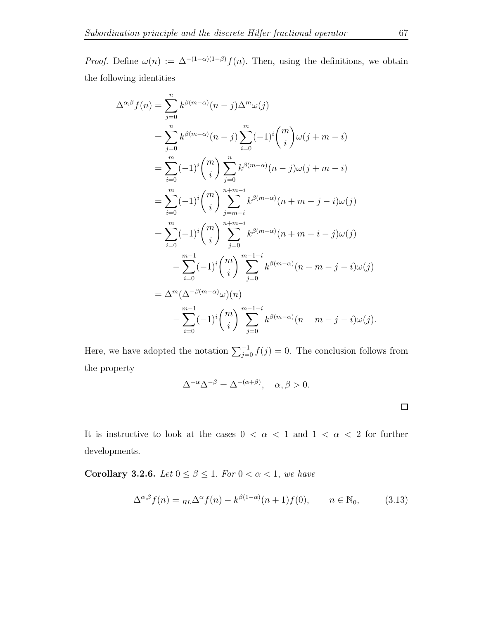*Proof.* Define  $\omega(n) := \Delta^{-(1-\alpha)(1-\beta)} f(n)$ . Then, using the definitions, we obtain the following identities

$$
\Delta^{\alpha,\beta} f(n) = \sum_{j=0}^{n} k^{\beta(m-\alpha)} (n-j) \Delta^{m} \omega(j)
$$
  
\n
$$
= \sum_{j=0}^{n} k^{\beta(m-\alpha)} (n-j) \sum_{i=0}^{m} (-1)^{i} {m \choose i} \omega(j+m-i)
$$
  
\n
$$
= \sum_{i=0}^{m} (-1)^{i} {m \choose i} \sum_{j=0}^{n} k^{\beta(m-\alpha)} (n-j) \omega(j+m-i)
$$
  
\n
$$
= \sum_{i=0}^{m} (-1)^{i} {m \choose i} \sum_{j=m-i}^{n+m-i} k^{\beta(m-\alpha)} (n+m-j-i) \omega(j)
$$
  
\n
$$
= \sum_{i=0}^{m} (-1)^{i} {m \choose i} \sum_{j=0}^{n+m-i} k^{\beta(m-\alpha)} (n+m-i-j) \omega(j)
$$
  
\n
$$
- \sum_{i=0}^{m-1} (-1)^{i} {m \choose i} \sum_{j=0}^{m-1-i} k^{\beta(m-\alpha)} (n+m-j-i) \omega(j)
$$
  
\n
$$
= \Delta^{m} (\Delta^{-\beta(m-\alpha)} \omega)(n)
$$
  
\n
$$
- \sum_{i=0}^{m-1} (-1)^{i} {m \choose i} \sum_{j=0}^{m-1-i} k^{\beta(m-\alpha)} (n+m-j-i) \omega(j).
$$

Here, we have adopted the notation  $\sum_{j=0}^{-1} f(j) = 0$ . The conclusion follows from the property

$$
\Delta^{-\alpha}\Delta^{-\beta} = \Delta^{-(\alpha+\beta)}, \quad \alpha, \beta > 0.
$$

It is instructive to look at the cases  $0 < \alpha < 1$  and  $1 < \alpha < 2$  for further developments.

<span id="page-66-0"></span>Corollary 3.2.6. Let  $0 \le \beta \le 1$ . For  $0 < \alpha < 1$ , we have

$$
\Delta^{\alpha,\beta} f(n) = {}_{RL}\Delta^{\alpha} f(n) - k^{\beta(1-\alpha)}(n+1)f(0), \qquad n \in \mathbb{N}_0,
$$
 (3.13)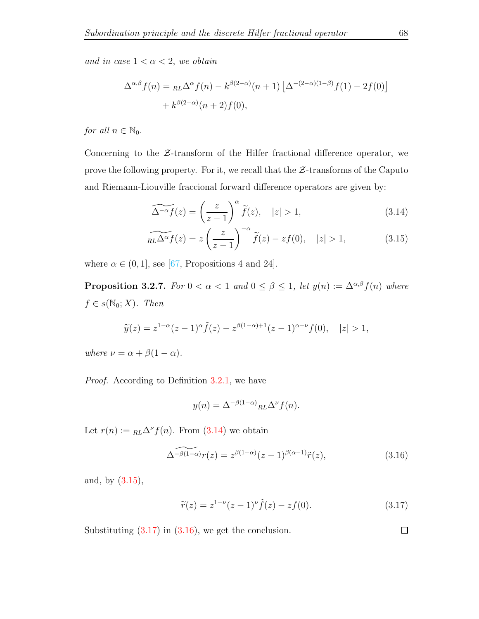and in case  $1 < \alpha < 2$ , we obtain

$$
\Delta^{\alpha,\beta} f(n) =_{RL} \Delta^{\alpha} f(n) - k^{\beta(2-\alpha)}(n+1) \left[ \Delta^{-(2-\alpha)(1-\beta)} f(1) - 2f(0) \right] + k^{\beta(2-\alpha)}(n+2) f(0),
$$

for all  $n \in \mathbb{N}_0$ .

Concerning to the  $\mathcal{Z}\text{-transform}$  of the Hilfer fractional difference operator, we prove the following property. For it, we recall that the  $\mathcal{Z}\text{-transforms}$  of the Caputo and Riemann-Liouville fraccional forward difference operators are given by:

<span id="page-67-1"></span><span id="page-67-0"></span>
$$
\widetilde{\Delta^{-\alpha}f}(z) = \left(\frac{z}{z-1}\right)^{\alpha} \widetilde{f}(z), \quad |z| > 1,
$$
\n(3.14)

$$
\widetilde{RL\Delta^{\alpha}f}(z) = z \left(\frac{z}{z-1}\right)^{-\alpha} \widetilde{f}(z) - zf(0), \quad |z| > 1,
$$
\n(3.15)

where  $\alpha \in (0, 1]$ , see [\[67,](#page-101-1) Propositions 4 and 24].

<span id="page-67-4"></span>**Proposition 3.2.7.** For  $0 < \alpha < 1$  and  $0 \le \beta \le 1$ , let  $y(n) := \Delta^{\alpha,\beta} f(n)$  where  $f \in s(\mathbb{N}_0; X)$ . Then

$$
\widetilde{y}(z) = z^{1-\alpha}(z-1)^{\alpha} \widetilde{f}(z) - z^{\beta(1-\alpha)+1}(z-1)^{\alpha-\nu} f(0), \quad |z| > 1,
$$

where  $\nu = \alpha + \beta(1 - \alpha)$ .

Proof. According to Definition [3.2.1,](#page-62-0) we have

<span id="page-67-3"></span>
$$
y(n) = \Delta^{-\beta(1-\alpha)}{}_{RL}\Delta^{\nu}f(n).
$$

Let  $r(n) := R L \Delta^{\nu} f(n)$ . From [\(3.14\)](#page-67-0) we obtain

$$
\widetilde{\Delta^{-\beta(1-\alpha)}}r(z) = z^{\beta(1-\alpha)}(z-1)^{\beta(\alpha-1)}\widetilde{r}(z), \tag{3.16}
$$

and, by [\(3.15\)](#page-67-1),

<span id="page-67-2"></span>
$$
\tilde{r}(z) = z^{1-\nu}(z-1)^{\nu}\tilde{f}(z) - zf(0).
$$
\n(3.17)

Substituting  $(3.17)$  in  $(3.16)$ , we get the conclusion.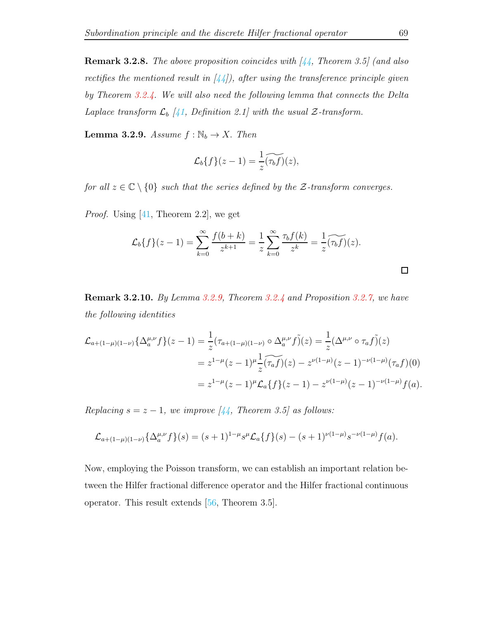**Remark 3.2.8.** The above proposition coincides with  $[44,$  Theorem 3.5] (and also rectifies the mentioned result in  $[44]$ , after using the transference principle given by Theorem [3.2.4.](#page-65-3) We will also need the following lemma that connects the Delta Laplace transform  $\mathcal{L}_b$  [\[41,](#page-98-4) Definition 2.1] with the usual  $\mathcal{Z}$ -transform.

<span id="page-68-0"></span>**Lemma 3.2.9.** Assume  $f : \mathbb{N}_b \to X$ . Then

$$
\mathcal{L}_b\{f\}(z-1) = \frac{1}{z} \widetilde{(\tau_b f)}(z),
$$

for all  $z \in \mathbb{C} \setminus \{0\}$  such that the series defined by the  $\mathcal{Z}$ -transform converges.

*Proof.* Using  $[41,$  Theorem 2.2, we get

$$
\mathcal{L}_{b}\{f\}(z-1) = \sum_{k=0}^{\infty} \frac{f(b+k)}{z^{k+1}} = \frac{1}{z} \sum_{k=0}^{\infty} \frac{\tau_{b}f(k)}{z^{k}} = \frac{1}{z} \widetilde{(\tau_{b}f)}(z).
$$

Remark 3.2.10. By Lemma [3.2.9,](#page-68-0) Theorem [3.2.4](#page-65-3) and Proposition [3.2.7,](#page-67-4) we have the following identities

$$
\mathcal{L}_{a+(1-\mu)(1-\nu)}\{\Delta_a^{\mu,\nu}f\}(z-1) = \frac{1}{z}(\tau_{a+(1-\mu)(1-\nu)} \circ \Delta_a^{\mu,\nu}f)(z) = \frac{1}{z}(\Delta^{\mu,\nu} \circ \tau_a f)(z)
$$
  

$$
= z^{1-\mu}(z-1)^{\mu}\frac{1}{z}(\tau_a f)(z) - z^{\nu(1-\mu)}(z-1)^{-\nu(1-\mu)}(\tau_a f)(0)
$$
  

$$
= z^{1-\mu}(z-1)^{\mu}\mathcal{L}_a\{f\}(z-1) - z^{\nu(1-\mu)}(z-1)^{-\nu(1-\mu)}f(a).
$$

Replacing  $s = z - 1$ , we improve [\[44,](#page-98-2) Theorem 3.5] as follows:

$$
\mathcal{L}_{a+(1-\mu)(1-\nu)}\{\Delta_a^{\mu,\nu}f\}(s)=(s+1)^{1-\mu}s^{\mu}\mathcal{L}_a\{f\}(s)-(s+1)^{\nu(1-\mu)}s^{-\nu(1-\mu)}f(a).
$$

Now, employing the Poisson transform, we can establish an important relation between the Hilfer fractional difference operator and the Hilfer fractional continuous operator. This result extends [\[56,](#page-100-0) Theorem 3.5].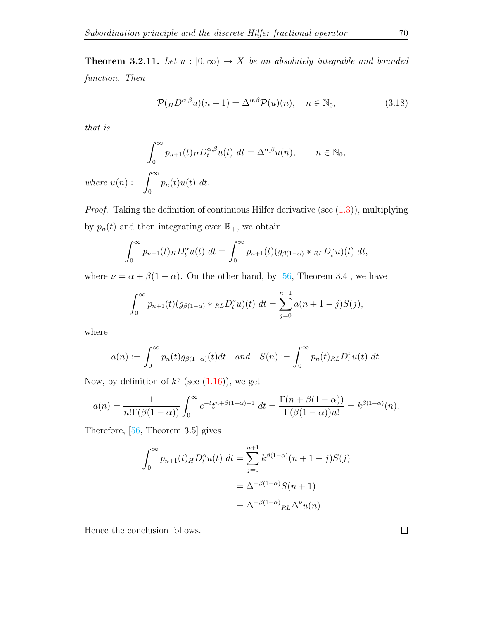**Theorem 3.2.11.** Let  $u : [0, \infty) \rightarrow X$  be an absolutely integrable and bounded function. Then

$$
\mathcal{P}(_HD^{\alpha,\beta}u)(n+1) = \Delta^{\alpha,\beta}\mathcal{P}(u)(n), \quad n \in \mathbb{N}_0,
$$
\n(3.18)

that is

$$
\int_0^\infty p_{n+1}(t)_H D_t^{\alpha,\beta} u(t) dt = \Delta^{\alpha,\beta} u(n), \qquad n \in \mathbb{N}_0,
$$
  
where  $u(n) := \int_0^\infty p_n(t) u(t) dt$ .

*Proof.* Taking the definition of continuous Hilfer derivative (see  $(1.3)$ ), multiplying by  $p_n(t)$  and then integrating over  $\mathbb{R}_+$ , we obtain

$$
\int_0^{\infty} p_{n+1}(t) \, dP_t^{\alpha} u(t) \, dt = \int_0^{\infty} p_{n+1}(t) \big( g_{\beta(1-\alpha)} * \, R_L D_t^{\nu} u \big)(t) \, dt,
$$

where  $\nu = \alpha + \beta(1 - \alpha)$ . On the other hand, by [\[56,](#page-100-0) Theorem 3.4], we have

$$
\int_0^\infty p_{n+1}(t)(g_{\beta(1-\alpha)} *_{RL} D_t^{\nu} u)(t) dt = \sum_{j=0}^{n+1} a(n+1-j)S(j),
$$

where

$$
a(n) := \int_0^\infty p_n(t) g_{\beta(1-\alpha)}(t) dt \quad and \quad S(n) := \int_0^\infty p_n(t)_{RL} D_t^{\nu} u(t) dt.
$$

Now, by definition of  $k^{\gamma}$  (see [\(1.16\)](#page-24-1)), we get

$$
a(n) = \frac{1}{n!\Gamma(\beta(1-\alpha))} \int_0^\infty e^{-t} t^{n+\beta(1-\alpha)-1} dt = \frac{\Gamma(n+\beta(1-\alpha))}{\Gamma(\beta(1-\alpha))n!} = k^{\beta(1-\alpha)}(n).
$$

Therefore, [\[56,](#page-100-0) Theorem 3.5] gives

$$
\int_0^\infty p_{n+1}(t)_H D_t^\alpha u(t) dt = \sum_{j=0}^{n+1} k^{\beta(1-\alpha)} (n+1-j)S(j)
$$

$$
= \Delta^{-\beta(1-\alpha)} S(n+1)
$$

$$
= \Delta^{-\beta(1-\alpha)} nL \Delta^\nu u(n).
$$

Hence the conclusion follows.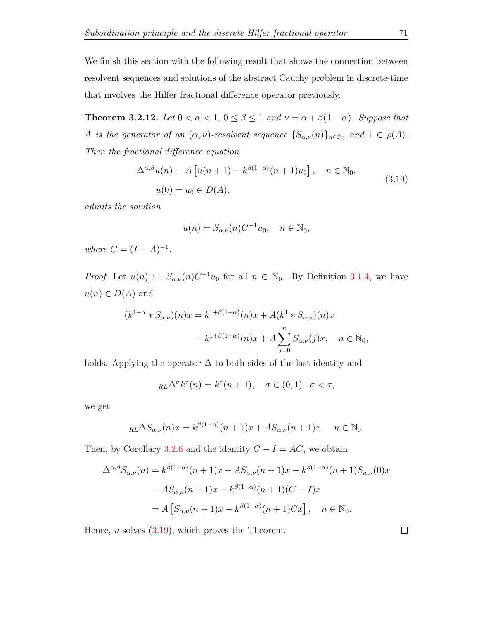We finish this section with the following result that shows the connection between resolvent sequences and solutions of the abstract Cauchy problem in discrete-time that involves the Hilfer fractional difference operator previously.

**Theorem 3.2.12.** Let  $0 < \alpha < 1$ ,  $0 \le \beta \le 1$  and  $\nu = \alpha + \beta(1 - \alpha)$ . Suppose that A is the generator of an  $(\alpha, \nu)$ -resolvent sequence  $\{S_{\alpha, \nu}(n)\}_{n \in \mathbb{N}_0}$  and  $1 \in \rho(A)$ . Then the fractional difference equation

<span id="page-70-0"></span>
$$
\Delta^{\alpha,\beta}u(n) = A[u(n+1) - k^{\beta(1-\alpha)}(n+1)u_0], \quad n \in \mathbb{N}_0,
$$
  

$$
u(0) = u_0 \in D(A),
$$
 (3.19)

admits the solution

$$
u(n) = S_{\alpha,\nu}(n)C^{-1}u_0, \quad n \in \mathbb{N}_0,
$$

where  $C = (I - A)^{-1}$ .

*Proof.* Let  $u(n) := S_{\alpha,\nu}(n)C^{-1}u_0$  for all  $n \in \mathbb{N}_0$ . By Definition [3.1.4,](#page-57-0) we have  $u(n) \in D(A)$  and

$$
(k^{1-\alpha} * S_{\alpha,\nu})(n)x = k^{1+\beta(1-\alpha)}(n)x + A(k^1 * S_{\alpha,\nu})(n)x
$$
  
=  $k^{1+\beta(1-\alpha)}(n)x + A \sum_{j=0}^{n} S_{\alpha,\nu}(j)x, \quad n \in \mathbb{N}_0,$ 

holds. Applying the operator  $\Delta$  to both sides of the last identity and

$$
_{RL}\Delta^{\sigma}k^{\tau}(n) = k^{\tau}(n+1), \quad \sigma \in (0,1), \ \sigma < \tau,
$$

we get

$$
_{RL}\Delta S_{\alpha,\nu}(n)x = k^{\beta(1-\alpha)}(n+1)x + AS_{\alpha,\nu}(n+1)x, \quad n \in \mathbb{N}_0.
$$

Then, by Corollary [3.2.6](#page-66-0) and the identity  $C - I = AC$ , we obtain

$$
\Delta^{\alpha,\beta} S_{\alpha,\nu}(n) = k^{\beta(1-\alpha)}(n+1)x + AS_{\alpha,\nu}(n+1)x - k^{\beta(1-\alpha)}(n+1)S_{\alpha,\nu}(0)x
$$
  
=  $AS_{\alpha,\nu}(n+1)x - k^{\beta(1-\alpha)}(n+1)(C-I)x$   
=  $A\left[S_{\alpha,\nu}(n+1)x - k^{\beta(1-\alpha)}(n+1)Cx\right], \quad n \in \mathbb{N}_0.$ 

Hence,  $u$  solves  $(3.19)$ , which proves the Theorem.

口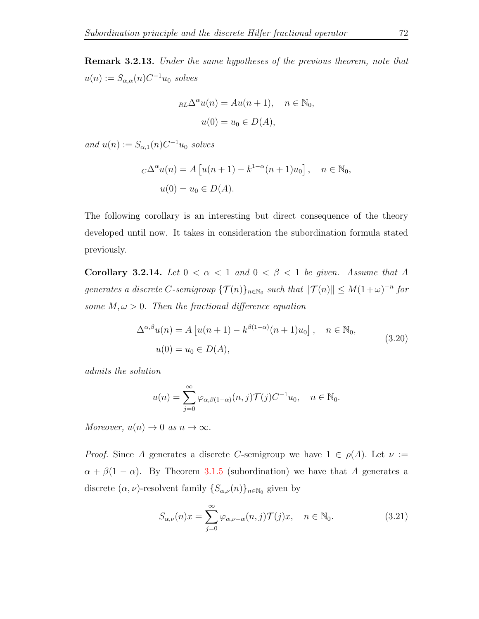Remark 3.2.13. Under the same hypotheses of the previous theorem, note that  $u(n) := S_{\alpha,\alpha}(n)C^{-1}u_0$  solves

$$
_{RL}\Delta^{\alpha}u(n) = Au(n+1), \quad n \in \mathbb{N}_0,
$$
  

$$
u(0) = u_0 \in D(A),
$$

and  $u(n) := S_{\alpha,1}(n)C^{-1}u_0$  solves

$$
c\Delta^{\alpha}u(n) = A[u(n+1) - k^{1-\alpha}(n+1)u_0], \quad n \in \mathbb{N}_0,
$$
  

$$
u(0) = u_0 \in D(A).
$$

The following corollary is an interesting but direct consequence of the theory developed until now. It takes in consideration the subordination formula stated previously.

Corollary 3.2.14. Let  $0 < \alpha < 1$  and  $0 < \beta < 1$  be given. Assume that A generates a discrete C-semigroup  $\{\mathcal{T}(n)\}_{n\in\mathbb{N}_0}$  such that  $\|\mathcal{T}(n)\| \leq M(1+\omega)^{-n}$  for some  $M, \omega > 0$ . Then the fractional difference equation

$$
\Delta^{\alpha,\beta}u(n) = A[u(n+1) - k^{\beta(1-\alpha)}(n+1)u_0], \quad n \in \mathbb{N}_0,
$$
  

$$
u(0) = u_0 \in D(A),
$$
 (3.20)

admits the solution

$$
u(n) = \sum_{j=0}^{\infty} \varphi_{\alpha,\beta(1-\alpha)}(n,j) \mathcal{T}(j) C^{-1} u_0, \quad n \in \mathbb{N}_0.
$$

Moreover,  $u(n) \to 0$  as  $n \to \infty$ .

*Proof.* Since A generates a discrete C-semigroup we have  $1 \in \rho(A)$ . Let  $\nu :=$  $\alpha + \beta(1-\alpha)$ . By Theorem [3.1.5](#page-58-0) (subordination) we have that A generates a discrete  $(\alpha, \nu)$ -resolvent family  $\{S_{\alpha, \nu}(n)\}_{n \in \mathbb{N}_0}$  given by

$$
S_{\alpha,\nu}(n)x = \sum_{j=0}^{\infty} \varphi_{\alpha,\nu-\alpha}(n,j) \mathcal{T}(j)x, \quad n \in \mathbb{N}_0.
$$
 (3.21)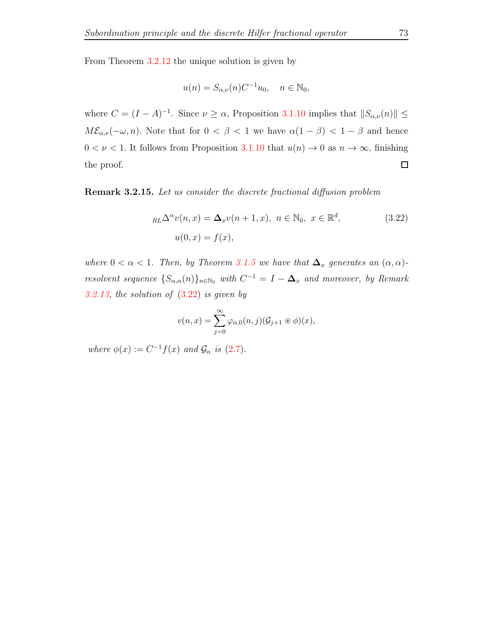From Theorem [3.2.12](#page-70-0) the unique solution is given by

$$
u(n) = S_{\alpha,\nu}(n)C^{-1}u_0, \quad n \in \mathbb{N}_0,
$$

where  $C = (I - A)^{-1}$ . Since  $\nu \ge \alpha$ , Proposition [3.1.10](#page-61-0) implies that  $||S_{\alpha,\nu}(n)|| \le$  $M\mathcal{E}_{\alpha,\nu}(-\omega,n)$ . Note that for  $0 < \beta < 1$  we have  $\alpha(1-\beta) < 1-\beta$  and hence  $0 < \nu < 1$ . It follows from Proposition [3.1.10](#page-61-0) that  $u(n) \to 0$  as  $n \to \infty$ , finishing  $\Box$ the proof.

Remark 3.2.15. Let us consider the discrete fractional diffusion problem

$$
RL\Delta^{\alpha}v(n,x) = \Delta_x v(n+1,x), \ n \in \mathbb{N}_0, \ x \in \mathbb{R}^d,
$$
  
\n
$$
u(0,x) = f(x),
$$
\n(3.22)

where  $0 < \alpha < 1$ . Then, by Theorem [3.1.5](#page-58-0) we have that  $\Delta_x$  generates an  $(\alpha, \alpha)$ resolvent sequence  ${S_{\alpha,\alpha}(n)}_{n\in\mathbb{N}_0}$  with  $C^{-1} = I - \Delta_x$  and moreover, by Remark [3.2.13,](#page-71-0) the solution of  $(3.22)$  is given by

<span id="page-72-0"></span>
$$
v(n,x) = \sum_{j=0}^{\infty} \varphi_{\alpha,0}(n,j) (\mathcal{G}_{j+1} \circledast \phi)(x),
$$

where  $\phi(x) := C^{-1} f(x)$  and  $\mathcal{G}_n$  is  $(2.7)$ .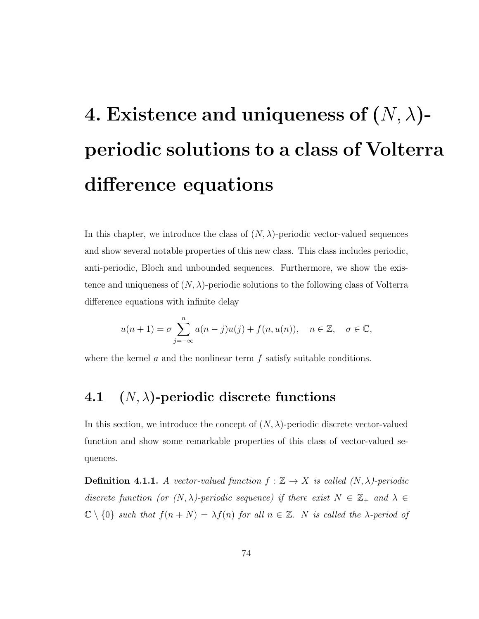# 4. Existence and uniqueness of  $(N, \lambda)$ periodic solutions to a class of Volterra difference equations

In this chapter, we introduce the class of  $(N, \lambda)$ -periodic vector-valued sequences and show several notable properties of this new class. This class includes periodic, anti-periodic, Bloch and unbounded sequences. Furthermore, we show the existence and uniqueness of  $(N, \lambda)$ -periodic solutions to the following class of Volterra difference equations with infinite delay

$$
u(n+1) = \sigma \sum_{j=-\infty}^{n} a(n-j)u(j) + f(n, u(n)), \quad n \in \mathbb{Z}, \quad \sigma \in \mathbb{C},
$$

where the kernel  $a$  and the nonlinear term  $f$  satisfy suitable conditions.

### 4.1 ( $N, \lambda$ )-periodic discrete functions

In this section, we introduce the concept of  $(N, \lambda)$ -periodic discrete vector-valued function and show some remarkable properties of this class of vector-valued sequences.

**Definition 4.1.1.** A vector-valued function  $f : \mathbb{Z} \to X$  is called  $(N, \lambda)$ -periodic discrete function (or  $(N, \lambda)$ -periodic sequence) if there exist  $N \in \mathbb{Z}_+$  and  $\lambda \in$  $\mathbb{C} \setminus \{0\}$  such that  $f(n+N) = \lambda f(n)$  for all  $n \in \mathbb{Z}$ . N is called the  $\lambda$ -period of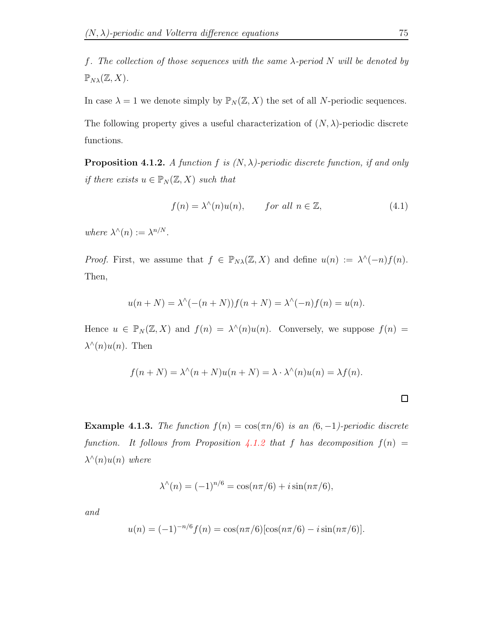f. The collection of those sequences with the same  $\lambda$ -period N will be denoted by  $\mathbb{P}_{N\lambda}(\mathbb{Z},X).$ 

In case  $\lambda = 1$  we denote simply by  $\mathbb{P}_N(\mathbb{Z}, X)$  the set of all N-periodic sequences.

The following property gives a useful characterization of  $(N, \lambda)$ -periodic discrete functions.

<span id="page-74-0"></span>**Proposition 4.1.2.** A function f is  $(N, \lambda)$ -periodic discrete function, if and only if there exists  $u \in \mathbb{P}_N(\mathbb{Z}, X)$  such that

$$
f(n) = \lambda^{\wedge}(n)u(n), \qquad \text{for all } n \in \mathbb{Z}, \tag{4.1}
$$

where  $\lambda^{(n)} := \lambda^{n/N}$ .

*Proof.* First, we assume that  $f \in \mathbb{P}_{N\lambda}(\mathbb{Z}, X)$  and define  $u(n) := \lambda^{\wedge}(-n)f(n)$ . Then,

$$
u(n+N) = \lambda^{\wedge}(-(n+N))f(n+N) = \lambda^{\wedge}(-n)f(n) = u(n).
$$

Hence  $u \in \mathbb{P}_N(\mathbb{Z}, X)$  and  $f(n) = \lambda^{\wedge}(n)u(n)$ . Conversely, we suppose  $f(n) =$  $\lambda^{(n)}(n)u(n)$ . Then

$$
f(n+N) = \lambda^{(n)}(n+N)u(n+N) = \lambda \cdot \lambda^{(n)}(n)u(n) = \lambda f(n).
$$

**Example 4.1.3.** The function  $f(n) = \cos(\pi n/6)$  is an  $(6, -1)$ -periodic discrete function. It follows from Proposition [4.1.2](#page-74-0) that f has decomposition  $f(n)$  =  $\lambda^{(n)}(n)$  where

$$
\lambda^{(n)} = (-1)^{n/6} = \cos(n\pi/6) + i\sin(n\pi/6),
$$

and

$$
u(n) = (-1)^{-n/6} f(n) = \cos(n\pi/6) [\cos(n\pi/6) - i \sin(n\pi/6)].
$$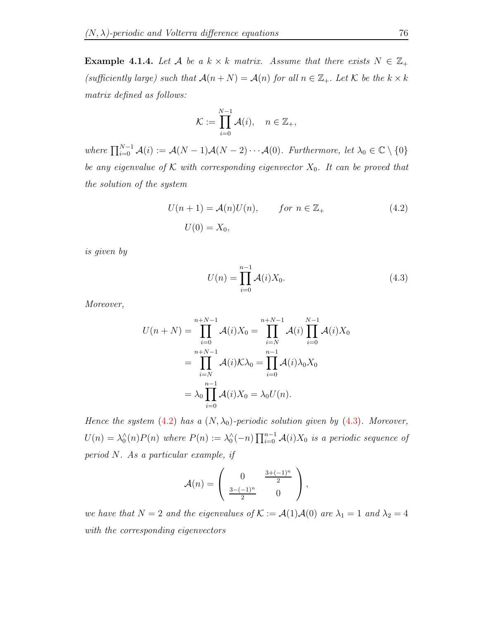**Example 4.1.4.** Let A be a  $k \times k$  matrix. Assume that there exists  $N \in \mathbb{Z}_+$ (sufficiently large) such that  $\mathcal{A}(n+N) = \mathcal{A}(n)$  for all  $n \in \mathbb{Z}_+$ . Let  $\mathcal K$  be the  $k \times k$ matrix defined as follows:

$$
\mathcal{K} := \prod_{i=0}^{N-1} \mathcal{A}(i), \quad n \in \mathbb{Z}_+,
$$

where  $\prod_{i=0}^{N-1} \mathcal{A}(i) := \mathcal{A}(N-1)\mathcal{A}(N-2)\cdots\mathcal{A}(0)$ . Furthermore, let  $\lambda_0 \in \mathbb{C} \setminus \{0\}$ be any eigenvalue of  $K$  with corresponding eigenvector  $X_0$ . It can be proved that the solution of the system

$$
U(n+1) = \mathcal{A}(n)U(n), \qquad \text{for } n \in \mathbb{Z}_+ \tag{4.2}
$$

$$
U(0) = X_0,
$$

is given by

<span id="page-75-1"></span><span id="page-75-0"></span>
$$
U(n) = \prod_{i=0}^{n-1} \mathcal{A}(i) X_0.
$$
 (4.3)

Moreover,

$$
U(n+N) = \prod_{i=0}^{n+N-1} A(i)X_0 = \prod_{i=N}^{n+N-1} A(i) \prod_{i=0}^{N-1} A(i)X_0
$$
  
= 
$$
\prod_{i=N}^{n+N-1} A(i)K\lambda_0 = \prod_{i=0}^{n-1} A(i)\lambda_0 X_0
$$
  
= 
$$
\lambda_0 \prod_{i=0}^{n-1} A(i)X_0 = \lambda_0 U(n).
$$

Hence the system [\(4.2\)](#page-75-0) has a  $(N, \lambda_0)$ -periodic solution given by [\(4.3\)](#page-75-1). Moreover,  $U(n) = \lambda_0^{\wedge}(n)P(n)$  where  $P(n) := \lambda_0^{\wedge}(-n) \prod_{i=0}^{n-1} \mathcal{A}(i)X_0$  is a periodic sequence of period N. As a particular example, if

$$
\mathcal{A}(n) = \begin{pmatrix} 0 & \frac{3+(-1)^n}{2} \\ \frac{3-(-1)^n}{2} & 0 \end{pmatrix},
$$

we have that  $N = 2$  and the eigenvalues of  $K := \mathcal{A}(1)\mathcal{A}(0)$  are  $\lambda_1 = 1$  and  $\lambda_2 = 4$ with the corresponding eigenvectors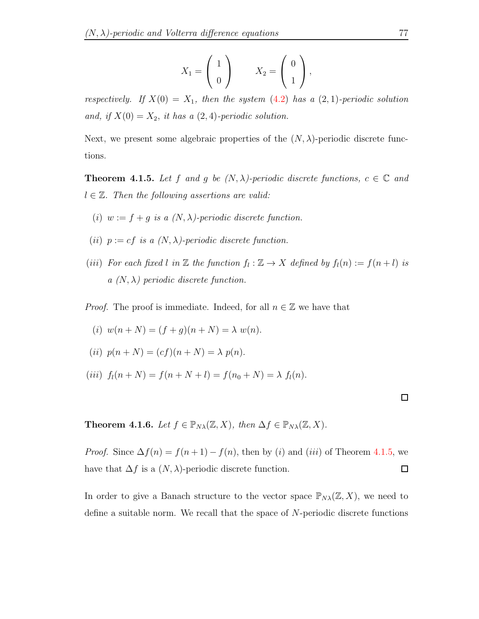$$
X_1 = \left(\begin{array}{c}1\\0\end{array}\right) \qquad X_2 = \left(\begin{array}{c}0\\1\end{array}\right),
$$

respectively. If  $X(0) = X_1$ , then the system [\(4.2\)](#page-75-0) has a (2, 1)-periodic solution and, if  $X(0) = X_2$ , it has a  $(2, 4)$ -periodic solution.

Next, we present some algebraic properties of the  $(N, \lambda)$ -periodic discrete functions.

<span id="page-76-0"></span>**Theorem 4.1.5.** Let f and g be  $(N, \lambda)$ -periodic discrete functions,  $c \in \mathbb{C}$  and  $l \in \mathbb{Z}$ . Then the following assertions are valid:

- (i)  $w := f + g$  is a  $(N, \lambda)$ -periodic discrete function.
- (ii)  $p := cf$  is a  $(N, \lambda)$ -periodic discrete function.
- (iii) For each fixed l in  $\mathbb Z$  the function  $f_l : \mathbb Z \to X$  defined by  $f_l(n) := f(n+l)$  is a  $(N, \lambda)$  periodic discrete function.

*Proof.* The proof is immediate. Indeed, for all  $n \in \mathbb{Z}$  we have that

- (i)  $w(n+N) = (f+q)(n+N) = \lambda w(n)$ .
- (ii)  $p(n+N) = (cf)(n+N) = \lambda p(n)$ .
- (iii)  $f_1(n+N) = f(n+N+l) = f(n_0+N) = \lambda f_1(n)$ .

**Theorem 4.1.6.** Let  $f \in \mathbb{P}_{N\lambda}(\mathbb{Z}, X)$ , then  $\Delta f \in \mathbb{P}_{N\lambda}(\mathbb{Z}, X)$ .

*Proof.* Since  $\Delta f(n) = f(n+1) - f(n)$ , then by (i) and (iii) of Theorem [4.1.5,](#page-76-0) we have that  $\Delta f$  is a  $(N, \lambda)$ -periodic discrete function.  $\Box$ 

In order to give a Banach structure to the vector space  $\mathbb{P}_{N\lambda}(\mathbb{Z}, X)$ , we need to define a suitable norm. We recall that the space of N-periodic discrete functions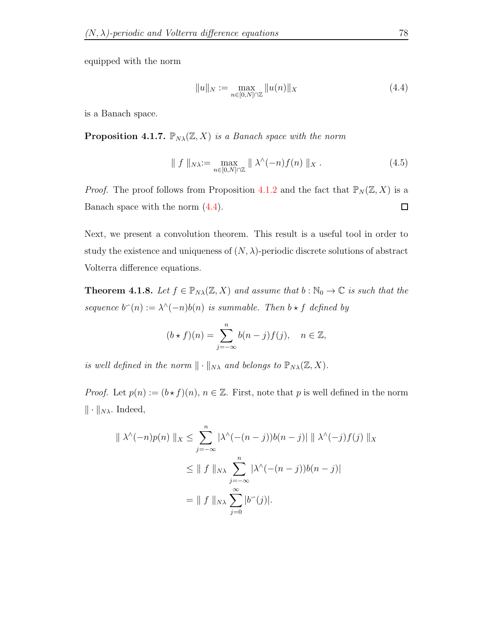equipped with the norm

<span id="page-77-0"></span>
$$
||u||_N := \max_{n \in [0,N] \cap \mathbb{Z}} ||u(n)||_X \tag{4.4}
$$

is a Banach space.

**Proposition 4.1.7.**  $\mathbb{P}_{N\lambda}(\mathbb{Z}, X)$  is a Banach space with the norm

$$
\| f \|_{N\lambda} := \max_{n \in [0, N] \cap \mathbb{Z}} \| \lambda^{\wedge} (-n) f(n) \|_{X}. \tag{4.5}
$$

*Proof.* The proof follows from Proposition [4.1.2](#page-74-0) and the fact that  $\mathbb{P}_N(\mathbb{Z}, X)$  is a  $\Box$ Banach space with the norm [\(4.4\)](#page-77-0).

Next, we present a convolution theorem. This result is a useful tool in order to study the existence and uniqueness of  $(N, \lambda)$ -periodic discrete solutions of abstract Volterra difference equations.

<span id="page-77-1"></span>**Theorem 4.1.8.** Let  $f \in \mathbb{P}_{N\lambda}(\mathbb{Z}, X)$  and assume that  $b : \mathbb{N}_0 \to \mathbb{C}$  is such that the sequence  $b^{\sim}(n) := \lambda^{\wedge}(-n)b(n)$  is summable. Then  $b \star f$  defined by

$$
(b \star f)(n) = \sum_{j=-\infty}^{n} b(n-j)f(j), \quad n \in \mathbb{Z},
$$

is well defined in the norm  $\|\cdot\|_{N\lambda}$  and belongs to  $\mathbb{P}_{N\lambda}(\mathbb{Z}, X)$ .

*Proof.* Let  $p(n) := (b \star f)(n)$ ,  $n \in \mathbb{Z}$ . First, note that p is well defined in the norm  $\|\cdot\|_{N\lambda}$ . Indeed,

$$
\| \lambda^{\wedge}(-n)p(n) \|_{X} \leq \sum_{j=-\infty}^{n} |\lambda^{\wedge}(-(n-j))b(n-j)| \| \lambda^{\wedge}(-j)f(j) \|_{X}
$$
  

$$
\leq \| f \|_{N\lambda} \sum_{j=-\infty}^{n} |\lambda^{\wedge}(-(n-j))b(n-j)|
$$
  

$$
= \| f \|_{N\lambda} \sum_{j=0}^{\infty} |b^{\wedge}(j)|.
$$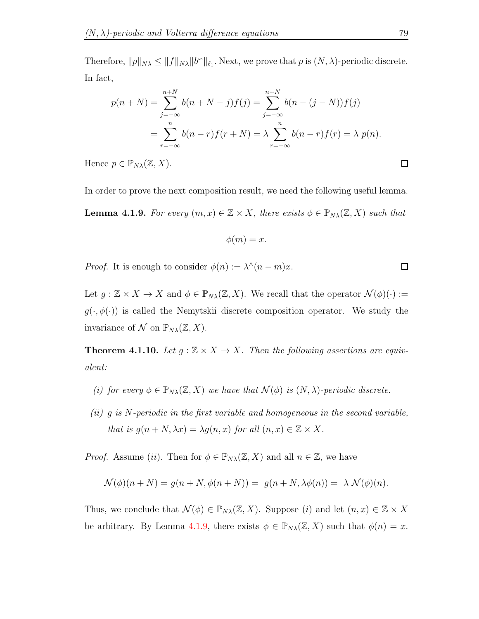Therefore,  $||p||_{N\lambda} \le ||f||_{N\lambda} ||b^{\sim}||_{\ell_1}$ . Next, we prove that p is  $(N, \lambda)$ -periodic discrete. In fact,

$$
p(n+N) = \sum_{j=-\infty}^{n+N} b(n+N-j)f(j) = \sum_{j=-\infty}^{n+N} b(n-(j-N))f(j)
$$
  
= 
$$
\sum_{r=-\infty}^{n} b(n-r)f(r+N) = \lambda \sum_{r=-\infty}^{n} b(n-r)f(r) = \lambda p(n).
$$

Hence  $p \in \mathbb{P}_{N\lambda}(\mathbb{Z}, X)$ .

<span id="page-78-0"></span>In order to prove the next composition result, we need the following useful lemma. **Lemma 4.1.9.** For every  $(m, x) \in \mathbb{Z} \times X$ , there exists  $\phi \in \mathbb{P}_{N\lambda}(\mathbb{Z}, X)$  such that

$$
\phi(m) = x
$$

*Proof.* It is enough to consider  $\phi(n) := \lambda^{\wedge}(n-m)x$ .

Let  $g: \mathbb{Z} \times X \to X$  and  $\phi \in \mathbb{P}_{N\lambda}(\mathbb{Z}, X)$ . We recall that the operator  $\mathcal{N}(\phi)(\cdot) :=$  $g(\cdot,\phi(\cdot))$  is called the Nemytskii discrete composition operator. We study the invariance of  $\mathcal N$  on  $\mathbb P_{N\lambda}(\mathbb Z,X)$ .

<span id="page-78-1"></span>**Theorem 4.1.10.** Let  $g : \mathbb{Z} \times X \to X$ . Then the following assertions are equivalent:

- (i) for every  $\phi \in \mathbb{P}_{N\lambda}(\mathbb{Z}, X)$  we have that  $\mathcal{N}(\phi)$  is  $(N, \lambda)$ -periodic discrete.
- (ii)  $g$  is N-periodic in the first variable and homogeneous in the second variable, that is  $g(n+N, \lambda x) = \lambda g(n,x)$  for all  $(n,x) \in \mathbb{Z} \times X$ .

*Proof.* Assume (ii). Then for  $\phi \in \mathbb{P}_{N\lambda}(\mathbb{Z}, X)$  and all  $n \in \mathbb{Z}$ , we have

$$
\mathcal{N}(\phi)(n+N) = g(n+N, \phi(n+N)) = g(n+N, \lambda\phi(n)) = \lambda \mathcal{N}(\phi)(n).
$$

Thus, we conclude that  $\mathcal{N}(\phi) \in \mathbb{P}_{N\lambda}(\mathbb{Z}, X)$ . Suppose (i) and let  $(n, x) \in \mathbb{Z} \times X$ be arbitrary. By Lemma [4.1.9,](#page-78-0) there exists  $\phi \in \mathbb{P}_{N\lambda}(\mathbb{Z}, X)$  such that  $\phi(n) = x$ .

 $\Box$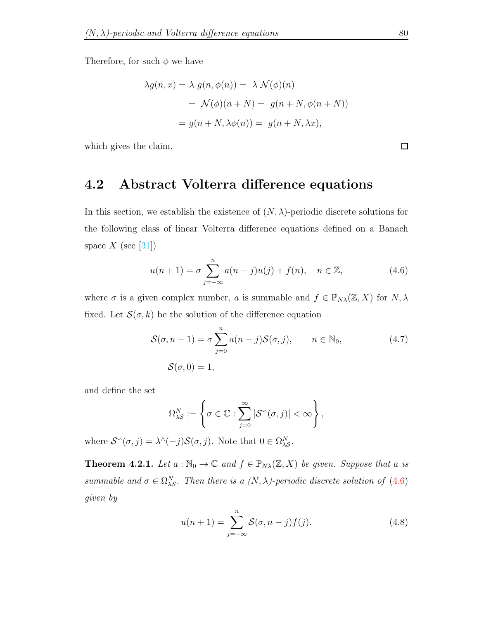Therefore, for such  $\phi$  we have

$$
\lambda g(n, x) = \lambda g(n, \phi(n)) = \lambda \mathcal{N}(\phi)(n)
$$
  
=  $\mathcal{N}(\phi)(n + N) = g(n + N, \phi(n + N))$   
=  $g(n + N, \lambda \phi(n)) = g(n + N, \lambda x),$ 

which gives the claim.

#### 4.2 Abstract Volterra difference equations

In this section, we establish the existence of  $(N, \lambda)$ -periodic discrete solutions for the following class of linear Volterra difference equations defined on a Banach space  $X$  (see [\[31\]](#page-97-0))

<span id="page-79-0"></span>
$$
u(n+1) = \sigma \sum_{j=-\infty}^{n} a(n-j)u(j) + f(n), \quad n \in \mathbb{Z},
$$
 (4.6)

where  $\sigma$  is a given complex number, a is summable and  $f \in \mathbb{P}_{N\lambda}(\mathbb{Z}, X)$  for  $N, \lambda$ fixed. Let  $\mathcal{S}(\sigma, k)$  be the solution of the difference equation

$$
S(\sigma, n+1) = \sigma \sum_{j=0}^{n} a(n-j)S(\sigma, j), \qquad n \in \mathbb{N}_0,
$$
  

$$
S(\sigma, 0) = 1,
$$
 (4.7)

and define the set

$$
\Omega_{\lambda\mathcal{S}}^N:=\left\{\sigma\in\mathbb{C}: \sum_{j=0}^\infty \left|\mathcal{S}^\sim(\sigma,j)\right|<\infty\right\},\,
$$

where  $\mathcal{S}^{\sim}(\sigma, j) = \lambda^{\wedge}(-j)\mathcal{S}(\sigma, j)$ . Note that  $0 \in \Omega_{\lambda \mathcal{S}}^{N}$ .

**Theorem 4.2.1.** Let  $a : \mathbb{N}_0 \to \mathbb{C}$  and  $f \in \mathbb{P}_{N\lambda}(\mathbb{Z}, X)$  be given. Suppose that a is summable and  $\sigma \in \Omega_{\lambda S}^N$ . Then there is a  $(N, \lambda)$ -periodic discrete solution of  $(4.6)$ given by

<span id="page-79-1"></span>
$$
u(n+1) = \sum_{j=-\infty}^{n} \mathcal{S}(\sigma, n-j) f(j).
$$
 (4.8)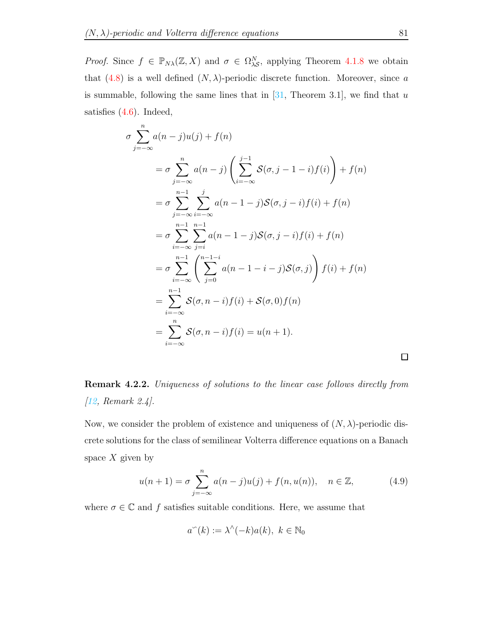*Proof.* Since  $f \in \mathbb{P}_{N\lambda}(\mathbb{Z}, X)$  and  $\sigma \in \Omega_{\lambda S}^N$ , applying Theorem [4.1.8](#page-77-1) we obtain that  $(4.8)$  is a well defined  $(N, \lambda)$ -periodic discrete function. Moreover, since a is summable, following the same lines that in  $[31,$  Theorem 3.1, we find that u satisfies [\(4.6\)](#page-79-0). Indeed,

$$
\sigma \sum_{j=-\infty}^{n} a(n-j)u(j) + f(n)
$$
  
=  $\sigma \sum_{j=-\infty}^{n} a(n-j) \left( \sum_{i=-\infty}^{j-1} S(\sigma, j-1-i) f(i) \right) + f(n)$   
=  $\sigma \sum_{j=-\infty}^{n-1} \sum_{i=-\infty}^{j} a(n-1-j) S(\sigma, j-i) f(i) + f(n)$   
=  $\sigma \sum_{i=-\infty}^{n-1} \sum_{j=i}^{n-1} a(n-1-j) S(\sigma, j-i) f(i) + f(n)$   
=  $\sigma \sum_{i=-\infty}^{n-1} \left( \sum_{j=0}^{n-1-i} a(n-1-i-j) S(\sigma, j) \right) f(i) + f(n)$   
=  $\sum_{i=-\infty}^{n-1} S(\sigma, n-i) f(i) + S(\sigma, 0) f(n)$   
=  $\sum_{i=-\infty}^{n} S(\sigma, n-i) f(i) = u(n+1).$ 

Remark 4.2.2. Uniqueness of solutions to the linear case follows directly from [\[12,](#page-95-0) Remark 2.4].

Now, we consider the problem of existence and uniqueness of  $(N, \lambda)$ -periodic discrete solutions for the class of semilinear Volterra difference equations on a Banach space  $X$  given by

$$
u(n+1) = \sigma \sum_{j=-\infty}^{n} a(n-j)u(j) + f(n, u(n)), \quad n \in \mathbb{Z},
$$
 (4.9)

where  $\sigma \in \mathbb{C}$  and f satisfies suitable conditions. Here, we assume that

<span id="page-80-0"></span>
$$
a^{\sim}(k) := \lambda^{\wedge}(-k)a(k), \ k \in \mathbb{N}_0
$$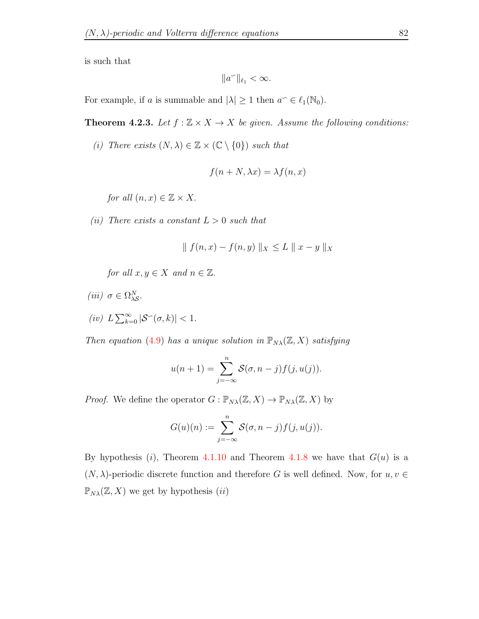is such that

$$
||a^{\sim}||_{\ell_1} < \infty.
$$

For example, if a is summable and  $|\lambda| \ge 1$  then  $a^{\sim} \in \ell_1(\mathbb{N}_0)$ .

**Theorem 4.2.3.** Let  $f : \mathbb{Z} \times X \to X$  be given. Assume the following conditions:

(i) There exists  $(N, \lambda) \in \mathbb{Z} \times (\mathbb{C} \setminus \{0\})$  such that

$$
f(n+N,\lambda x) = \lambda f(n,x)
$$

for all  $(n, x) \in \mathbb{Z} \times X$ .

(ii) There exists a constant  $L > 0$  such that

$$
\| f(n, x) - f(n, y) \|_{X} \le L \| x - y \|_{X}
$$

for all  $x, y \in X$  and  $n \in \mathbb{Z}$ .

(iii)  $\sigma \in \Omega^N_{\lambda \mathcal{S}}$ . (iv)  $L \sum_{k=0}^{\infty} |\mathcal{S}^{\sim}(\sigma, k)| < 1$ .

Then equation [\(4.9\)](#page-80-0) has a unique solution in  $\mathbb{P}_{N\lambda}(\mathbb{Z}, X)$  satisfying

$$
u(n+1) = \sum_{j=-\infty}^{n} S(\sigma, n-j) f(j, u(j)).
$$

*Proof.* We define the operator  $G : \mathbb{P}_{N\lambda}(\mathbb{Z}, X) \to \mathbb{P}_{N\lambda}(\mathbb{Z}, X)$  by

$$
G(u)(n) := \sum_{j=-\infty}^{n} S(\sigma, n-j) f(j, u(j)).
$$

By hypothesis (i), Theorem [4.1.10](#page-78-1) and Theorem [4.1.8](#page-77-1) we have that  $G(u)$  is a  $(N, \lambda)$ -periodic discrete function and therefore G is well defined. Now, for  $u, v \in$  $\mathbb{P}_{N\lambda}(\mathbb{Z},X)$  we get by hypothesis  $(ii)$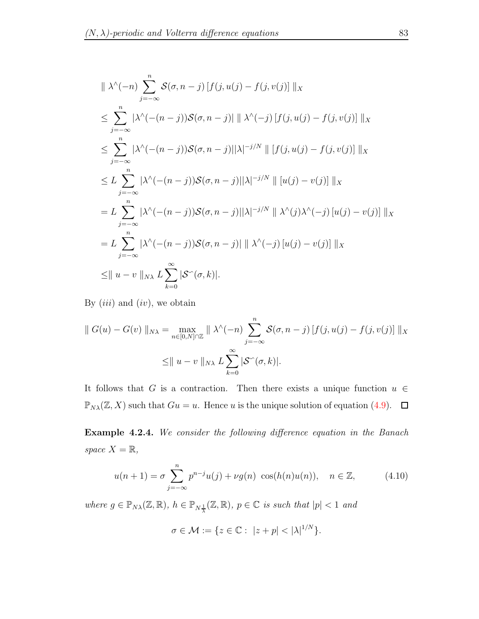$$
\begin{split}\n&\|\lambda^{\wedge}(-n)\sum_{j=-\infty}^{n}\mathcal{S}(\sigma,n-j)\left[f(j,u(j)-f(j,v(j))\right]\|_{X} \\
&\leq \sum_{j=-\infty}^{n}|\lambda^{\wedge}(-(n-j))\mathcal{S}(\sigma,n-j)|\|\lambda^{\wedge}(-j)\left[f(j,u(j)-f(j,v(j))\right]\|_{X} \\
&\leq \sum_{j=-\infty}^{n}|\lambda^{\wedge}(-(n-j))\mathcal{S}(\sigma,n-j)||\lambda|^{-j/N}\|\left[f(j,u(j)-f(j,v(j))\right]\|_{X} \\
&\leq L\sum_{j=-\infty}^{n}|\lambda^{\wedge}(-(n-j))\mathcal{S}(\sigma,n-j)||\lambda|^{-j/N}\|\left[u(j)-v(j)\right]\|_{X} \\
&= L\sum_{j=-\infty}^{n}|\lambda^{\wedge}(-(n-j))\mathcal{S}(\sigma,n-j)||\lambda|^{-j/N}\|\lambda^{\wedge}(j)\lambda^{\wedge}(-j)\left[u(j)-v(j)\right]\|_{X} \\
&= L\sum_{j=-\infty}^{n}|\lambda^{\wedge}(-(n-j))\mathcal{S}(\sigma,n-j)|\|\lambda^{\wedge}(-j)\left[u(j)-v(j)\right]\|_{X} \\
&\leq \|u-v\|_{N\lambda}L\sum_{k=0}^{\infty}|\mathcal{S}^{\wedge}(\sigma,k)|.\n\end{split}
$$

By  $(iii)$  and  $(iv)$ , we obtain

$$
\| G(u) - G(v) \|_{N\lambda} = \max_{n \in [0,N] \cap \mathbb{Z}} \| \lambda^{\wedge}(-n) \sum_{j=-\infty}^{n} \mathcal{S}(\sigma, n-j) [f(j, u(j) - f(j, v(j))] \|_{X}
$$
  

$$
\leq \| u - v \|_{N\lambda} L \sum_{k=0}^{\infty} |\mathcal{S}^{\sim}(\sigma, k)|.
$$

It follows that G is a contraction. Then there exists a unique function  $u \in$  $\mathbb{P}_{N\lambda}(\mathbb{Z}, X)$  such that  $Gu = u$ . Hence u is the unique solution of equation [\(4.9\)](#page-80-0).  $\Box$ 

Example 4.2.4. We consider the following difference equation in the Banach space  $X = \mathbb{R}$ ,

$$
u(n+1) = \sigma \sum_{j=-\infty}^{n} p^{n-j} u(j) + \nu g(n) \cos(h(n)u(n)), \quad n \in \mathbb{Z},
$$
 (4.10)

where  $g \in \mathbb{P}_{N\lambda}(\mathbb{Z}, \mathbb{R})$ ,  $h \in \mathbb{P}_{N\frac{1}{\lambda}}(\mathbb{Z}, \mathbb{R})$ ,  $p \in \mathbb{C}$  is such that  $|p| < 1$  and

<span id="page-82-0"></span>
$$
\sigma \in \mathcal{M} := \{ z \in \mathbb{C} : \ |z + p| < |\lambda|^{1/N} \}.
$$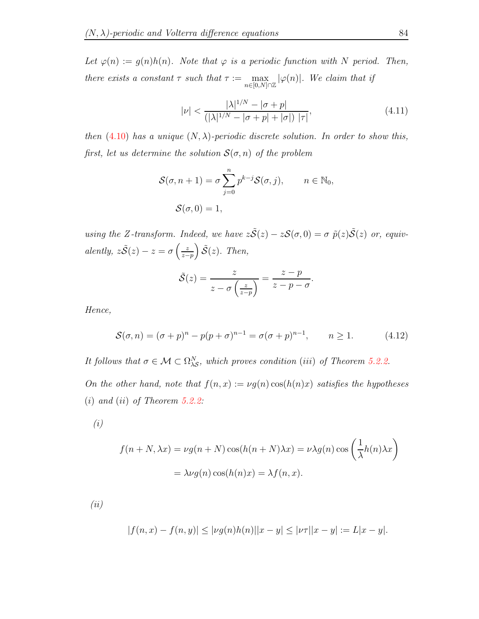Let  $\varphi(n) := g(n)h(n)$ . Note that  $\varphi$  is a periodic function with N period. Then, there exists a constant  $\tau$  such that  $\tau := \max_{n \in [0,N] \cap \mathbb{Z}} |\varphi(n)|$ . We claim that if

<span id="page-83-0"></span>
$$
|\nu| < \frac{|\lambda|^{1/N} - |\sigma + p|}{(|\lambda|^{1/N} - |\sigma + p| + |\sigma|) |\tau|},\tag{4.11}
$$

then  $(4.10)$  has a unique  $(N, \lambda)$ -periodic discrete solution. In order to show this, first, let us determine the solution  $\mathcal{S}(\sigma, n)$  of the problem

$$
\mathcal{S}(\sigma, n+1) = \sigma \sum_{j=0}^{n} p^{k-j} \mathcal{S}(\sigma, j), \qquad n \in \mathbb{N}_0,
$$
  

$$
\mathcal{S}(\sigma, 0) = 1,
$$

using the Z-transform. Indeed, we have  $z\tilde{S}(z) - zS(\sigma,0) = \sigma \tilde{p}(z)\tilde{S}(z)$  or, equivalently,  $z\tilde{S}(z) - z = \sigma\left(\frac{z}{z-1}\right)$ z−p  $S(z)$ . Then,

<span id="page-83-1"></span>
$$
\tilde{\mathcal{S}}(z) = \frac{z}{z - \sigma\left(\frac{z}{z - p}\right)} = \frac{z - p}{z - p - \sigma}.
$$

Hence,

$$
S(\sigma, n) = (\sigma + p)^n - p(p + \sigma)^{n-1} = \sigma(\sigma + p)^{n-1}, \qquad n \ge 1.
$$
 (4.12)

It follows that  $\sigma \in \mathcal{M} \subset \Omega_{\lambda S}^N$ , which proves condition (iii) of Theorem [5.2.2.](#page-88-0)

On the other hand, note that  $f(n, x) := \nu g(n) \cos(h(n)x)$  satisfies the hypotheses  $(i)$  and  $(ii)$  of Theorem [5.2.2:](#page-88-0)

$$
(i)
$$

$$
f(n+N,\lambda x) = \nu g(n+N)\cos(h(n+N)\lambda x) = \nu \lambda g(n)\cos\left(\frac{1}{\lambda}h(n)\lambda x\right)
$$

$$
= \lambda \nu g(n)\cos(h(n)x) = \lambda f(n,x).
$$

 $(ii)$ 

$$
|f(n,x) - f(n,y)| \le | \nu g(n)h(n)||x - y| \le |\nu \tau||x - y| := L|x - y|.
$$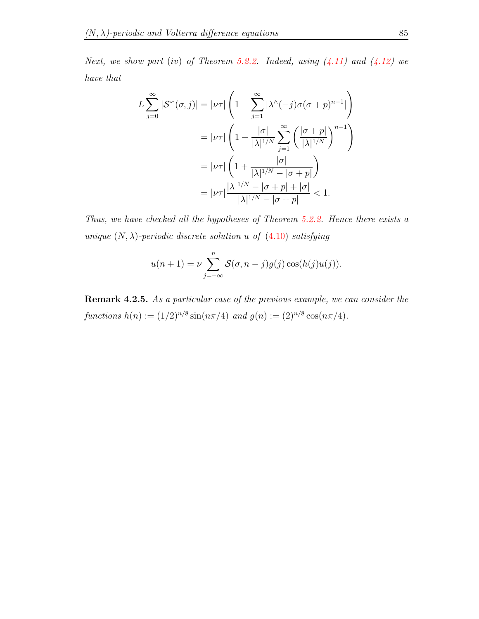Next, we show part (iv) of Theorem [5.2.2.](#page-88-0) Indeed, using  $(4.11)$  and  $(4.12)$  we have that

$$
L \sum_{j=0}^{\infty} |\mathcal{S}^{\sim}(\sigma, j)| = |\nu \tau| \left( 1 + \sum_{j=1}^{\infty} |\lambda^{\wedge}(-j)\sigma(\sigma + p)^{n-1}| \right)
$$
  

$$
= |\nu \tau| \left( 1 + \frac{|\sigma|}{|\lambda|^{1/N}} \sum_{j=1}^{\infty} \left( \frac{|\sigma + p|}{|\lambda|^{1/N}} \right)^{n-1} \right)
$$
  

$$
= |\nu \tau| \left( 1 + \frac{|\sigma|}{|\lambda|^{1/N} - |\sigma + p|} \right)
$$
  

$$
= |\nu \tau| \frac{|\lambda|^{1/N} - |\sigma + p| + |\sigma|}{|\lambda|^{1/N} - |\sigma + p|} < 1.
$$

Thus, we have checked all the hypotheses of Theorem [5.2.2.](#page-88-0) Hence there exists a unique  $(N, \lambda)$ -periodic discrete solution u of  $(4.10)$  satisfying

$$
u(n + 1) = \nu \sum_{j = -\infty}^{n} S(\sigma, n - j)g(j)\cos(h(j)u(j)).
$$

Remark 4.2.5. As a particular case of the previous example, we can consider the functions  $h(n) := (1/2)^{n/8} \sin(n\pi/4)$  and  $g(n) := (2)^{n/8} \cos(n\pi/4)$ .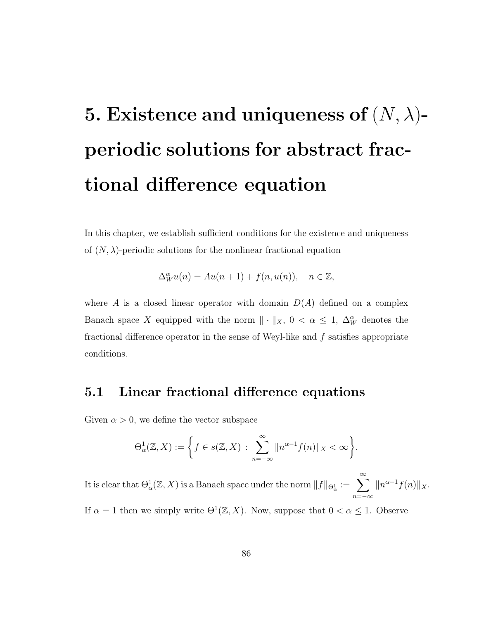# 5. Existence and uniqueness of  $(N, \lambda)$ periodic solutions for abstract fractional difference equation

In this chapter, we establish sufficient conditions for the existence and uniqueness of  $(N, \lambda)$ -periodic solutions for the nonlinear fractional equation

$$
\Delta_W^{\alpha} u(n) = Au(n+1) + f(n, u(n)), \quad n \in \mathbb{Z},
$$

where A is a closed linear operator with domain  $D(A)$  defined on a complex Banach space X equipped with the norm  $\|\cdot\|_X$ ,  $0 < \alpha \leq 1$ ,  $\Delta_W^{\alpha}$  denotes the fractional difference operator in the sense of Weyl-like and  $f$  satisfies appropriate conditions.

#### 5.1 Linear fractional difference equations

Given  $\alpha > 0$ , we define the vector subspace

$$
\Theta_{\alpha}^{1}(\mathbb{Z}, X) := \left\{ f \in s(\mathbb{Z}, X) : \sum_{n=-\infty}^{\infty} ||n^{\alpha-1} f(n)||_{X} < \infty \right\}.
$$

It is clear that  $\Theta_{\alpha}^1(\mathbb{Z},X)$  is a Banach space under the norm  $||f||_{\Theta_{\alpha}^1} := \sum_{\alpha=1}^{\infty}$  $n=-\infty$  $||n^{\alpha-1}f(n)||_X.$ 

If  $\alpha = 1$  then we simply write  $\Theta^1(\mathbb{Z}, X)$ . Now, suppose that  $0 < \alpha \leq 1$ . Observe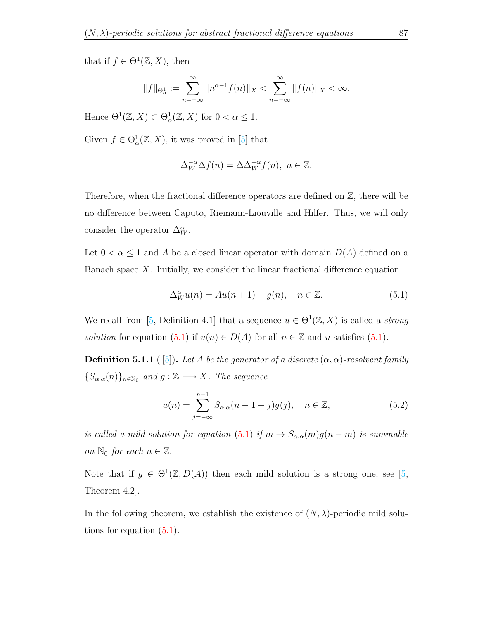that if  $f \in \Theta^1(\mathbb{Z}, X)$ , then

$$
||f||_{\Theta^1_{\alpha}} := \sum_{n=-\infty}^{\infty} ||n^{\alpha-1} f(n)||_X < \sum_{n=-\infty}^{\infty} ||f(n)||_X < \infty.
$$

Hence  $\Theta^1(\mathbb{Z}, X) \subset \Theta^1_\alpha(\mathbb{Z}, X)$  for  $0 < \alpha \leq 1$ .

Given  $f \in \Theta_{\alpha}^1(\mathbb{Z}, X)$ , it was proved in [\[5\]](#page-94-0) that

$$
\Delta_W^{-\alpha} \Delta f(n) = \Delta \Delta_W^{-\alpha} f(n), \ n \in \mathbb{Z}.
$$

Therefore, when the fractional difference operators are defined on Z, there will be no difference between Caputo, Riemann-Liouville and Hilfer. Thus, we will only consider the operator  $\Delta_W^{\alpha}$ .

Let  $0 < \alpha \leq 1$  and A be a closed linear operator with domain  $D(A)$  defined on a Banach space  $X$ . Initially, we consider the linear fractional difference equation

<span id="page-86-0"></span>
$$
\Delta_W^{\alpha} u(n) = Au(n+1) + g(n), \quad n \in \mathbb{Z}.
$$
 (5.1)

We recall from [\[5,](#page-94-0) Definition 4.1] that a sequence  $u \in \Theta^1(\mathbb{Z}, X)$  is called a *strong* solution for equation [\(5.1\)](#page-86-0) if  $u(n) \in D(A)$  for all  $n \in \mathbb{Z}$  and u satisfies (5.1).

**Definition 5.1.1** ([5]). Let A be the generator of a discrete  $(\alpha, \alpha)$ -resolvent family  ${S_{\alpha,\alpha}(n)}_{n\in\mathbb{N}_0}$  and  $g:\mathbb{Z}\longrightarrow X$ . The sequence

$$
u(n) = \sum_{j=-\infty}^{n-1} S_{\alpha,\alpha}(n-1-j)g(j), \quad n \in \mathbb{Z},
$$
 (5.2)

is called a mild solution for equation [\(5.1\)](#page-86-0) if  $m \to S_{\alpha,\alpha}(m)g(n-m)$  is summable on  $\mathbb{N}_0$  for each  $n \in \mathbb{Z}$ .

Note that if  $g \in \Theta^1(\mathbb{Z}, D(A))$  then each mild solution is a strong one, see [\[5,](#page-94-0) Theorem 4.2].

In the following theorem, we establish the existence of  $(N, \lambda)$ -periodic mild solutions for equation  $(5.1)$ .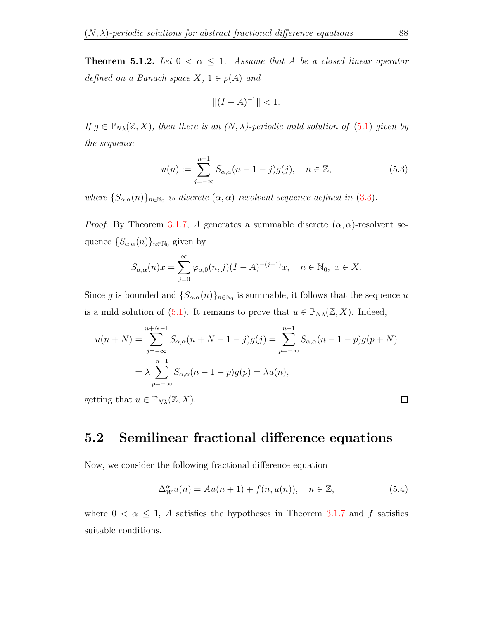**Theorem 5.1.2.** Let  $0 < \alpha \leq 1$ . Assume that A be a closed linear operator defined on a Banach space  $X, 1 \in \rho(A)$  and

$$
\|(I-A)^{-1}\| < 1.
$$

If  $g \in \mathbb{P}_{N\lambda}(\mathbb{Z}, X)$ , then there is an  $(N, \lambda)$ -periodic mild solution of  $(5.1)$  given by the sequence

$$
u(n) := \sum_{j=-\infty}^{n-1} S_{\alpha,\alpha}(n-1-j)g(j), \quad n \in \mathbb{Z},
$$
 (5.3)

where  $\{S_{\alpha,\alpha}(n)\}_{n\in\mathbb{N}_0}$  is discrete  $(\alpha,\alpha)$ -resolvent sequence defined in [\(3.3\)](#page-58-1).

*Proof.* By Theorem [3.1.7,](#page-59-0) A generates a summable discrete  $(\alpha, \alpha)$ -resolvent sequence  $\{S_{\alpha,\alpha}(n)\}_{n\in\mathbb{N}_0}$  given by

$$
S_{\alpha,\alpha}(n)x = \sum_{j=0}^{\infty} \varphi_{\alpha,0}(n,j)(I-A)^{-(j+1)}x, \quad n \in \mathbb{N}_0, \ x \in X.
$$

Since g is bounded and  $\{S_{\alpha,\alpha}(n)\}_{n\in\mathbb{N}_0}$  is summable, it follows that the sequence u is a mild solution of [\(5.1\)](#page-86-0). It remains to prove that  $u \in \mathbb{P}_{N\lambda}(\mathbb{Z}, X)$ . Indeed,

$$
u(n+N) = \sum_{j=-\infty}^{n+N-1} S_{\alpha,\alpha}(n+N-1-j)g(j) = \sum_{p=-\infty}^{n-1} S_{\alpha,\alpha}(n-1-p)g(p+N)
$$
  
=  $\lambda \sum_{p=-\infty}^{n-1} S_{\alpha,\alpha}(n-1-p)g(p) = \lambda u(n),$ 

getting that  $u \in \mathbb{P}_{N\lambda}(\mathbb{Z}, X)$ .

#### 5.2 Semilinear fractional difference equations

Now, we consider the following fractional difference equation

<span id="page-87-0"></span>
$$
\Delta_W^{\alpha} u(n) = Au(n+1) + f(n, u(n)), \quad n \in \mathbb{Z}, \tag{5.4}
$$

where  $0 < \alpha \leq 1$ , A satisfies the hypotheses in Theorem [3.1.7](#page-59-0) and f satisfies suitable conditions.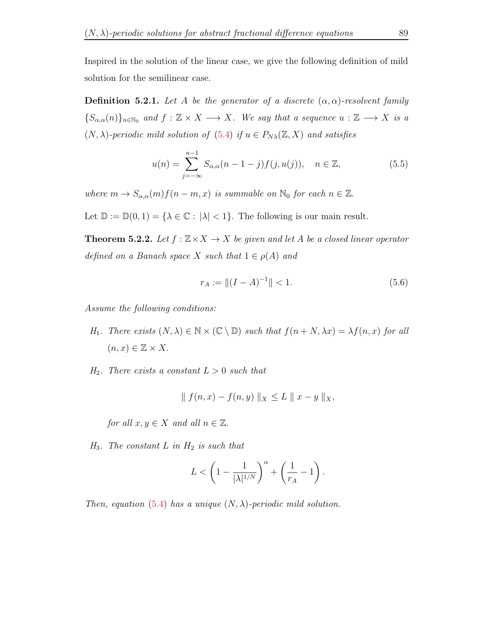Inspired in the solution of the linear case, we give the following definition of mild solution for the semilinear case.

**Definition 5.2.1.** Let A be the generator of a discrete  $(\alpha, \alpha)$ -resolvent family  ${S_{\alpha,\alpha}(n)}_{n\in\mathbb{N}_0}$  and  $f:\mathbb{Z}\times X\longrightarrow X$ . We say that a sequence  $u:\mathbb{Z}\longrightarrow X$  is a  $(N, \lambda)$ -periodic mild solution of [\(5.4\)](#page-87-0) if  $u \in P_{N\lambda}(\mathbb{Z}, X)$  and satisfies

$$
u(n) = \sum_{j=-\infty}^{n-1} S_{\alpha,\alpha}(n-1-j) f(j, u(j)), \quad n \in \mathbb{Z},
$$
 (5.5)

where  $m \to S_{\alpha,\alpha}(m) f(n-m, x)$  is summable on  $\mathbb{N}_0$  for each  $n \in \mathbb{Z}$ .

Let  $\mathbb{D} := \mathbb{D}(0, 1) = \{\lambda \in \mathbb{C} : |\lambda| < 1\}$ . The following is our main result.

<span id="page-88-0"></span>**Theorem 5.2.2.** Let  $f : \mathbb{Z} \times X \to X$  be given and let A be a closed linear operator defined on a Banach space X such that  $1 \in \rho(A)$  and

<span id="page-88-1"></span>
$$
r_A := \|(I - A)^{-1}\| < 1. \tag{5.6}
$$

Assume the following conditions:

- H<sub>1</sub>. There exists  $(N, \lambda) \in \mathbb{N} \times (\mathbb{C} \setminus \mathbb{D})$  such that  $f(n+N, \lambda x) = \lambda f(n, x)$  for all  $(n, x) \in \mathbb{Z} \times X$ .
- $H_2$ . There exists a constant  $L > 0$  such that

$$
\| f(n,x) - f(n,y) \|_X \le L \| x - y \|_X,
$$

for all  $x, y \in X$  and all  $n \in \mathbb{Z}$ .

 $H_3$ . The constant L in  $H_2$  is such that

$$
L < \left(1 - \frac{1}{|\lambda|^{1/N}}\right)^{\alpha} + \left(\frac{1}{r_A} - 1\right).
$$

Then, equation [\(5.4\)](#page-87-0) has a unique  $(N, \lambda)$ -periodic mild solution.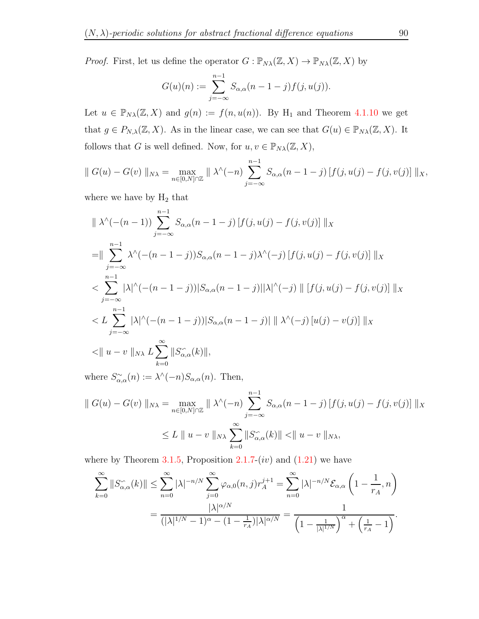*Proof.* First, let us define the operator  $G : \mathbb{P}_{N\lambda}(\mathbb{Z}, X) \to \mathbb{P}_{N\lambda}(\mathbb{Z}, X)$  by

$$
G(u)(n) := \sum_{j=-\infty}^{n-1} S_{\alpha,\alpha}(n-1-j) f(j, u(j)).
$$

Let  $u \in \mathbb{P}_{N\lambda}(\mathbb{Z},X)$  and  $g(n) := f(n,u(n))$ . By H<sub>1</sub> and Theorem [4.1.10](#page-78-1) we get that  $g \in P_{N,\lambda}(\mathbb{Z}, X)$ . As in the linear case, we can see that  $G(u) \in \mathbb{P}_{N\lambda}(\mathbb{Z}, X)$ . It follows that G is well defined. Now, for  $u, v \in \mathbb{P}_{N\lambda}(\mathbb{Z}, X)$ ,

$$
\| G(u) - G(v) \|_{N\lambda} = \max_{n \in [0,N] \cap \mathbb{Z}} \| \lambda^{\wedge}(-n) \sum_{j=-\infty}^{n-1} S_{\alpha,\alpha}(n-1-j) [f(j,u(j) - f(j,v(j))] \|_{X},
$$

where we have by  $H_2$  that

$$
\|\lambda^{\wedge}(-(n-1))\sum_{j=-\infty}^{n-1} S_{\alpha,\alpha}(n-1-j) [f(j,u(j)-f(j,v(j))]|_X
$$
  
\n=
$$
\|\sum_{j=-\infty}^{n-1} \lambda^{\wedge}(-(n-1-j))S_{\alpha,\alpha}(n-1-j)\lambda^{\wedge}(-j) [f(j,u(j)-f(j,v(j))]|_X
$$
  
\n
$$
< \sum_{j=-\infty}^{n-1} |\lambda|^{\wedge}(-(n-1-j))|S_{\alpha,\alpha}(n-1-j)||\lambda|^{\wedge}(-j) || [f(j,u(j)-f(j,v(j))]|_X
$$
  
\n
$$
< L \sum_{j=-\infty}^{n-1} |\lambda|^{\wedge}(-(n-1-j))|S_{\alpha,\alpha}(n-1-j)|| \lambda^{\wedge}(-j) [u(j)-v(j)]||_X
$$
  
\n
$$
$$
\|u-v\|_{N\lambda} L \sum_{k=0}^{\infty} \|S_{\alpha,\alpha}^{\sim}(k)\|,
$$
  
\nwhere  $S^{\sim}(n) := \lambda^{\wedge}(-n)S_{\alpha}(n)$ . Then
$$

where  $S_{\alpha,\alpha}^{\sim}(n) := \lambda^{\wedge}(-n)S_{\alpha,\alpha}(n)$ . Then,

$$
\| G(u) - G(v) \|_{N\lambda} = \max_{n \in [0,N] \cap \mathbb{Z}} \| \lambda^{\wedge}(-n) \sum_{j=-\infty}^{n-1} S_{\alpha,\alpha}(n-1-j) [f(j,u(j) - f(j,v(j))] \|_{X}
$$
  

$$
\leq L \| u - v \|_{N\lambda} \sum_{k=0}^{\infty} \| S_{\alpha,\alpha}^{(k)}(k) \| \langle u - v \|_{N\lambda},
$$

where by Theorem [3.1.5,](#page-58-0) Proposition  $2.1.7-(iv)$  $2.1.7-(iv)$  and  $(1.21)$  we have

$$
\sum_{k=0}^{\infty}||S_{\alpha,\alpha}^{\sim}(k)|| \leq \sum_{n=0}^{\infty} |\lambda|^{-n/N} \sum_{j=0}^{\infty} \varphi_{\alpha,0}(n,j) r_A^{j+1} = \sum_{n=0}^{\infty} |\lambda|^{-n/N} \mathcal{E}_{\alpha,\alpha} \left(1 - \frac{1}{r_A}, n\right)
$$

$$
= \frac{|\lambda|^{\alpha/N}}{(|\lambda|^{1/N} - 1)^{\alpha} - (1 - \frac{1}{r_A})|\lambda|^{\alpha/N}} = \frac{1}{\left(1 - \frac{1}{|\lambda|^{1/N}}\right)^{\alpha} + \left(\frac{1}{r_A} - 1\right)}.
$$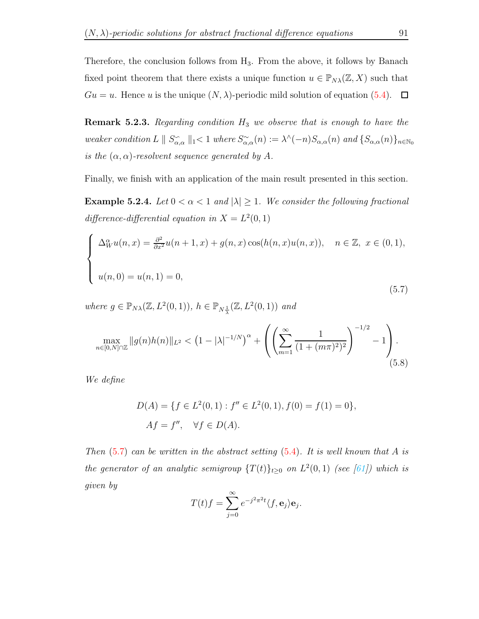Therefore, the conclusion follows from H3. From the above, it follows by Banach fixed point theorem that there exists a unique function  $u \in \mathbb{P}_{N\lambda}(\mathbb{Z}, X)$  such that  $Gu = u$ . Hence u is the unique  $(N, \lambda)$ -periodic mild solution of equation [\(5.4\)](#page-87-0).  $\Box$ 

**Remark 5.2.3.** Regarding condition  $H_3$  we observe that is enough to have the weaker condition  $L \parallel S^{\sim}_{\alpha,\alpha} \parallel_1 < 1$  where  $S^{\sim}_{\alpha,\alpha}(n) := \lambda^{\wedge}(-n)S_{\alpha,\alpha}(n)$  and  $\{S_{\alpha,\alpha}(n)\}_{n \in \mathbb{N}_0}$ is the  $(\alpha, \alpha)$ -resolvent sequence generated by A.

Finally, we finish with an application of the main result presented in this section.

**Example 5.2.4.** Let  $0 < \alpha < 1$  and  $|\lambda| \geq 1$ . We consider the following fractional difference-differential equation in  $X = L^2(0, 1)$ 

<span id="page-90-0"></span>
$$
\begin{cases}\n\Delta_W^{\alpha} u(n,x) = \frac{\partial^2}{\partial x^2} u(n+1,x) + g(n,x) \cos(h(n,x)u(n,x)), \quad n \in \mathbb{Z}, \ x \in (0,1), \\
u(n,0) = u(n,1) = 0,\n\end{cases}
$$
\n(5.7)

where  $g \in \mathbb{P}_{N\lambda}(\mathbb{Z}, L^2(0,1)), h \in \mathbb{P}_{N\frac{1}{\lambda}}(\mathbb{Z}, L^2(0,1))$  and

<span id="page-90-1"></span>
$$
\max_{n\in[0,N]\cap\mathbb{Z}}\|g(n)h(n)\|_{L^{2}} < \left(1-|\lambda|^{-1/N}\right)^{\alpha}+\left(\left(\sum_{m=1}^{\infty}\frac{1}{(1+(m\pi)^{2})^{2}}\right)^{-1/2}-1\right).
$$
\n(5.8)

We define

$$
D(A) = \{ f \in L^2(0, 1) : f'' \in L^2(0, 1), f(0) = f(1) = 0 \},
$$
  
 
$$
Af = f'', \quad \forall f \in D(A).
$$

Then  $(5.7)$  can be written in the abstract setting  $(5.4)$ . It is well known that A is the generator of an analytic semigroup  $\{T(t)\}_{t\geq 0}$  on  $L^2(0,1)$  (see [\[61\]](#page-100-0)) which is given by

$$
T(t)f = \sum_{j=0}^{\infty} e^{-j^2 \pi^2 t} \langle f, \mathbf{e}_j \rangle \mathbf{e}_j.
$$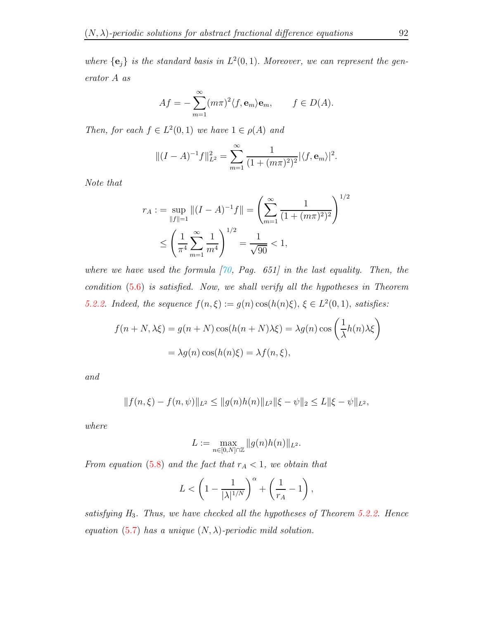where  $\{e_j\}$  is the standard basis in  $L^2(0,1)$ . Moreover, we can represent the generator A as

$$
Af = -\sum_{m=1}^{\infty} (m\pi)^2 \langle f, \mathbf{e}_m \rangle \mathbf{e}_m, \qquad f \in D(A).
$$

Then, for each  $f \in L^2(0,1)$  we have  $1 \in \rho(A)$  and

$$
||(I - A)^{-1}f||_{L^2}^2 = \sum_{m=1}^{\infty} \frac{1}{(1 + (m\pi)^2)^2} |\langle f, \mathbf{e}_m \rangle|^2.
$$

Note that

$$
r_A := \sup_{\|f\|=1} \|(I - A)^{-1}f\| = \left(\sum_{m=1}^{\infty} \frac{1}{(1 + (m\pi)^2)^2}\right)^{1/2}
$$

$$
\leq \left(\frac{1}{\pi^4} \sum_{m=1}^{\infty} \frac{1}{m^4}\right)^{1/2} = \frac{1}{\sqrt{90}} < 1,
$$

where we have used the formula  $[70,$  Pag. 651] in the last equality. Then, the condition [\(5.6\)](#page-88-1) is satisfied. Now, we shall verify all the hypotheses in Theorem [5.2.2.](#page-88-0) Indeed, the sequence  $f(n,\xi) := g(n) \cos(h(n)\xi), \xi \in L^2(0,1)$ , satisfies:

$$
f(n+N,\lambda\xi) = g(n+N)\cos(h(n+N)\lambda\xi) = \lambda g(n)\cos\left(\frac{1}{\lambda}h(n)\lambda\xi\right)
$$

$$
= \lambda g(n)\cos(h(n)\xi) = \lambda f(n,\xi),
$$

and

$$
||f(n,\xi) - f(n,\psi)||_{L^2} \le ||g(n)h(n)||_{L^2} ||\xi - \psi||_2 \le L||\xi - \psi||_{L^2},
$$

where

$$
L:=\max_{n\in[0,N]\cap\mathbb{Z}}\|g(n)h(n)\|_{L^2}.
$$

From equation [\(5.8\)](#page-90-1) and the fact that  $r_A < 1$ , we obtain that

$$
L < \left(1 - \frac{1}{|\lambda|^{1/N}}\right)^{\alpha} + \left(\frac{1}{r_A} - 1\right),
$$

satisfying  $H_3$ . Thus, we have checked all the hypotheses of Theorem [5.2.2.](#page-88-0) Hence equation [\(5.7\)](#page-90-0) has a unique  $(N, \lambda)$ -periodic mild solution.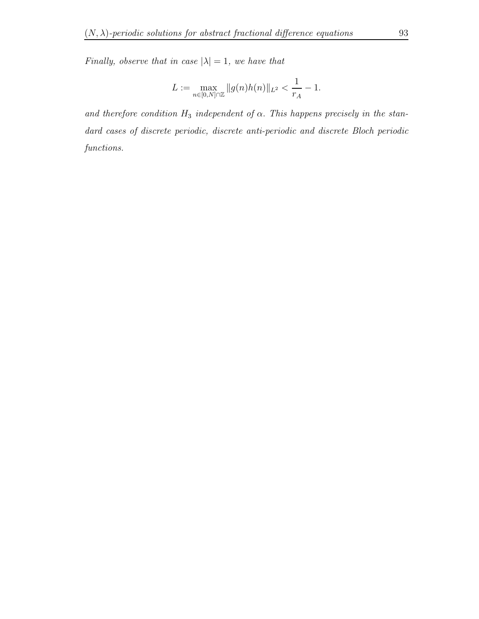Finally, observe that in case  $|\lambda|=1,$  we have that

$$
L := \max_{n \in [0, N] \cap \mathbb{Z}} \|g(n)h(n)\|_{L^2} < \frac{1}{r_A} - 1.
$$

and therefore condition  $H_3$  independent of  $\alpha$ . This happens precisely in the standard cases of discrete periodic, discrete anti-periodic and discrete Bloch periodic functions.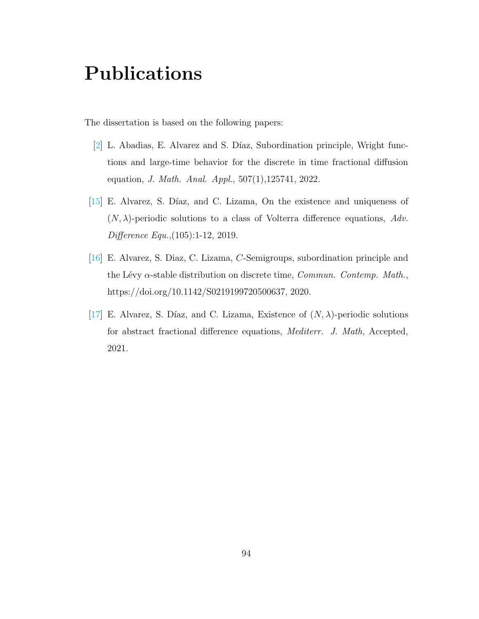### Publications

The dissertation is based on the following papers:

- [\[2\]](#page-94-1) L. Abadias, E. Alvarez and S. Díaz, Subordination principle, Wright functions and large-time behavior for the discrete in time fractional diffusion equation, J. Math. Anal. Appl., 507(1),125741, 2022.
- [\[15\]](#page-95-1) E. Alvarez, S. Díaz, and C. Lizama, On the existence and uniqueness of  $(N, \lambda)$ -periodic solutions to a class of Volterra difference equations, Adv. Difference Equ.,(105):1-12, 2019.
- [\[16\]](#page-95-2) E. Alvarez, S. Diaz, C. Lizama, C-Semigroups, subordination principle and the Lévy  $\alpha$ -stable distribution on discrete time, *Commun. Contemp. Math.*, https://doi.org/10.1142/S0219199720500637, 2020.
- [\[17\]](#page-95-3) E. Alvarez, S. Díaz, and C. Lizama, Existence of  $(N, \lambda)$ -periodic solutions for abstract fractional difference equations, Mediterr. J. Math, Accepted, 2021.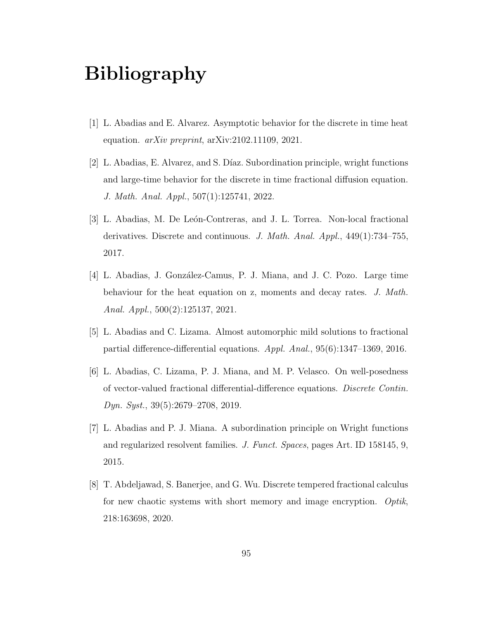## Bibliography

- <span id="page-94-1"></span>[1] L. Abadias and E. Alvarez. Asymptotic behavior for the discrete in time heat equation.  $arXiv$  preprint,  $arXiv:2102.11109$ , 2021.
- [2] L. Abadias, E. Alvarez, and S. D´ıaz. Subordination principle, wright functions and large-time behavior for the discrete in time fractional diffusion equation. J. Math. Anal. Appl., 507(1):125741, 2022.
- [3] L. Abadias, M. De León-Contreras, and J. L. Torrea. Non-local fractional derivatives. Discrete and continuous. J. Math. Anal. Appl., 449(1):734–755, 2017.
- <span id="page-94-0"></span>[4] L. Abadias, J. Gonz´alez-Camus, P. J. Miana, and J. C. Pozo. Large time behaviour for the heat equation on z, moments and decay rates. J. Math. Anal. Appl., 500(2):125137, 2021.
- [5] L. Abadias and C. Lizama. Almost automorphic mild solutions to fractional partial difference-differential equations. Appl. Anal., 95(6):1347–1369, 2016.
- [6] L. Abadias, C. Lizama, P. J. Miana, and M. P. Velasco. On well-posedness of vector-valued fractional differential-difference equations. Discrete Contin. Dyn. Syst., 39(5):2679–2708, 2019.
- [7] L. Abadias and P. J. Miana. A subordination principle on Wright functions and regularized resolvent families. J. Funct. Spaces, pages Art. ID 158145, 9, 2015.
- [8] T. Abdeljawad, S. Banerjee, and G. Wu. Discrete tempered fractional calculus for new chaotic systems with short memory and image encryption. Optik, 218:163698, 2020.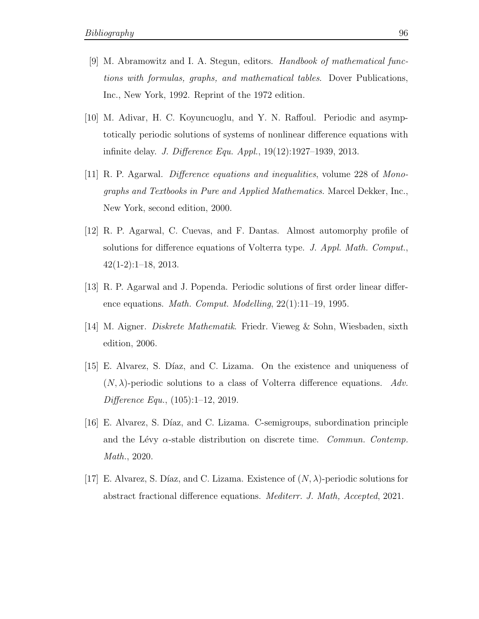- [9] M. Abramowitz and I. A. Stegun, editors. Handbook of mathematical functions with formulas, graphs, and mathematical tables. Dover Publications, Inc., New York, 1992. Reprint of the 1972 edition.
- [10] M. Adivar, H. C. Koyuncuoglu, and Y. N. Raffoul. Periodic and asymptotically periodic solutions of systems of nonlinear difference equations with infinite delay. J. Difference Equ. Appl., 19(12):1927–1939, 2013.
- <span id="page-95-0"></span>[11] R. P. Agarwal. Difference equations and inequalities, volume 228 of Monographs and Textbooks in Pure and Applied Mathematics. Marcel Dekker, Inc., New York, second edition, 2000.
- [12] R. P. Agarwal, C. Cuevas, and F. Dantas. Almost automorphy profile of solutions for difference equations of Volterra type. J. Appl. Math. Comput., 42(1-2):1–18, 2013.
- [13] R. P. Agarwal and J. Popenda. Periodic solutions of first order linear difference equations. Math. Comput. Modelling, 22(1):11–19, 1995.
- <span id="page-95-1"></span>[14] M. Aigner. Diskrete Mathematik. Friedr. Vieweg & Sohn, Wiesbaden, sixth edition, 2006.
- <span id="page-95-2"></span>[15] E. Alvarez, S. Díaz, and C. Lizama. On the existence and uniqueness of  $(N, \lambda)$ -periodic solutions to a class of Volterra difference equations. Adv. Difference Equ., (105):1–12, 2019.
- <span id="page-95-3"></span>[16] E. Alvarez, S. D´ıaz, and C. Lizama. C-semigroups, subordination principle and the Lévy  $\alpha$ -stable distribution on discrete time. *Commun. Contemp.* Math., 2020.
- [17] E. Alvarez, S. Díaz, and C. Lizama. Existence of  $(N, \lambda)$ -periodic solutions for abstract fractional difference equations. Mediterr. J. Math, Accepted, 2021.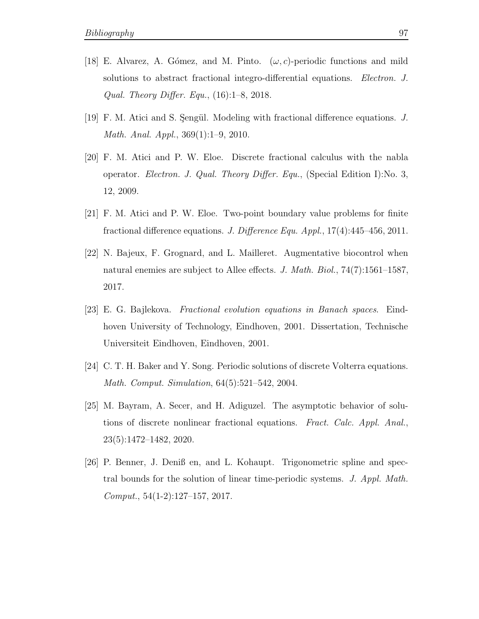- [18] E. Alvarez, A. Gómez, and M. Pinto.  $(\omega, c)$ -periodic functions and mild solutions to abstract fractional integro-differential equations. Electron. J. Qual. Theory Differ. Equ., (16):1–8, 2018.
- [19] F. M. Atici and S. Sengül. Modeling with fractional difference equations.  $J$ . Math. Anal. Appl., 369(1):1–9, 2010.
- [20] F. M. Atici and P. W. Eloe. Discrete fractional calculus with the nabla operator. Electron. J. Qual. Theory Differ. Equ., (Special Edition I):No. 3, 12, 2009.
- [21] F. M. Atici and P. W. Eloe. Two-point boundary value problems for finite fractional difference equations. J. Difference Equ. Appl., 17(4):445–456, 2011.
- [22] N. Bajeux, F. Grognard, and L. Mailleret. Augmentative biocontrol when natural enemies are subject to Allee effects. J. Math. Biol., 74(7):1561–1587, 2017.
- [23] E. G. Bajlekova. Fractional evolution equations in Banach spaces. Eindhoven University of Technology, Eindhoven, 2001. Dissertation, Technische Universiteit Eindhoven, Eindhoven, 2001.
- [24] C. T. H. Baker and Y. Song. Periodic solutions of discrete Volterra equations. Math. Comput. Simulation, 64(5):521–542, 2004.
- [25] M. Bayram, A. Secer, and H. Adiguzel. The asymptotic behavior of solutions of discrete nonlinear fractional equations. Fract. Calc. Appl. Anal., 23(5):1472–1482, 2020.
- [26] P. Benner, J. Deniß en, and L. Kohaupt. Trigonometric spline and spectral bounds for the solution of linear time-periodic systems. J. Appl. Math.  $Comput., 54(1-2):127-157, 2017.$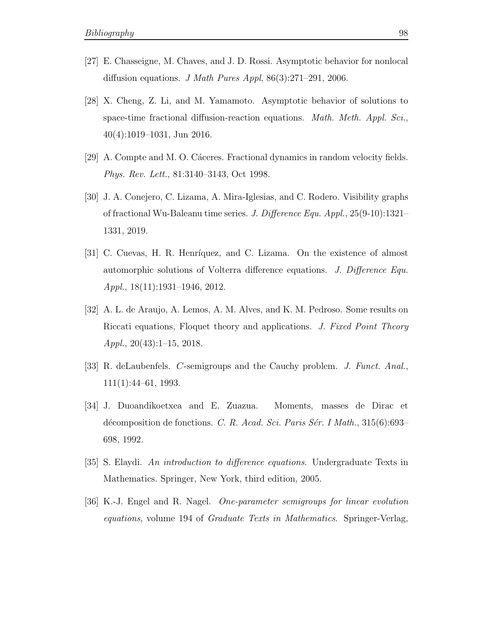- [27] E. Chasseigne, M. Chaves, and J. D. Rossi. Asymptotic behavior for nonlocal diffusion equations. J Math Pures Appl,  $86(3):271-291$ , 2006.
- [28] X. Cheng, Z. Li, and M. Yamamoto. Asymptotic behavior of solutions to space-time fractional diffusion-reaction equations. Math. Meth. Appl. Sci., 40(4):1019–1031, Jun 2016.
- [29] A. Compte and M. O. Cáceres. Fractional dynamics in random velocity fields. Phys. Rev. Lett., 81:3140–3143, Oct 1998.
- <span id="page-97-0"></span>[30] J. A. Conejero, C. Lizama, A. Mira-Iglesias, and C. Rodero. Visibility graphs of fractional Wu-Baleanu time series. J. Difference Equ. Appl., 25(9-10):1321– 1331, 2019.
- [31] C. Cuevas, H. R. Henríquez, and C. Lizama. On the existence of almost automorphic solutions of Volterra difference equations. J. Difference Equ. Appl., 18(11):1931–1946, 2012.
- [32] A. L. de Araujo, A. Lemos, A. M. Alves, and K. M. Pedroso. Some results on Riccati equations, Floquet theory and applications. J. Fixed Point Theory  $Appl., 20(43):1-15, 2018.$
- [33] R. deLaubenfels. C-semigroups and the Cauchy problem. J. Funct. Anal., 111(1):44–61, 1993.
- [34] J. Duoandikoetxea and E. Zuazua. Moments, masses de Dirac et décomposition de fonctions. C. R. Acad. Sci. Paris Sér. I Math.,  $315(6):693-$ 698, 1992.
- [35] S. Elaydi. An introduction to difference equations. Undergraduate Texts in Mathematics. Springer, New York, third edition, 2005.
- [36] K.-J. Engel and R. Nagel. One-parameter semigroups for linear evolution equations, volume 194 of Graduate Texts in Mathematics. Springer-Verlag,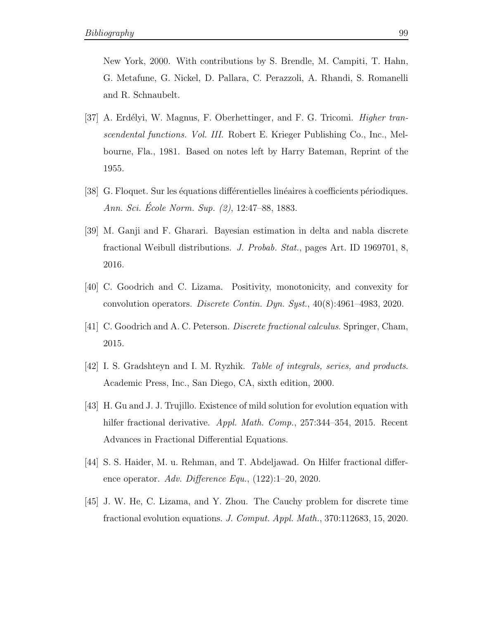New York, 2000. With contributions by S. Brendle, M. Campiti, T. Hahn, G. Metafune, G. Nickel, D. Pallara, C. Perazzoli, A. Rhandi, S. Romanelli and R. Schnaubelt.

- [37] A. Erdélyi, W. Magnus, F. Oberhettinger, and F. G. Tricomi. *Higher tran*scendental functions. Vol. III. Robert E. Krieger Publishing Co., Inc., Melbourne, Fla., 1981. Based on notes left by Harry Bateman, Reprint of the 1955.
- [38] G. Floquet. Sur les équations différentielles linéaires à coefficients périodiques. Ann. Sci. Ecole Norm. Sup. (2), 12:47–88, 1883.
- [39] M. Ganji and F. Gharari. Bayesian estimation in delta and nabla discrete fractional Weibull distributions. J. Probab. Stat., pages Art. ID 1969701, 8, 2016.
- [40] C. Goodrich and C. Lizama. Positivity, monotonicity, and convexity for convolution operators. Discrete Contin. Dyn. Syst., 40(8):4961–4983, 2020.
- [41] C. Goodrich and A. C. Peterson. Discrete fractional calculus. Springer, Cham, 2015.
- [42] I. S. Gradshteyn and I. M. Ryzhik. Table of integrals, series, and products. Academic Press, Inc., San Diego, CA, sixth edition, 2000.
- [43] H. Gu and J. J. Trujillo. Existence of mild solution for evolution equation with hilfer fractional derivative. Appl. Math. Comp., 257:344–354, 2015. Recent Advances in Fractional Differential Equations.
- [44] S. S. Haider, M. u. Rehman, and T. Abdeljawad. On Hilfer fractional difference operator. Adv. Difference Equ., (122):1–20, 2020.
- [45] J. W. He, C. Lizama, and Y. Zhou. The Cauchy problem for discrete time fractional evolution equations. J. Comput. Appl. Math., 370:112683, 15, 2020.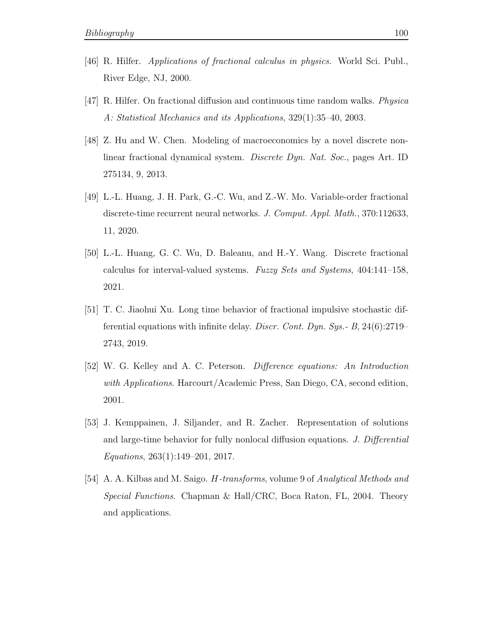- [46] R. Hilfer. Applications of fractional calculus in physics. World Sci. Publ., River Edge, NJ, 2000.
- [47] R. Hilfer. On fractional diffusion and continuous time random walks. *Physica* A: Statistical Mechanics and its Applications, 329(1):35–40, 2003.
- [48] Z. Hu and W. Chen. Modeling of macroeconomics by a novel discrete nonlinear fractional dynamical system. Discrete Dyn. Nat. Soc., pages Art. ID 275134, 9, 2013.
- [49] L.-L. Huang, J. H. Park, G.-C. Wu, and Z.-W. Mo. Variable-order fractional discrete-time recurrent neural networks. J. Comput. Appl. Math., 370:112633, 11, 2020.
- [50] L.-L. Huang, G. C. Wu, D. Baleanu, and H.-Y. Wang. Discrete fractional calculus for interval-valued systems. Fuzzy Sets and Systems, 404:141–158, 2021.
- [51] T. C. Jiaohui Xu. Long time behavior of fractional impulsive stochastic differential equations with infinite delay. Discr. Cont. Dyn. Sys. - B, 24(6):2719– 2743, 2019.
- [52] W. G. Kelley and A. C. Peterson. Difference equations: An Introduction with Applications. Harcourt/Academic Press, San Diego, CA, second edition, 2001.
- [53] J. Kemppainen, J. Siljander, and R. Zacher. Representation of solutions and large-time behavior for fully nonlocal diffusion equations. J. Differential Equations, 263(1):149–201, 2017.
- [54] A. A. Kilbas and M. Saigo. H-transforms, volume 9 of Analytical Methods and Special Functions. Chapman & Hall/CRC, Boca Raton, FL, 2004. Theory and applications.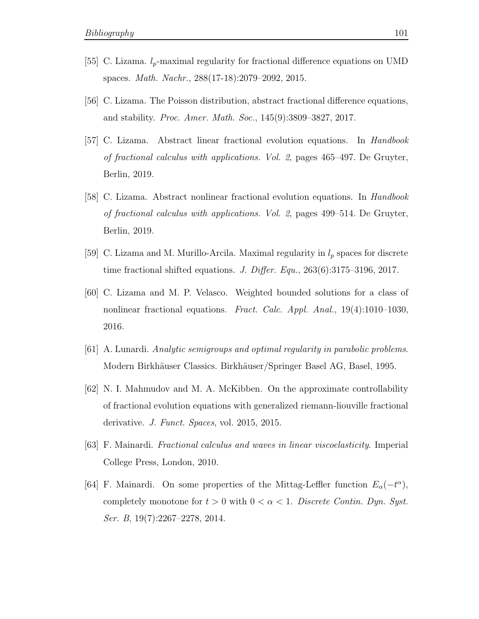- [55] C. Lizama.  $l_p$ -maximal regularity for fractional difference equations on UMD spaces. Math. Nachr., 288(17-18):2079–2092, 2015.
- [56] C. Lizama. The Poisson distribution, abstract fractional difference equations, and stability. Proc. Amer. Math. Soc., 145(9):3809–3827, 2017.
- [57] C. Lizama. Abstract linear fractional evolution equations. In Handbook of fractional calculus with applications. Vol. 2, pages 465–497. De Gruyter, Berlin, 2019.
- [58] C. Lizama. Abstract nonlinear fractional evolution equations. In Handbook of fractional calculus with applications. Vol. 2, pages 499–514. De Gruyter, Berlin, 2019.
- [59] C. Lizama and M. Murillo-Arcila. Maximal regularity in  $l_p$  spaces for discrete time fractional shifted equations. J. Differ. Equ.,  $263(6):3175-3196$ ,  $2017$ .
- <span id="page-100-0"></span>[60] C. Lizama and M. P. Velasco. Weighted bounded solutions for a class of nonlinear fractional equations. Fract. Calc. Appl. Anal., 19(4):1010–1030, 2016.
- [61] A. Lunardi. Analytic semigroups and optimal regularity in parabolic problems. Modern Birkhäuser Classics. Birkhäuser/Springer Basel AG, Basel, 1995.
- [62] N. I. Mahmudov and M. A. McKibben. On the approximate controllability of fractional evolution equations with generalized riemann-liouville fractional derivative. J. Funct. Spaces, vol. 2015, 2015.
- [63] F. Mainardi. Fractional calculus and waves in linear viscoelasticity. Imperial College Press, London, 2010.
- [64] F. Mainardi. On some properties of the Mittag-Leffler function  $E_{\alpha}(-t^{\alpha})$ , completely monotone for  $t > 0$  with  $0 < \alpha < 1$ . Discrete Contin. Dyn. Syst. Ser. B, 19(7):2267–2278, 2014.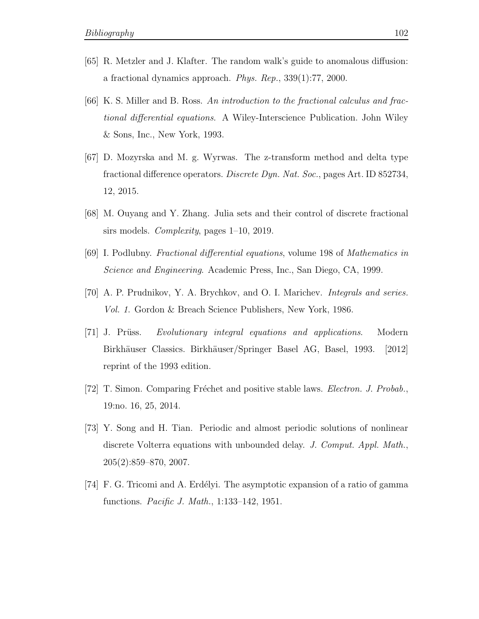- [65] R. Metzler and J. Klafter. The random walk's guide to anomalous diffusion: a fractional dynamics approach. Phys. Rep., 339(1):77, 2000.
- [66] K. S. Miller and B. Ross. An introduction to the fractional calculus and fractional differential equations. A Wiley-Interscience Publication. John Wiley & Sons, Inc., New York, 1993.
- [67] D. Mozyrska and M. g. Wyrwas. The z-transform method and delta type fractional difference operators. Discrete Dyn. Nat. Soc., pages Art. ID 852734, 12, 2015.
- [68] M. Ouyang and Y. Zhang. Julia sets and their control of discrete fractional sirs models. *Complexity*, pages 1–10, 2019.
- <span id="page-101-0"></span>[69] I. Podlubny. Fractional differential equations, volume 198 of Mathematics in Science and Engineering. Academic Press, Inc., San Diego, CA, 1999.
- [70] A. P. Prudnikov, Y. A. Brychkov, and O. I. Marichev. Integrals and series. Vol. 1. Gordon & Breach Science Publishers, New York, 1986.
- [71] J. Prüss. Evolutionary integral equations and applications. Modern Birkhäuser Classics. Birkhäuser/Springer Basel AG, Basel, 1993. [2012] reprint of the 1993 edition.
- [72] T. Simon. Comparing Fréchet and positive stable laws. *Electron. J. Probab.*, 19:no. 16, 25, 2014.
- [73] Y. Song and H. Tian. Periodic and almost periodic solutions of nonlinear discrete Volterra equations with unbounded delay. J. Comput. Appl. Math., 205(2):859–870, 2007.
- [74] F. G. Tricomi and A. Erdélyi. The asymptotic expansion of a ratio of gamma functions. Pacific J. Math., 1:133–142, 1951.